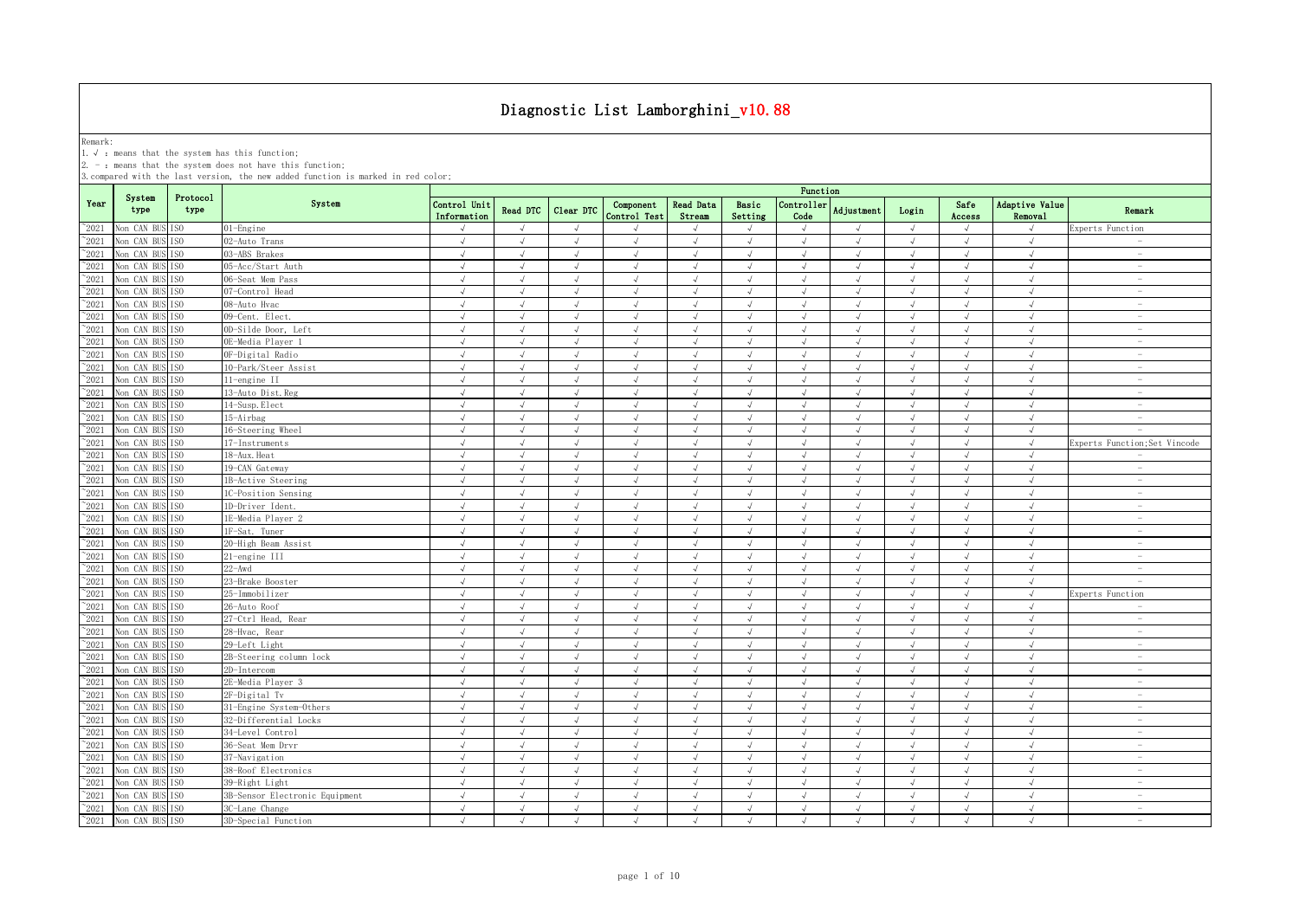Remark:<br>1.√ : means that the system has this function;<br>2. - : means that the system does not have this function;

|                |                               |                  |                                | Function                    |               |               |                           |                     |                             |                    |               |            |                |                             |                                 |
|----------------|-------------------------------|------------------|--------------------------------|-----------------------------|---------------|---------------|---------------------------|---------------------|-----------------------------|--------------------|---------------|------------|----------------|-----------------------------|---------------------------------|
| Year           | System<br>type                | Protocol<br>type | System                         | Control Unit<br>Information | Read DTC      | Clear DTC     | Component<br>Control Test | Read Data<br>Stream | Basic<br>Setting            | Controller<br>Code | Adjustment    | Login      | Safe<br>Access | Adaptive Value<br>Removal   | Remark                          |
| $^{\sim}$ 2021 | Non CAN BUS ISO               |                  | 01-Engine                      |                             | $\mathcal{L}$ | $\sqrt{ }$    |                           |                     | $\sqrt{ }$                  |                    |               | $\sqrt{ }$ | $\sqrt{ }$     |                             | Experts Function                |
| $^{\sim}2021$  | Non CAN BUS                   | TS <sub>0</sub>  | 02-Auto Trans                  | $\sqrt{ }$                  | $\sqrt{ }$    | $\sqrt{ }$    | $\sqrt{ }$                | $\sqrt{ }$          | $\sqrt{ }$                  | $\sqrt{ }$         | $\sqrt{ }$    | $\sqrt{ }$ | $\sqrt{ }$     | $\sqrt{ }$                  | $\overline{\phantom{a}}$        |
| $^{\sim}2021$  | Non CAN BUS ISO               |                  | 03-ABS Brakes                  | $\sqrt{ }$                  | $\sqrt{ }$    | $\sqrt{ }$    | $\sqrt{ }$                | $\sqrt{ }$          | $\sqrt{ }$                  | $\sqrt{ }$         | $\sqrt{ }$    | $\sqrt{ }$ | $\sqrt{ }$     | $\sqrt{ }$                  | $\overline{\phantom{a}}$        |
| $\degree$ 2021 | Non CAN BUS                   | ISO.             | 05-Acc/Start Auth              | $\sqrt{ }$                  | $\sqrt{ }$    | $\sqrt{ }$    | $\sqrt{ }$                | $\sqrt{ }$          | $\sqrt{ }$                  | $\sqrt{ }$         | $\sqrt{ }$    | $\sqrt{ }$ | $\sqrt{ }$     | $\sqrt{ }$                  | $\sim$                          |
| $^{\sim}2021$  | Non CAN BUS                   | IS <sub>0</sub>  | 06-Seat Mem Pass               | $\sqrt{ }$                  | $\sqrt{ }$    | $\sqrt{ }$    | $\sqrt{ }$                | $\sqrt{ }$          | $\sqrt{ }$                  | $\sqrt{ }$         | $\sqrt{ }$    | $\sqrt{ }$ | $\sqrt{ }$     | $\sqrt{ }$                  | $\sim$                          |
| $^{\sim}2021$  | Non CAN BUS                   | TS <sub>0</sub>  | 07-Control Head                | $\sqrt{ }$                  | $\sqrt{ }$    | $\sqrt{ }$    | $\sqrt{ }$                | $\sqrt{ }$          | $\sqrt{ }$                  | $\sqrt{ }$         | $\sqrt{ }$    | $\sqrt{ }$ | $\sqrt{ }$     | $\sqrt{ }$                  | $\overline{\phantom{a}}$        |
| $^{\sim}2021$  | Non CAN BUS                   | ISO              | 08-Auto Hvac                   | √                           | $\sqrt{ }$    | $\sqrt{}$     | √                         |                     | $\sqrt{ }$                  | √                  | $\sqrt{ }$    | $\sqrt{ }$ | √              | √                           | $\overline{\phantom{a}}$        |
| $^{\sim}2021$  | Non CAN BUS                   | IS <sub>0</sub>  | 09-Cent. Elect.                | J                           | $\sqrt{ }$    | J             | $\sqrt{}$                 |                     | $\sqrt{ }$                  | J                  | $\sqrt{ }$    | $\sqrt{ }$ |                | $\sqrt{ }$                  | $\sim$                          |
| 2021           | Non CAN BUS                   | IS <sub>0</sub>  | 0D-Silde Door, Left            | J                           | $\sqrt{ }$    | $\mathcal{L}$ | $\sqrt{ }$                |                     | $\sqrt{ }$                  | $\sqrt{ }$         | $\lambda$     | $\sqrt{ }$ | $\sqrt{ }$     | $\mathcal{N}_{\mathcal{N}}$ | $\sim$                          |
| 2021           | Non CAN BUS                   | IS <sub>0</sub>  | DE-Media Plaver 1              | $\sqrt{ }$                  | $\sqrt{ }$    | $\sqrt{ }$    | $\sqrt{}$                 |                     | $\sqrt{ }$                  | $\sqrt{ }$         | $\sqrt{ }$    | $\sqrt{ }$ | $\sqrt{ }$     | $\sqrt{ }$                  | $\overline{\phantom{a}}$        |
| $^{\sim}2021$  | Non CAN BUS                   | TSO              | OF-Digital Radio               | $\sqrt{ }$                  | $\sqrt{ }$    | J             | $\sqrt{ }$                |                     | $\sqrt{ }$                  | $\sqrt{ }$         | $\sqrt{ }$    | $\sqrt{ }$ | $\sqrt{ }$     | $\sqrt{ }$                  |                                 |
| $^{\sim}$ 2021 | Non CAN BUS                   | TS <sub>0</sub>  | 10-Park/Steer Assist           | $\sqrt{ }$                  | $\sqrt{ }$    | $\sqrt{ }$    | $\sqrt{ }$                |                     | $\sqrt{ }$                  | $\sqrt{ }$         | $\sqrt{ }$    | $\sqrt{ }$ | J              | $\sqrt{ }$                  | $\overline{\phantom{a}}$        |
| $\degree$ 2021 | Non CAN BUS                   | TS <sub>0</sub>  | 11-engine II                   | $\sqrt{ }$                  | $\sqrt{ }$    | $\sqrt{ }$    | $\sqrt{ }$                | $\sqrt{ }$          | $\sqrt{ }$                  | $\sqrt{ }$         | $\sqrt{ }$    | $\sqrt{ }$ | $\sqrt{ }$     | $\sqrt{ }$                  | $\overline{\phantom{a}}$        |
| $^{\sim}$ 2021 | Non CAN BUS                   | IS <sub>0</sub>  | 13-Auto Dist. Reg              | $\sqrt{ }$                  | $\sqrt{ }$    | $\sqrt{ }$    | $\sqrt{ }$                | $\sqrt{ }$          | $\sqrt{ }$                  | $\sqrt{ }$         | $\sqrt{ }$    | $\sqrt{ }$ | $\sqrt{ }$     | $\sqrt{ }$                  | $\sim$                          |
| $^{\sim}$ 2021 | Non CAN BUS                   | IS <sub>0</sub>  | 14-Susp. Elect                 | $\sqrt{ }$                  | $\sqrt{ }$    | $\sqrt{}$     | $\sqrt{}$                 | $\sqrt{ }$          | $\sqrt{ }$                  | $\sqrt{ }$         | $\sqrt{ }$    | $\sqrt{ }$ | $\sqrt{ }$     | $\sqrt{2}$                  | $\sim$                          |
| $^{\sim}$ 2021 | Non CAN BUS                   | IS <sub>0</sub>  | 15-Airbag                      | $\sqrt{ }$                  | $\sqrt{ }$    | $\sqrt{ }$    | $\sqrt{ }$                | $\sqrt{ }$          | $\sqrt{ }$                  | $\sqrt{ }$         | $\sqrt{ }$    | $\sqrt{ }$ | $\sqrt{ }$     | $\sqrt{ }$                  | $\sim$                          |
| $^{\sim}2021$  | Non CAN BUS                   | ISO              | 16-Steering Wheel              | $\sqrt{ }$                  | $\sqrt{ }$    | $\sqrt{ }$    | $\sqrt{ }$                | $\sqrt{ }$          | $\sqrt{ }$                  | $\sqrt{ }$         | $\sqrt{ }$    | $\sqrt{ }$ | $\sqrt{ }$     | $\sqrt{ }$                  | $\sim$                          |
| $^{\sim}2021$  | Non CAN BUS                   | IS <sub>0</sub>  | 17-Instruments                 | $\sqrt{ }$                  | $\sqrt{ }$    | $\sqrt{ }$    | $\sqrt{ }$                | $\sqrt{ }$          | $\sqrt{ }$                  | $\sqrt{ }$         | $\sqrt{ }$    | $\sqrt{ }$ | $\sqrt{ }$     | $\sqrt{2}$                  | Experts Function;Set Vincode    |
| $^{\sim}2021$  | Non CAN BUS                   | ISO.             | 18-Aux. Heat                   | $\sqrt{ }$                  | $\sqrt{ }$    | $\sqrt{ }$    | $\sqrt{ }$                | $\sqrt{ }$          | $\sqrt{ }$                  | $\sqrt{ }$         | $\sqrt{ }$    | $\sqrt{ }$ | $\sqrt{ }$     | $\sqrt{ }$                  | $\sim$                          |
| $\degree$ 2021 | Non CAN BUS ISO               |                  | 19-CAN Gateway                 | $\sqrt{ }$                  | $\sqrt{ }$    | $\sqrt{ }$    | $\sqrt{ }$                | $\sqrt{ }$          | $\sqrt{ }$                  | $\sqrt{ }$         | $\sqrt{ }$    | $\sqrt{ }$ | $\sqrt{ }$     | $\sqrt{ }$                  | $\overline{\phantom{a}}$        |
| $^{\sim}2021$  | Non CAN BUS                   | TSO.             | 1B-Active Steering             | $\sqrt{ }$                  | $\sqrt{ }$    | $\sqrt{ }$    | $\sqrt{ }$                | $\sqrt{ }$          | $\sqrt{ }$                  | $\sqrt{ }$         | $\sqrt{ }$    | $\sqrt{ }$ | $\sqrt{ }$     | $\sqrt{ }$                  | $\sim$                          |
| $^{\sim}2021$  | Non CAN BUS                   | T <sub>SO</sub>  | 1C-Position Sensing            | $\sqrt{ }$                  | $\sqrt{ }$    | $\sqrt{ }$    | $\sqrt{ }$                | $\sqrt{ }$          | $\sqrt{ }$                  | $\sqrt{ }$         | $\sqrt{ }$    | $\sqrt{ }$ | $\sqrt{ }$     | $\sqrt{ }$                  | $\hspace{0.1mm}-\hspace{0.1mm}$ |
| 2021           | Non CAN BUS                   | IS <sub>0</sub>  | 1D-Driver Ident.               | $\sqrt{ }$                  | $\sqrt{ }$    | $\sqrt{ }$    | $\sqrt{}$                 |                     | $\sqrt{ }$                  | $\sqrt{ }$         | $\sqrt{ }$    | $\sqrt{ }$ | $\sqrt{ }$     | $\sqrt{ }$                  | $\overline{\phantom{a}}$        |
| 2021           | Non CAN BUS ISO               |                  | 1E-Media Player 2              | √                           | $\sqrt{ }$    | J             | J                         |                     | $\sqrt{ }$                  | J                  | $\sqrt{ }$    | $\sqrt{ }$ | $\sqrt{ }$     | J                           | $\sim$                          |
| 2021           | Non CAN BUS                   | TSO              | 1F-Sat. Tuner                  | √                           | $\sqrt{ }$    | J             | J                         |                     | $\sqrt{ }$                  | J                  | $\mathcal{L}$ | $\sqrt{ }$ | $\sqrt{ }$     | $\sqrt{ }$                  | $\overline{\phantom{a}}$        |
| 2021           | Non CAN BUS                   | TS <sub>0</sub>  | 20-High Beam Assist            |                             | $\sqrt{ }$    | $\mathcal{A}$ | $\sqrt{ }$                |                     | $\mathcal{N}_{\mathcal{N}}$ | J                  | $\lambda$     | $\sqrt{ }$ | $\lambda$      | $\mathcal{N}_{\mathcal{N}}$ |                                 |
| $^{\sim}$ 2021 | Non CAN BUS                   | IS <sub>0</sub>  | 21-engine III                  | $\sqrt{}$                   | $\sqrt{ }$    | $\sqrt{ }$    | $\sqrt{ }$                |                     | $\sqrt{ }$                  | J                  | $\sqrt{ }$    | $\sqrt{ }$ | $\sqrt{ }$     | $\sqrt{ }$                  | $\sim$                          |
| $^{\sim}$ 2021 | Non CAN BUS                   | IS <sub>0</sub>  | $22 - Awd$                     | $\sqrt{ }$                  | $\sqrt{ }$    | $\sqrt{ }$    | $\sqrt{ }$                | $\sqrt{ }$          | $\sqrt{ }$                  | $\sqrt{ }$         | $\sqrt{ }$    | $\sqrt{ }$ | $\sqrt{ }$     | $\sqrt{ }$                  | $\sim$                          |
| $^{\sim}$ 2021 | Non CAN BUS                   | IS <sub>0</sub>  | 23-Brake Booster               | $\sqrt{ }$                  | $\sqrt{ }$    | $\sqrt{ }$    | $\sqrt{ }$                | $\sqrt{ }$          | $\sqrt{ }$                  | $\sqrt{ }$         | $\sqrt{ }$    | $\sqrt{ }$ | $\sqrt{ }$     | $\sqrt{ }$                  | $\sim$                          |
| $^{\sim}$ 2021 | Non CAN BUS                   | TS <sub>0</sub>  | 25-Immobilizer                 | $\sqrt{ }$                  | $\sqrt{ }$    | $\sqrt{ }$    | $\sqrt{ }$                | $\sqrt{ }$          | $\sqrt{ }$                  | $\sqrt{ }$         | $\sqrt{ }$    | $\sqrt{ }$ | $\sqrt{ }$     | $\sqrt{ }$                  | Experts Function                |
| $^{\sim}$ 2021 | Non CAN BUS                   | IS <sub>0</sub>  | 26-Auto Roof                   | $\sqrt{ }$                  | $\sqrt{ }$    | $\sqrt{ }$    | $\sqrt{ }$                | $\sqrt{ }$          | $\sqrt{ }$                  | $\sqrt{ }$         | $\sqrt{ }$    | $\sqrt{ }$ | $\sqrt{ }$     | $\sqrt{ }$                  | $\sim$                          |
| $^{\sim}$ 2021 | Non CAN BUS                   | IS <sub>0</sub>  | 27-Ctrl Head, Rear             | $\sqrt{ }$                  | $\sqrt{ }$    | $\sqrt{ }$    | $\sqrt{ }$                | $\sqrt{ }$          | $\sqrt{ }$                  | $\sqrt{ }$         | $\sqrt{ }$    | $\sqrt{ }$ | $\sqrt{ }$     | $\sqrt{ }$                  | $\overline{\phantom{a}}$        |
| $^{\sim}2021$  | Non CAN BUS ISO               |                  | 28-Hvac, Rear                  | $\sqrt{ }$                  | $\sqrt{ }$    | $\sqrt{ }$    | $\sqrt{ }$                | $\sqrt{ }$          | $\sqrt{ }$                  | $\sqrt{ }$         | $\sqrt{ }$    | $\sqrt{ }$ | $\sqrt{ }$     | $\sqrt{ }$                  | $\overline{\phantom{a}}$        |
| $^{\sim}2021$  | Non CAN BUS                   | TSO.             | 29-Left Light                  | $\sqrt{ }$                  | $\sqrt{ }$    | $\sqrt{ }$    | $\sqrt{ }$                | $\sqrt{ }$          | $\sqrt{ }$                  | $\sqrt{ }$         | $\sqrt{ }$    | $\sqrt{ }$ | $\sqrt{ }$     | $\sqrt{ }$                  | $\sim$                          |
| $^{\sim}2021$  | Non CAN BUS                   | T <sub>SO</sub>  | 2B-Steering column lock        | $\sqrt{ }$                  | $\sqrt{ }$    | $\sqrt{ }$    | $\sqrt{ }$                | $\sqrt{ }$          | $\sqrt{ }$                  | $\sqrt{ }$         | $\sqrt{ }$    | $\sqrt{ }$ | $\sqrt{ }$     | $\sqrt{2}$                  | $\sim$                          |
| $^{\sim}2021$  | Non CAN BUS                   | ISO.             | 2D-Intercom                    | $\sqrt{ }$                  | $\sqrt{ }$    | $\sqrt{ }$    | $\sqrt{ }$                | $\sqrt{ }$          | $\sqrt{ }$                  | $\sqrt{ }$         | $\sqrt{ }$    | $\sqrt{ }$ | $\sqrt{ }$     | $\sqrt{2}$                  | $\sim$                          |
| $^{\sim}2021$  | Non CAN BUS                   | IS <sub>0</sub>  | 2E-Media Player 3              | $\sqrt{ }$                  | $\sqrt{ }$    | $\sqrt{ }$    | $\sqrt{ }$                | $\sqrt{ }$          | $\sqrt{ }$                  | $\sqrt{ }$         | $\sqrt{ }$    | $\sqrt{ }$ | $\sqrt{ }$     | $\sqrt{ }$                  | $\hspace{0.1mm}-\hspace{0.1mm}$ |
| $^{\sim}2021$  | Non CAN BUS                   | ISO              | 2F-Digital Tv                  | $\sqrt{ }$                  | $\sqrt{ }$    | $\sqrt{ }$    | $\sqrt{}$                 |                     | $\sqrt{ }$                  | $\sqrt{ }$         | $\sqrt{ }$    | $\sqrt{ }$ | $\sqrt{ }$     | $\sqrt{2}$                  | $\sim$                          |
| 2021           | Non CAN BUS                   | TSO              | 31-Engine System-Others        | $\sqrt{ }$                  | $\sqrt{ }$    | $\sqrt{ }$    | $\sqrt{}$                 |                     | $\sqrt{ }$                  | $\sqrt{ }$         | $\mathcal{L}$ | $\sqrt{ }$ | $\sqrt{ }$     | $\mathcal{N}_{\mathcal{N}}$ | $\sim$                          |
| 2021           | Non CAN BUS                   | TS <sub>0</sub>  | 32-Differential Locks          | $\sqrt{ }$                  | $\sqrt{ }$    | $\sqrt{ }$    | $\sqrt{ }$                |                     | $\sqrt{ }$                  | $\sqrt{ }$         | $\sqrt{ }$    | $\sqrt{ }$ | $\sqrt{ }$     | $\sqrt{ }$                  | $\sim$                          |
| 2021           | Non CAN BUS                   | IS <sub>0</sub>  | 34-Level Control               | $\sqrt{ }$                  | $\sqrt{ }$    | $\sqrt{ }$    | $\sqrt{ }$                | $\sqrt{ }$          | $\sqrt{ }$                  | $\sqrt{ }$         | $\sqrt{ }$    | $\sqrt{ }$ | $\sqrt{ }$     | $\sqrt{ }$                  | $\overline{\phantom{a}}$        |
| $^{\sim}$ 2021 | Non CAN BUS                   | IS <sub>0</sub>  | 36-Seat Mem Drvr               | $\sqrt{ }$                  | $\sqrt{ }$    | $\sqrt{ }$    | $\sqrt{ }$                |                     | $\sqrt{ }$                  | $\sqrt{ }$         |               | $\sqrt{ }$ | $\sqrt{ }$     | $\sqrt{ }$                  | $\overline{\phantom{0}}$        |
| $^{\sim}2021$  | Non CAN BUS                   | TS <sub>0</sub>  | 37-Navigation                  | $\sqrt{ }$                  | $\sqrt{ }$    | $\sqrt{ }$    | $\sqrt{ }$                | $\sqrt{ }$          | $\sqrt{ }$                  | $\sqrt{ }$         | $\sqrt{ }$    | $\sqrt{ }$ | $\sqrt{ }$     | $\sqrt{ }$                  | $\overline{\phantom{a}}$        |
| $^{\sim}$ 2021 | Non CAN BUS                   | IS <sub>0</sub>  | 38-Roof Electronics            | $\sqrt{ }$                  | $\sqrt{ }$    | $\sqrt{ }$    | $\sqrt{ }$                |                     | $\sqrt{ }$                  | $\sqrt{ }$         | $\sqrt{ }$    | $\sqrt{ }$ | $\sqrt{ }$     | $\sqrt{ }$                  | $\overline{\phantom{a}}$        |
| $^{\sim}$ 2021 | Non CAN BUS                   | IS <sub>0</sub>  | 39-Right Light                 | $\sqrt{ }$                  | $\sqrt{ }$    | $\sqrt{ }$    | $\sqrt{ }$                | $\sqrt{ }$          | $\sqrt{ }$                  | $\sqrt{ }$         | $\sqrt{ }$    | $\sqrt{ }$ | $\sqrt{ }$     | $\sqrt{ }$                  | $\hspace{0.1mm}-\hspace{0.1mm}$ |
| $^{\sim}$ 2021 | Non CAN BUS                   | IS <sub>0</sub>  | 3B-Sensor Electronic Equipment | $\sqrt{ }$                  | $\sqrt{ }$    | $\sqrt{ }$    | $\sqrt{}$                 | $\sqrt{ }$          | $\sqrt{ }$                  | $\sqrt{ }$         | $\sqrt{ }$    | $\sqrt{ }$ | $\sqrt{ }$     | $\sqrt{ }$                  | $\sim$                          |
| $^{\sim}$ 2021 | Non CAN BUS                   | IS <sub>0</sub>  | 3C-Lane Change                 | $\sqrt{ }$                  | $\sqrt{ }$    | $\sqrt{}$     | $\sqrt{ }$                | $\sqrt{ }$          | $\sqrt{ }$                  | $\sqrt{ }$         | $\sqrt{ }$    | $\sqrt{ }$ | $\sqrt{ }$     | $\sqrt{ }$                  | $\overline{\phantom{a}}$        |
|                | $^{\sim}2021$ Non CAN BUS ISO |                  | 3D-Special Function            | $\sqrt{ }$                  | $\sqrt{ }$    | $\sqrt{ }$    | $\sqrt{ }$                | $\sqrt{ }$          | $\sqrt{ }$                  | $\mathcal{L}$      | $\lambda$     | $\sqrt{ }$ | $\sqrt{ }$     | $\sqrt{ }$                  | $\sim$                          |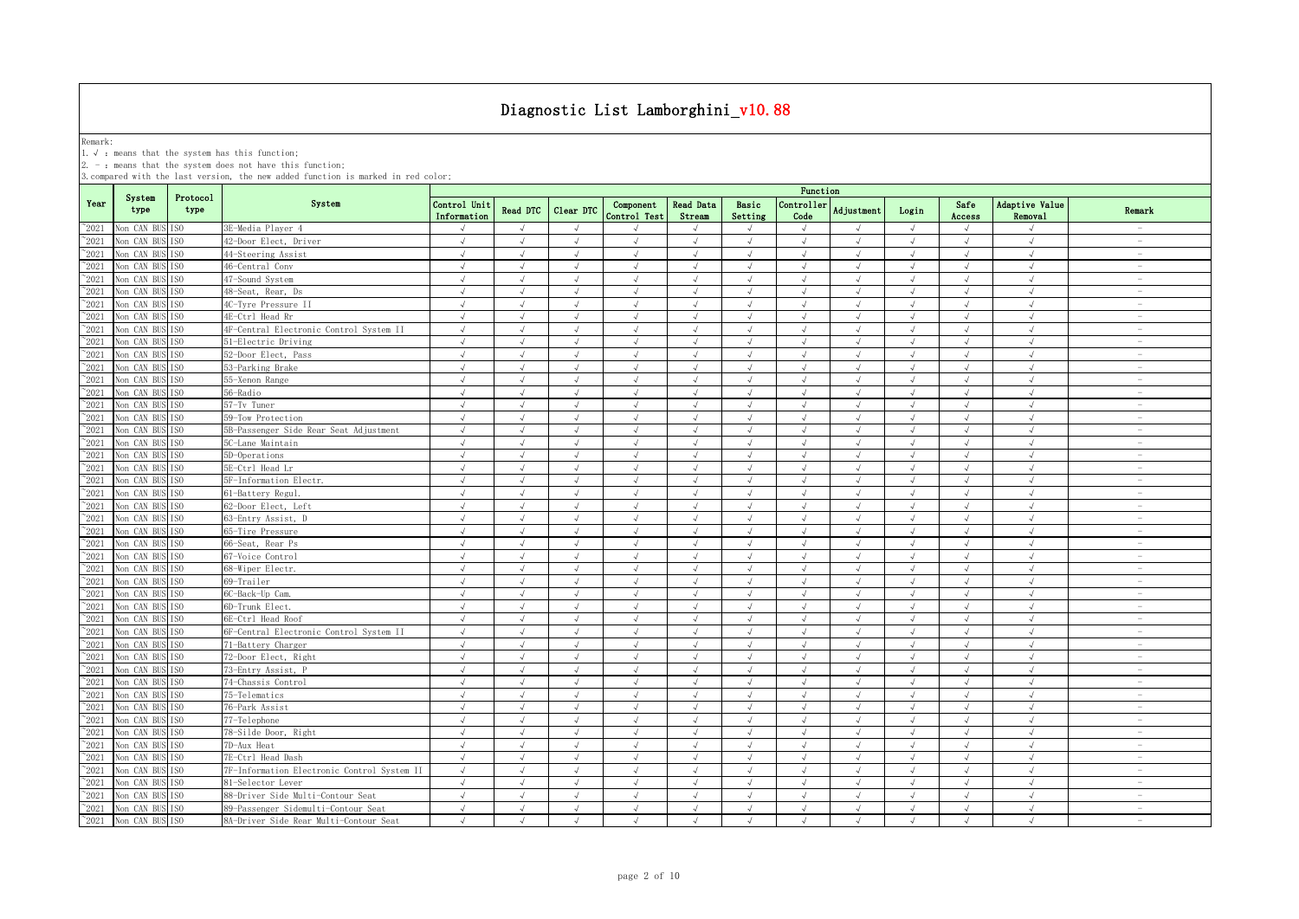Remark:<br>1.√ : means that the system has this function;<br>2. - : means that the system does not have this function;

|                |                               |                  |                                             |                             |               |            |                           |                            |                  | Function           |                   |            |                |                           |                          |
|----------------|-------------------------------|------------------|---------------------------------------------|-----------------------------|---------------|------------|---------------------------|----------------------------|------------------|--------------------|-------------------|------------|----------------|---------------------------|--------------------------|
| Year           | System<br>type                | Protocol<br>type | System                                      | Control Unit<br>Information | Read DTC      | Clear DTC  | Component<br>Control Test | <b>Read Data</b><br>Stream | Basic<br>Setting | Controller<br>Code | <b>Adjustment</b> | Login      | Safe<br>Access | Adaptive Value<br>Removal | Remark                   |
| $^{\circ}2021$ | Non CAN BUS ISO               |                  | 3E-Media Player 4                           | $\sqrt{ }$                  | $\sqrt{ }$    | $\sqrt{ }$ |                           | $\sqrt{ }$                 | $\sqrt{ }$       | $\sqrt{}$          | $\sqrt{ }$        | $\sqrt{ }$ | $\sqrt{ }$     | $\sqrt{ }$                | $\overline{\phantom{a}}$ |
| $^{\sim}2021$  | Non CAN BUS                   | TS <sub>0</sub>  | 42-Door Elect, Driver                       | $\sqrt{ }$                  | $\sqrt{ }$    | $\sqrt{ }$ | $\sqrt{ }$                | $\sqrt{ }$                 | $\sqrt{ }$       | $\sqrt{ }$         | $\sqrt{ }$        | $\sqrt{ }$ | $\sqrt{ }$     | $\sqrt{ }$                | $\sim$                   |
| $^{\sim}2021$  | Non CAN BUS ISO               |                  | 44-Steering Assist                          | $\sqrt{ }$                  | $\sqrt{ }$    | $\sqrt{ }$ | $\sqrt{ }$                | $\sqrt{ }$                 | $\sqrt{ }$       | $\sqrt{ }$         | $\sqrt{ }$        | $\sqrt{ }$ | $\sqrt{ }$     | $\sqrt{ }$                | $\sim$                   |
| $^{\sim}2021$  | Non CAN BUS                   | TS <sub>0</sub>  | 46-Central Conv                             | $\sqrt{ }$                  | $\sqrt{ }$    | $\sqrt{ }$ | $\sqrt{ }$                | $\sqrt{ }$                 | $\sqrt{ }$       | $\sqrt{ }$         | $\sqrt{ }$        | $\sqrt{ }$ | $\sqrt{ }$     | $\sqrt{ }$                | $\sim$                   |
| 2021           | Non CAN BUS ISO               |                  | 47-Sound System                             | $\sqrt{ }$                  | $\sqrt{ }$    | $\sqrt{ }$ | $\sqrt{ }$                | $\sqrt{ }$                 | $\sqrt{ }$       | $\sqrt{ }$         | $\sqrt{ }$        | $\sqrt{ }$ | $\sqrt{ }$     | $\sqrt{ }$                | $\sim$                   |
| 2021           | Non CAN BUS                   | TS0              | 48-Seat, Rear, Ds                           | $\sqrt{ }$                  | $\sqrt{ }$    | $\sqrt{ }$ | $\sqrt{ }$                | $\sqrt{ }$                 | $\sqrt{ }$       | $\sqrt{ }$         | $\sqrt{ }$        | $\sqrt{ }$ | $\sqrt{ }$     | $\sqrt{ }$                | $\overline{\phantom{a}}$ |
| $^{\circ}2021$ | Non CAN BUS ISO               |                  | 4C-Tyre Pressure II                         | J                           |               | $\sqrt{ }$ | $\mathcal{L}$             |                            | $\mathcal{L}$    | $\sqrt{ }$         |                   | $\sqrt{ }$ | $\sqrt{ }$     | $\sqrt{ }$                | $\overline{\phantom{m}}$ |
| 2021           | Non CAN BUS ISO               |                  | 4E-Ctrl Head Rr                             | J                           |               | $\sqrt{ }$ | $\sqrt{ }$                |                            | $\sqrt{ }$       | $\sqrt{ }$         |                   | $\sqrt{ }$ |                | $\sqrt{ }$                | $\overline{\phantom{a}}$ |
| 2021           | Non CAN BUS                   | IS <sub>0</sub>  | 4F-Central Electronic Control System II     | $\sqrt{ }$                  |               | $\sqrt{ }$ | $\sqrt{ }$                |                            | $\sqrt{ }$       | $\sqrt{ }$         |                   | $\sqrt{ }$ | $\sqrt{ }$     | $\sqrt{ }$                | $\overline{\phantom{0}}$ |
| $^{\sim}$ 2021 | Non CAN BUS                   | IS <sub>0</sub>  | 51-Electric Driving                         | $\sqrt{ }$                  |               | $\sqrt{ }$ |                           |                            | J                | $\sqrt{ }$         |                   | $\sqrt{ }$ | $\sqrt{ }$     | $\sqrt{ }$                | $\overline{\phantom{a}}$ |
| $^{\sim}$ 2021 | Non CAN BUS ISO               |                  | 52-Door Elect, Pass                         | $\sqrt{ }$                  | $\sqrt{ }$    | $\sqrt{ }$ | $\sqrt{ }$                | $\sqrt{ }$                 | $\sqrt{ }$       | $\sqrt{ }$         | $\sqrt{ }$        | $\sqrt{ }$ | $\sqrt{ }$     | $\sqrt{ }$                | $\overline{\phantom{a}}$ |
| $^{\sim}$ 2021 | Non CAN BUS ISO               |                  | 53-Parking Brake                            | $\sqrt{ }$                  | $\sqrt{ }$    | $\sqrt{ }$ | $\sqrt{ }$                | $\sqrt{ }$                 | $\sqrt{ }$       | $\sqrt{ }$         | $\sqrt{ }$        | $\sqrt{ }$ | $\sqrt{ }$     | $\sqrt{ }$                | $\sim$                   |
| $^{\sim}$ 2021 | Non CAN BUS                   | TS <sub>0</sub>  | 55-Xenon Range                              | $\sqrt{ }$                  | $\sqrt{ }$    | $\sqrt{ }$ | $\sqrt{ }$                | $\sqrt{ }$                 | $\sqrt{ }$       | $\sqrt{ }$         | $\sqrt{ }$        | $\sqrt{ }$ | $\sqrt{ }$     | $\sqrt{ }$                | $\sim$                   |
| $^{\sim}$ 2021 | Non CAN BUS ISO               |                  | 56-Radio                                    | $\sqrt{ }$                  | $\sqrt{ }$    | $\sqrt{ }$ | $\sqrt{ }$                | $\sqrt{ }$                 | $\sqrt{ }$       | $\sqrt{ }$         | $\sqrt{ }$        | $\sqrt{ }$ | $\sqrt{ }$     | $\sqrt{ }$                | $\overline{\phantom{a}}$ |
| $^{\sim}$ 2021 | Non CAN BUS ISO               |                  | 57-Tv Tuner                                 | $\sqrt{ }$                  | $\sqrt{ }$    | $\sqrt{ }$ | $\sqrt{ }$                | $\sqrt{ }$                 | $\sqrt{ }$       | $\sqrt{ }$         | $\sqrt{ }$        | $\sqrt{ }$ | $\sqrt{ }$     | $\sqrt{ }$                | $\sim$                   |
| $^{\sim}2021$  | Non CAN BUS ISO               |                  | 59-Tow Protection                           | $\sqrt{ }$                  | $\sqrt{ }$    | $\sqrt{ }$ | $\sqrt{ }$                | $\sqrt{ }$                 | $\sqrt{ }$       | $\sqrt{ }$         | $\sqrt{ }$        | $\sqrt{ }$ | $\sqrt{ }$     | $\sqrt{ }$                | $\overline{\phantom{a}}$ |
| $^{\sim}$ 2021 | Non CAN BUS ISO               |                  | 5B-Passenger Side Rear Seat Adjustment      | $\sqrt{ }$                  | $\sqrt{ }$    | $\sqrt{ }$ | $\sqrt{ }$                | $\sqrt{ }$                 | $\sqrt{ }$       | $\sqrt{ }$         | $\sqrt{ }$        | $\sqrt{ }$ | $\sqrt{ }$     | $\sqrt{ }$                | $\sim$                   |
| $^{\sim}$ 2021 | Non CAN BUS ISO               |                  | 5C-Lane Maintain                            | $\sqrt{}$                   | $\sqrt{ }$    | $\sqrt{ }$ | $\sqrt{ }$                | $\sqrt{ }$                 | $\sqrt{ }$       | $\sqrt{}$          | $\sqrt{ }$        | $\sqrt{ }$ | $\sqrt{}$      | $\sqrt{ }$                | $\sim$                   |
| $^{\sim}$ 2021 | Non CAN BUS                   | TS <sub>0</sub>  | 5D-Operations                               | $\sqrt{ }$                  | $\sqrt{ }$    | $\sqrt{ }$ | $\sqrt{ }$                | $\sqrt{ }$                 | $\sqrt{ }$       | $\sqrt{ }$         | $\sqrt{ }$        | $\sqrt{ }$ | $\sqrt{ }$     | $\sqrt{ }$                | $\overline{\phantom{a}}$ |
| $\degree$ 2021 | Non CAN BUS ISO               |                  | 5E-Ctrl Head Lr                             | $\sqrt{ }$                  |               | $\sqrt{ }$ |                           |                            |                  | $\sqrt{ }$         |                   | J          | $\sqrt{ }$     | $\sqrt{ }$                | $\sim$                   |
| $^{\sim}2021$  | Non CAN BUS                   | TSO              | 5F-Information Electr.                      | $\sqrt{ }$                  | $\sqrt{ }$    | $\sqrt{ }$ |                           | J                          | $\sqrt{ }$       | $\sqrt{ }$         | $\sqrt{ }$        | $\sqrt{ }$ | $\sqrt{ }$     | $\sqrt{ }$                | $\sim$                   |
| 2021           | Non CAN BUS                   | TS <sub>0</sub>  | 61-Battery Regul                            | $\sqrt{ }$                  | $\mathcal{L}$ | $\sqrt{ }$ | $\mathcal{L}$             | $\sqrt{ }$                 | $\mathcal{A}$    | $\sqrt{ }$         | $\sqrt{ }$        | J          | $\sqrt{ }$     | $\sqrt{ }$                | $\sim$                   |
| 2021           | Non CAN BUS                   | TS <sub>0</sub>  | 62-Door Elect, Left                         | $\sqrt{ }$                  | $\sqrt{ }$    | $\sqrt{ }$ | $\sqrt{ }$                | $\sqrt{ }$                 | $\sqrt{ }$       | $\sqrt{ }$         |                   | $\sqrt{ }$ | $\sqrt{ }$     | $\sqrt{ }$                | $\overline{\phantom{a}}$ |
| 2021           | Non CAN BUS ISO               |                  | 63-Entry Assist, D                          | $\sqrt{ }$                  | $\sqrt{ }$    | $\sqrt{ }$ | $\sqrt{ }$                | $\sqrt{ }$                 | $\sqrt{ }$       | $\sqrt{ }$         | $\sqrt{ }$        | $\sqrt{ }$ | $\sqrt{ }$     | $\sqrt{ }$                | $\overline{\phantom{a}}$ |
| $^{\sim}$ 2021 | Non CAN BUS ISO               |                  | 65-Tire Pressure                            | $\sqrt{ }$                  | $\mathcal{A}$ | $\sqrt{ }$ | $\sqrt{ }$                | $\sqrt{ }$                 | $\sqrt{ }$       | $\sqrt{ }$         | $\sqrt{ }$        | $\sqrt{ }$ | $\sqrt{ }$     | $\sqrt{ }$                | $\overline{\phantom{m}}$ |
| $^{\sim}$ 2021 | Non CAN BUS                   | TS <sub>0</sub>  | 66-Seat, Rear Ps                            | $\sqrt{ }$                  | $\sqrt{ }$    | $\sqrt{ }$ | $\sqrt{ }$                | $\sqrt{ }$                 | $\sqrt{ }$       | $\sqrt{ }$         | $\sqrt{ }$        | $\sqrt{ }$ | $\sqrt{ }$     | $\sqrt{ }$                | $\overline{\phantom{a}}$ |
| $^{\sim}$ 2021 | Non CAN BUS                   | IS <sub>0</sub>  | 67-Voice Control                            | $\sqrt{ }$                  | $\sqrt{ }$    | $\sqrt{ }$ | $\sqrt{ }$                | $\sqrt{ }$                 | $\sqrt{ }$       | $\sqrt{ }$         | $\sqrt{ }$        | $\sqrt{ }$ | $\sqrt{ }$     | $\sqrt{ }$                | $\overline{\phantom{a}}$ |
| $^{\sim}$ 2021 | Non CAN BUS                   | ISO              | 68-Wiper Electr.                            | $\sqrt{ }$                  | $\sqrt{ }$    | $\sqrt{ }$ | $\sqrt{ }$                | $\sqrt{ }$                 | $\sqrt{ }$       | $\sqrt{ }$         | $\sqrt{ }$        | $\sqrt{ }$ | $\sqrt{ }$     | $\sqrt{ }$                | $\overline{\phantom{a}}$ |
| $^{\sim}$ 2021 | Non CAN BUS                   | IS <sub>0</sub>  | 69-Trailer                                  | $\sqrt{ }$                  | $\sqrt{ }$    | $\sqrt{ }$ | $\sqrt{ }$                | $\sqrt{ }$                 | $\sqrt{ }$       | $\sqrt{ }$         | $\sqrt{ }$        | $\sqrt{ }$ | $\sqrt{ }$     | $\sqrt{ }$                | $\overline{\phantom{a}}$ |
| $\degree$ 2021 | Non CAN BUS ISO               |                  | 6C-Back-Up Cam.                             | $\sqrt{ }$                  | $\sqrt{ }$    | $\sqrt{ }$ | $\sqrt{ }$                | $\sqrt{ }$                 | $\sqrt{ }$       | $\sqrt{ }$         | $\sqrt{ }$        | $\sqrt{ }$ | $\sqrt{ }$     | $\sqrt{ }$                | $\overline{\phantom{a}}$ |
| $^{\sim}2021$  | Non CAN BUS ISO               |                  | 6D-Trunk Elect.                             | $\sqrt{ }$                  | $\sqrt{ }$    | $\sqrt{ }$ | $\sqrt{ }$                | $\sqrt{ }$                 | $\sqrt{ }$       | $\sqrt{}$          | $\sqrt{ }$        | $\sqrt{ }$ | $\sqrt{}$      | $\sqrt{}$                 | $\overline{\phantom{a}}$ |
| $^{\sim}2021$  | Non CAN BUS                   | TS <sub>0</sub>  | 6E-Ctrl Head Roof                           | $\sqrt{ }$                  | $\sqrt{ }$    | $\sqrt{ }$ | $\sqrt{ }$                | $\sqrt{ }$                 | $\sqrt{ }$       | $\sqrt{ }$         | $\sqrt{ }$        | $\sqrt{ }$ | $\sqrt{ }$     | $\sqrt{ }$                | $\sim$                   |
| $^{\sim}$ 2021 | Non CAN BUS ISO               |                  | 6F-Central Electronic Control System II     | $\sqrt{ }$                  | $\sqrt{ }$    | $\sqrt{ }$ | $\sqrt{ }$                | $\sqrt{ }$                 | $\sqrt{ }$       | $\sqrt{ }$         | $\sqrt{ }$        | $\sqrt{ }$ | $\sqrt{ }$     | $\sqrt{ }$                | $\overline{\phantom{a}}$ |
| $^{\sim}2021$  | Non CAN BUS ISO               |                  | 71-Battery Charger                          | $\sqrt{ }$                  | $\sqrt{ }$    | $\sqrt{ }$ | $\sqrt{ }$                | $\sqrt{ }$                 | $\sqrt{ }$       | $\sqrt{ }$         | $\sqrt{ }$        | $\sqrt{ }$ | $\sqrt{ }$     | $\sqrt{ }$                | $\sim$                   |
| $^{\sim}2021$  | Non CAN BUS ISO               |                  | 72-Door Elect, Right                        | $\sqrt{ }$                  | $\sqrt{ }$    | $\sqrt{ }$ | $\sqrt{ }$                | $\sqrt{ }$                 | $\sqrt{ }$       | $\sqrt{ }$         | $\sqrt{ }$        | $\sqrt{ }$ | $\sqrt{ }$     | $\sqrt{ }$                | $\sim$                   |
| $^{\sim}2021$  | Non CAN BUS ISO               |                  | 73-Entry Assist, P                          | $\sqrt{ }$                  | $\sqrt{ }$    | $\sqrt{ }$ | $\sqrt{ }$                | $\sqrt{ }$                 | $\sqrt{ }$       | $\sqrt{ }$         | $\sqrt{ }$        | $\sqrt{ }$ | $\sqrt{ }$     | $\sqrt{ }$                | $\overline{\phantom{a}}$ |
| $^{\circ}2021$ | Non CAN BUS ISO               |                  | 74-Chassis Control                          | $\sqrt{ }$                  | $\sqrt{ }$    | $\sqrt{ }$ | $\sqrt{ }$                | $\sqrt{ }$                 | $\sqrt{ }$       | $\sqrt{ }$         | $\sqrt{ }$        | $\sqrt{}$  | $\sqrt{ }$     | $\sqrt{ }$                | $\overline{\phantom{m}}$ |
| $^{\sim}2021$  | Non CAN BUS ISO               |                  | 75-Telematics                               | $\sqrt{ }$                  |               |            |                           |                            | J                | $\sqrt{ }$         |                   | $\sqrt{ }$ |                | $\sqrt{ }$                | $\overline{\phantom{a}}$ |
| 2021           | Non CAN BUS ISO               |                  | 76-Park Assist                              | $\sqrt{ }$                  |               | $\sqrt{ }$ |                           |                            | $\mathcal{A}$    | $\sqrt{ }$         |                   | $\sqrt{ }$ | J              | $\mathcal{N}$             | $\overline{\phantom{a}}$ |
| $^{\sim}$ 2021 | Non CAN BUS ISO               |                  | 77-Telephone                                | $\sqrt{ }$                  |               | $\sqrt{ }$ |                           |                            | J                | $\sqrt{ }$         |                   | $\sqrt{ }$ | $\sqrt{ }$     | $\sqrt{ }$                | $\overline{\phantom{a}}$ |
| $^{\sim}$ 2021 | Non CAN BUS                   | IS <sub>0</sub>  | 78-Silde Door, Right                        | $\sqrt{ }$                  | $\sqrt{ }$    | $\sqrt{ }$ | $\sqrt{ }$                | $\sqrt{ }$                 | $\sqrt{ }$       | $\sqrt{ }$         | $\sqrt{ }$        | $\sqrt{ }$ | $\sqrt{ }$     | $\sqrt{ }$                | $\overline{\phantom{a}}$ |
| $^{\sim}$ 2021 | Non CAN BUS ISO               |                  | 7D-Aux Heat                                 | $\sqrt{ }$                  | $\sqrt{ }$    | $\sqrt{ }$ | $\sqrt{ }$                | $\sqrt{ }$                 | $\sqrt{2}$       | $\sqrt{ }$         | $\lambda$         | $\sqrt{ }$ | $\sqrt{ }$     | $\sqrt{ }$                | $\sim$                   |
| $^{\sim}$ 2021 | Non CAN BUS                   | TS <sub>0</sub>  | 7E-Ctrl Head Dash                           | $\sqrt{ }$                  | $\sqrt{ }$    | $\sqrt{ }$ | $\sqrt{ }$                | $\sqrt{ }$                 | $\sqrt{ }$       | $\sqrt{ }$         | $\sqrt{ }$        | $\sqrt{ }$ | $\sqrt{ }$     | $\sqrt{ }$                | $\sim$                   |
| $^{\sim}$ 2021 | Non CAN BUS                   | IS <sub>0</sub>  | 7F-Information Electronic Control System II | $\sqrt{ }$                  | $\sqrt{ }$    | $\sqrt{ }$ | $\sqrt{ }$                | $\sqrt{ }$                 | $\sqrt{ }$       | $\sqrt{ }$         | $\sqrt{ }$        | $\sqrt{ }$ | $\sqrt{ }$     | $\sqrt{ }$                | $\overline{\phantom{a}}$ |
| $^{\sim}$ 2021 | Non CAN BUS ISO               |                  | 81-Selector Lever                           | $\sqrt{ }$                  | $\sqrt{ }$    | $\sqrt{ }$ | $\sqrt{ }$                | $\sqrt{ }$                 | $\sqrt{ }$       | $\sqrt{}$          | $\sqrt{ }$        | $\sqrt{ }$ | $\sqrt{ }$     | $\sqrt{}$                 | $\overline{\phantom{a}}$ |
| $^{\sim}$ 2021 | Non CAN BUS ISO               |                  | 88-Driver Side Multi-Contour Seat           | $\sqrt{ }$                  | $\sqrt{ }$    | $\sqrt{ }$ | $\sqrt{ }$                | $\sqrt{ }$                 | $\sqrt{ }$       | $\sqrt{ }$         | $\mathcal{A}$     | $\sqrt{ }$ | $\sqrt{ }$     | $\sqrt{ }$                | $\overline{\phantom{a}}$ |
| $^{\sim}$ 2021 | Non CAN BUS ISO               |                  | 89-Passenger Sidemulti-Contour Seat         | $\sqrt{ }$                  | $\sqrt{ }$    | $\sqrt{ }$ | $\sqrt{ }$                | $\sqrt{ }$                 | $\sqrt{ }$       | $\sqrt{ }$         | $\sqrt{ }$        | $\sqrt{ }$ | $\sqrt{ }$     | $\sqrt{ }$                | $\overline{\phantom{a}}$ |
|                | $^{\sim}2021$ Non CAN BUS ISO |                  | 8A-Driver Side Rear Multi-Contour Seat      | $\sqrt{ }$                  | $\sqrt{ }$    | $\sqrt{ }$ | $\sqrt{ }$                | $\sqrt{ }$                 | $\sqrt{ }$       | $\sqrt{ }$         | $\sqrt{ }$        | $\sqrt{ }$ | $\sqrt{ }$     | $\sqrt{ }$                | $\overline{\phantom{a}}$ |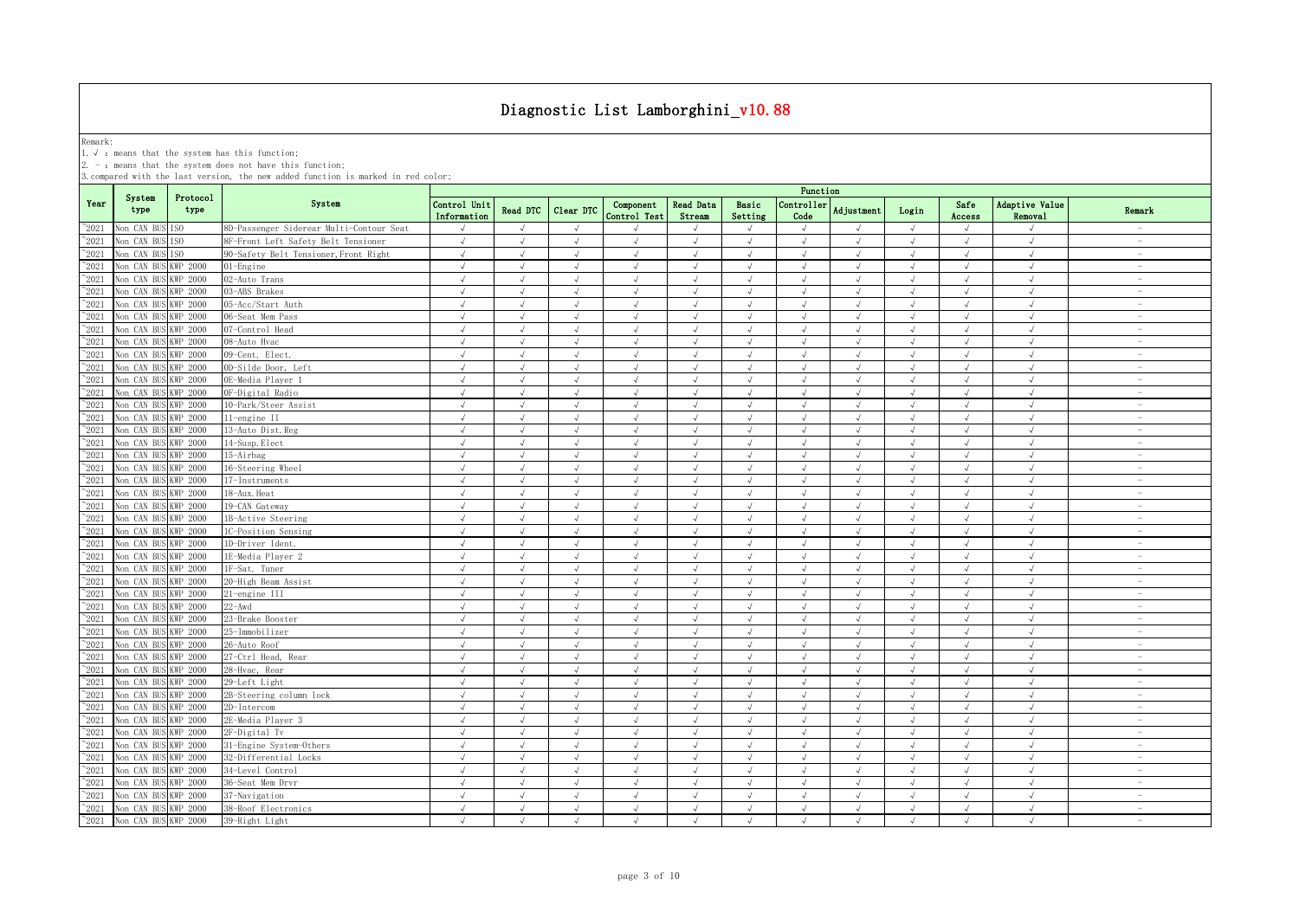Remark:<br>1.√ : means that the system has this function;<br>2. - : means that the system does not have this function;

|                |                      |                  |                                          |                             |                 |               |                           |                            |                  | Function                    |               |            |                |                             |                                 |
|----------------|----------------------|------------------|------------------------------------------|-----------------------------|-----------------|---------------|---------------------------|----------------------------|------------------|-----------------------------|---------------|------------|----------------|-----------------------------|---------------------------------|
| Year           | System<br>type       | Protocol<br>type | System                                   | Control Unit<br>Information | <b>Read DTC</b> | Clear DTC     | Component<br>Control Test | <b>Read Data</b><br>Stream | Basic<br>Setting | Controller<br>Code          | Adjustment    | Login      | Safe<br>Access | Adaptive Value<br>Removal   | Remark                          |
| $^{\circ}2021$ | Non CAN BUS ISO      |                  | 8D-Passenger Siderear Multi-Contour Seat | $\sqrt{ }$                  | $\sqrt{ }$      | $\sqrt{ }$    | $\mathcal{L}$             |                            | $\sqrt{ }$       | $\sqrt{ }$                  | $\sqrt{ }$    | $\sqrt{ }$ | $\sqrt{ }$     | $\sqrt{ }$                  | $\sim$                          |
| 2021           | Non CAN BUS          | ISO              | 8F-Front Left Safety Belt Tensioner      | $\sqrt{ }$                  | $\sqrt{ }$      | $\sqrt{}$     | $\sqrt{}$                 | $\sqrt{ }$                 | $\sqrt{ }$       | $\sqrt{ }$                  | $\sqrt{ }$    | $\sqrt{ }$ | $\sqrt{ }$     | $\sqrt{ }$                  | $\sim$                          |
| 2021           | Non CAN BUS          | ISO.             | 90-Safety Belt Tensioner, Front Right    | $\sqrt{ }$                  | $\sqrt{ }$      | $\sqrt{ }$    | $\sqrt{ }$                | $\sqrt{ }$                 | $\sqrt{ }$       | $\sqrt{ }$                  | $\sqrt{ }$    | $\sqrt{ }$ | $\sqrt{ }$     | $\sqrt{ }$                  | $\overline{\phantom{a}}$        |
| 2021           | Non CAN BUS          | KWP 2000         | 01-Engine                                | $\sqrt{ }$                  | $\mathcal{L}$   | J             | $\sqrt{}$                 |                            | $\sqrt{ }$       | $\sqrt{ }$                  | $\sqrt{ }$    | $\sqrt{ }$ | $\sqrt{ }$     | $\sqrt{ }$                  | $\sim$                          |
| 2021           | Non CAN BUS          | KWP 2000         | 02-Auto Trans                            | $\sqrt{ }$                  | $\sqrt{ }$      | $\sqrt{ }$    | $\sqrt{ }$                |                            | $\sqrt{ }$       | $\sqrt{ }$                  | $\sqrt{ }$    | $\sqrt{ }$ | $\sqrt{ }$     | $\sqrt{ }$                  | $\overline{\phantom{a}}$        |
| $^{\sim}$ 2021 | Non CAN BUS          | WP 2000          | 03-ABS Brakes                            | $\sqrt{ }$                  | $\sqrt{ }$      | $\sqrt{ }$    | $\sqrt{ }$                |                            | $\sqrt{ }$       | $\sqrt{ }$                  | $\sqrt{ }$    | $\sqrt{ }$ | $\sqrt{ }$     | $\sqrt{ }$                  | $\overline{\phantom{m}}$        |
| $^{\sim}2021$  | Non CAN BUS          | KWP 2000         | 05-Acc/Start Auth                        | $\sqrt{ }$                  | $\sqrt{ }$      | $\sqrt{ }$    | $\sqrt{ }$                | $\sqrt{ }$                 | $\sqrt{ }$       | $\sqrt{ }$                  | $\sqrt{ }$    | $\sqrt{ }$ | $\sqrt{ }$     | $\sqrt{ }$                  | $\sim$                          |
| $^{\sim}$ 2021 | Non CAN BUS          | KWP 2000         | 06-Seat Mem Pass                         | $\sqrt{ }$                  | $\sqrt{ }$      | $\sqrt{ }$    | $\sqrt{ }$                |                            | $\sqrt{ }$       | $\sqrt{ }$                  | $\sqrt{ }$    | $\sqrt{ }$ | $\sqrt{ }$     | $\sqrt{ }$                  | $\overline{\phantom{a}}$        |
| $\degree$ 2021 | Non CAN BUS          | <b>KWP 2000</b>  | 07-Control Head                          | $\sqrt{ }$                  | $\sqrt{ }$      | $\sqrt{ }$    | $\sqrt{ }$                | $\sqrt{ }$                 | $\sqrt{ }$       | $\sqrt{ }$                  | $\sqrt{ }$    | $\sqrt{ }$ | $\sqrt{ }$     | $\sqrt{ }$                  | $\hspace{0.1mm}-\hspace{0.1mm}$ |
| $^{\sim}$ 2021 | Non CAN BUS          | KWP 2000         | 08-Auto Hvac                             | $\sqrt{ }$                  | $\sqrt{ }$      | $\sqrt{ }$    | $\sqrt{ }$                | $\sqrt{ }$                 | $\sqrt{ }$       | $\sqrt{ }$                  | $\sqrt{ }$    | $\sqrt{ }$ | $\sqrt{ }$     | $\sqrt{ }$                  | $\sim$                          |
| $\degree$ 2021 | Non CAN BUS          | <b>KWP 2000</b>  | 09-Cent. Elect.                          | $\sqrt{ }$                  | $\sqrt{ }$      | $\sqrt{}$     | $\sqrt{ }$                | $\sqrt{ }$                 | $\sqrt{ }$       | $\sqrt{ }$                  | $\sqrt{ }$    | $\sqrt{ }$ | $\sqrt{ }$     | $\sqrt{2}$                  | $\overline{\phantom{a}}$        |
| $\degree$ 2021 | Non CAN BUS          | KWP 2000         | OD-Silde Door, Left                      | $\sqrt{ }$                  | $\sqrt{ }$      | $\sqrt{ }$    | $\sqrt{}$                 | $\sqrt{ }$                 | $\sqrt{ }$       | $\sqrt{ }$                  | $\sqrt{ }$    | $\sqrt{ }$ | $\sqrt{ }$     | $\sqrt{ }$                  | $\sim$                          |
| $^{\sim}2021$  | Non CAN BUS          | KWP 2000         | OE-Media Player 1                        | $\sqrt{ }$                  | $\sqrt{ }$      | $\sqrt{ }$    | $\sqrt{ }$                | $\sqrt{ }$                 | $\sqrt{ }$       | $\sqrt{ }$                  | $\sqrt{ }$    | $\sqrt{ }$ | $\sqrt{ }$     | $\sqrt{ }$                  | $\sim$                          |
| $^{\sim}2021$  | Non CAN BUS          | KWP 2000         | OF-Digital Radio                         | $\sqrt{ }$                  | $\sqrt{ }$      | $\sqrt{ }$    | $\sqrt{ }$                | $\sqrt{ }$                 | $\sqrt{ }$       | $\sqrt{ }$                  | $\lambda$     | $\sqrt{ }$ | $\sqrt{ }$     | $\sqrt{ }$                  | $\overline{\phantom{a}}$        |
| $\degree$ 2021 | Non CAN BUS          | KWP 2000         | 10-Park/Steer Assist                     | $\sqrt{ }$                  | $\sqrt{ }$      | $\sqrt{ }$    | $\sqrt{ }$                | $\sqrt{ }$                 | $\sqrt{ }$       | $\sqrt{ }$                  | $\sqrt{ }$    | $\sqrt{ }$ | $\sqrt{ }$     | $\sqrt{ }$                  | $\overline{\phantom{a}}$        |
| $^{\sim}2021$  | Non CAN BUS          | KWP 2000         | $11$ -engine $II$                        | $\sqrt{ }$                  | $\sqrt{ }$      | $\sqrt{ }$    | J                         |                            | $\sqrt{ }$       | $\sqrt{ }$                  | $\sqrt{ }$    | $\sqrt{ }$ | $\sqrt{ }$     | $\sqrt{ }$                  | $\sim$                          |
| $^{\sim}2021$  | Non CAN BUS          | WP 2000          | 13-Auto Dist. Reg                        | $\sqrt{ }$                  | $\sqrt{ }$      | $\sqrt{}$     | $\sqrt{ }$                | $\sqrt{ }$                 | $\sqrt{ }$       | $\sqrt{ }$                  | $\sqrt{ }$    | $\sqrt{ }$ | $\sqrt{ }$     | $\sqrt{2}$                  | $\hspace{0.1mm}-\hspace{0.1mm}$ |
| 2021           | Non CAN BUS          | KWP 2000         | 14-Susp. Elect                           | √                           | $\sqrt{ }$      | $\sqrt{ }$    | $\sqrt{ }$                | $\sqrt{ }$                 | $\sqrt{ }$       | $\sqrt{ }$                  | $\sqrt{ }$    | $\sqrt{ }$ | $\sqrt{ }$     | J                           | $\overline{\phantom{a}}$        |
| 2021           | Non CAN BUS          | KWP 2000         | 15-Airbag                                | $\sqrt{}$                   | $\sqrt{ }$      | $\sqrt{ }$    | $\sqrt{}$                 |                            | $\sqrt{ }$       | √                           | $\sqrt{ }$    | $\sqrt{ }$ | $\sqrt{}$      | $\sqrt{ }$                  | $\overline{\phantom{a}}$        |
| $^{\circ}2021$ | Non CAN BUS          | KWP 2000         | 16-Steering Wheel                        | $\sqrt{}$                   | $\sqrt{ }$      | $\sqrt{ }$    | J                         |                            | $\sqrt{ }$       | J                           | $\sqrt{ }$    | $\sqrt{ }$ | $\sqrt{ }$     | J                           | $\sim$                          |
| 2021           | Non CAN BUS          | KWP 2000         | 17-Instruments                           | J                           | $\sqrt{ }$      | $\mathcal{L}$ | $\sqrt{ }$                |                            | $\sqrt{ }$       | $\mathcal{N}_{\mathcal{N}}$ | $\sqrt{ }$    | $\sqrt{ }$ | $\sqrt{ }$     | $\mathcal{N}_{\mathcal{N}}$ | $\overline{\phantom{a}}$        |
| 2021           | Non CAN BUS          | KWP 2000         | 18-Aux. Heat                             |                             | $\sqrt{ }$      | $\mathcal{A}$ | $\sqrt{ }$                |                            | $\mathcal{L}$    | $\mathcal{N}_{\mathcal{N}}$ | $\mathcal{A}$ | $\sqrt{ }$ | $\lambda$      | $\mathcal{N}_{\mathcal{N}}$ |                                 |
| $^{\sim}$ 2021 | Non CAN BUS          | KWP 2000         | 19-CAN Gateway                           | $\sqrt{ }$                  | $\sqrt{ }$      | $\sqrt{ }$    | $\sqrt{ }$                |                            | $\sqrt{ }$       | $\sqrt{ }$                  | $\sqrt{ }$    | $\sqrt{ }$ | $\sqrt{ }$     | $\sqrt{2}$                  | $\overline{\phantom{a}}$        |
| $^{\sim}$ 2021 | Non CAN BUS          | <b>KWP 2000</b>  | 1B-Active Steering                       | $\sqrt{ }$                  | $\sqrt{ }$      | $\sqrt{ }$    | $\sqrt{ }$                | $\sqrt{ }$                 | $\sqrt{ }$       | $\sqrt{ }$                  | $\sqrt{ }$    | $\sqrt{ }$ | $\sqrt{ }$     | $\sqrt{ }$                  | $\sim$                          |
| $^{\sim}$ 2021 | Non CAN BUS          | KWP 2000         | 1C-Position Sensing                      | $\sqrt{ }$                  | $\sqrt{ }$      | $\sqrt{ }$    | $\sqrt{ }$                | $\sqrt{ }$                 | $\sqrt{ }$       | $\sqrt{ }$                  | $\sqrt{ }$    | $\sqrt{ }$ | $\sqrt{ }$     | $\sqrt{ }$                  | $\sim$                          |
| $^{\sim}$ 2021 | Non CAN BUS          | <b>KWP 2000</b>  | 1D-Driver Ident                          | $\sqrt{ }$                  | $\sqrt{ }$      | $\sqrt{ }$    | $\sqrt{ }$                | $\sqrt{ }$                 | $\sqrt{ }$       | $\sqrt{ }$                  | $\sqrt{ }$    | $\sqrt{ }$ | $\sqrt{ }$     | $\sqrt{ }$                  | $\sim$                          |
| $^{\sim}$ 2021 | Non CAN BUS          | <b>KWP 2000</b>  | 1E-Media Player 2                        | $\sqrt{ }$                  | $\sqrt{ }$      | $\sqrt{ }$    | $\sqrt{ }$                | $\sqrt{ }$                 | $\sqrt{ }$       | $\sqrt{ }$                  | $\sqrt{ }$    | $\sqrt{ }$ | $\sqrt{ }$     | $\sqrt{ }$                  | $\sim$                          |
| $\degree$ 2021 | Non CAN BUS          | <b>KWP 2000</b>  | 1F-Sat. Tuner                            | $\sqrt{ }$                  | $\sqrt{ }$      | $\sqrt{ }$    | $\sqrt{ }$                | $\sqrt{ }$                 | $\sqrt{ }$       | $\sqrt{ }$                  | $\sqrt{ }$    | $\sqrt{ }$ | $\sqrt{ }$     | $\sqrt{ }$                  | $\overline{\phantom{a}}$        |
| $\degree$ 2021 | Non CAN BUS          | <b>KWP 2000</b>  | 20-High Beam Assist                      | $\sqrt{ }$                  | $\mathcal{A}$   | $\sqrt{ }$    | $\sqrt{ }$                | $\sqrt{ }$                 | $\sqrt{ }$       | $\sqrt{ }$                  | $\lambda$     | $\sqrt{ }$ | $\sqrt{ }$     | $\sqrt{ }$                  | $\sim$                          |
| $^{\sim}2021$  | Non CAN BUS          | <b>KWP 2000</b>  | 21-engine III                            | $\sqrt{ }$                  | $\sqrt{ }$      | $\sqrt{ }$    | $\sqrt{ }$                | $\sqrt{ }$                 | $\sqrt{ }$       | $\sqrt{ }$                  | $\sqrt{ }$    | $\sqrt{ }$ | $\sqrt{ }$     | $\sqrt{ }$                  | $\sim$                          |
| $^{\sim}2021$  | Non CAN BUS          | KWP 2000         | $22 - Awd$                               | $\sqrt{ }$                  | $\sqrt{ }$      | $\sqrt{ }$    | $\sqrt{ }$                | $\sqrt{ }$                 | $\sqrt{ }$       | $\sqrt{ }$                  | $\sqrt{ }$    | $\sqrt{ }$ | $\sqrt{ }$     | $\sqrt{ }$                  | $\sim$                          |
| $^{\sim}2021$  | Non CAN BUS          | WP 2000          | 23-Brake Booster                         | $\sqrt{ }$                  | $\sqrt{ }$      | $\sqrt{ }$    | $\sqrt{ }$                | $\sqrt{ }$                 | $\sqrt{ }$       | $\sqrt{ }$                  | $\sqrt{ }$    | $\sqrt{ }$ | $\sqrt{ }$     | $\sqrt{ }$                  | $\sim$                          |
| $^{\sim}2021$  | Non CAN BUS          | KWP 2000         | 25-Immobilizer                           | $\sqrt{ }$                  | $\sqrt{ }$      | $\sqrt{ }$    | $\sqrt{ }$                |                            | $\sqrt{ }$       | $\sqrt{ }$                  | $\sqrt{ }$    | $\sqrt{ }$ | $\sqrt{ }$     | $\sqrt{ }$                  | $\overline{\phantom{a}}$        |
| $\degree$ 2021 | Non CAN BUS          | KWP 2000         | 26-Auto Roof                             | $\sqrt{ }$                  | $\sqrt{ }$      | $\sqrt{ }$    | $\sqrt{ }$                | $\sqrt{ }$                 | $\sqrt{ }$       | $\sqrt{ }$                  | $\sqrt{ }$    | $\sqrt{ }$ | $\sqrt{ }$     | $\sqrt{ }$                  | $\sim$                          |
| 2021           | Non CAN BUS          | KWP 2000         | 27-Ctrl Head, Rear                       | $\sqrt{}$                   | $\sqrt{ }$      | J             | $\sqrt{ }$                |                            | J                | J                           | $\sqrt{ }$    |            |                | J                           | $\sim$                          |
| 2021           | Non CAN BUS          | KWP 2000         | 28-Hvac, Rear                            | √                           | $\sqrt{ }$      | $\sqrt{ }$    | √                         |                            | $\sqrt{ }$       | √                           | $\sqrt{ }$    | $\sqrt{ }$ | $\sqrt{}$      | $\sqrt{ }$                  | $\overline{\phantom{a}}$        |
| 2021           | Non CAN BUS          | KWP 2000         | 29-Left Light                            | $\sqrt{ }$                  | $\sqrt{ }$      | $\mathcal{A}$ | $\sqrt{ }$                | $\sqrt{ }$                 | $\sqrt{ }$       | $\sqrt{ }$                  | $\mathcal{L}$ | $\sqrt{ }$ | $\sqrt{ }$     | $\sqrt{ }$                  | $\overline{\phantom{a}}$        |
| 2021           | Non CAN BUS          | KWP 2000         | 2B-Steering column lock                  | J                           | $\sqrt{ }$      | $\sqrt{ }$    | $\sqrt{}$                 |                            | $\sqrt{ }$       | J                           | $\sqrt{ }$    | $\sqrt{ }$ | $\sqrt{ }$     | $\sqrt{ }$                  | $\overline{\phantom{a}}$        |
| $^{\sim}$ 2021 | Non CAN BUS          | KWP 2000         | 2D-Intercom                              | J                           | $\sqrt{ }$      | J             | $\sqrt{ }$                |                            | $\sqrt{ }$       | $\mathcal{N}_{\mathcal{N}}$ | $\sqrt{ }$    |            |                | J                           |                                 |
| $^{\sim}$ 2021 | Non CAN BUS          | KWP 2000         | 2E-Media Player 3                        | J                           | $\sqrt{ }$      | $\sqrt{ }$    | $\sqrt{ }$                |                            | $\sqrt{ }$       | $\sqrt{ }$                  | $\sqrt{ }$    | $\sqrt{ }$ | $\sqrt{ }$     | J                           | $\sim$                          |
| $\degree$ 2021 | Non CAN BUS          | KWP 2000         | 2F-Digital Tv                            | $\sqrt{ }$                  | $\sqrt{ }$      | $\sqrt{ }$    | $\sqrt{ }$                | $\sqrt{ }$                 | $\sqrt{ }$       | $\sqrt{ }$                  | $\sqrt{ }$    | $\sqrt{ }$ | $\sqrt{ }$     | $\sqrt{ }$                  | $\sim$                          |
| $^{\sim}$ 2021 | Non CAN BUS          | KWP 2000         | 31-Engine System-Others                  | $\sqrt{ }$                  | $\sqrt{ }$      | $\sqrt{ }$    | $\sqrt{}$                 |                            | $\sqrt{ }$       | $\sqrt{ }$                  | $\sqrt{ }$    | $\sqrt{ }$ | J              | $\sqrt{ }$                  | $\sim$                          |
| $^{\sim}$ 2021 | Non CAN BUS          | <b>KWP 2000</b>  | 32-Differential Locks                    | $\sqrt{ }$                  | $\sqrt{ }$      | $\sqrt{}$     | $\sqrt{ }$                | $\sqrt{ }$                 | $\sqrt{ }$       | $\sqrt{ }$                  | $\sqrt{ }$    | $\sqrt{ }$ | $\sqrt{ }$     | $\sqrt{2}$                  | $\sim$                          |
| $^{\sim}$ 2021 | Non CAN BUS          | KWP 2000         | 34-Level Control                         | $\sqrt{ }$                  | $\sqrt{ }$      | $\sqrt{ }$    | $\sqrt{}$                 | $\sqrt{ }$                 | $\sqrt{ }$       | $\sqrt{ }$                  | $\sqrt{ }$    | $\sqrt{ }$ | $\sqrt{ }$     | $\sqrt{ }$                  | $\sim$                          |
| $\degree$ 2021 | Non CAN BUS          | <b>KWP 2000</b>  | 36-Seat Mem Drvr                         | $\sqrt{ }$                  | $\sqrt{ }$      | $\sqrt{}$     | $\sqrt{ }$                | $\sqrt{ }$                 | $\sqrt{ }$       | $\sqrt{ }$                  | $\sqrt{ }$    | $\sqrt{ }$ | $\sqrt{ }$     | $\sqrt{2}$                  | $\overline{\phantom{a}}$        |
| $^{\sim}2021$  | Non CAN BUS          | <b>KWP 2000</b>  | 37-Navigation                            | $\sqrt{ }$                  | $\sqrt{ }$      | $\sqrt{ }$    | $\sqrt{ }$                | $\sqrt{ }$                 | $\sqrt{ }$       | $\sqrt{ }$                  | $\sqrt{ }$    | $\sqrt{ }$ | $\sqrt{ }$     | $\sqrt{ }$                  | $\overline{\phantom{a}}$        |
| $^{\sim}$ 2021 | Non CAN BUS KWP 2000 |                  | 38-Roof Electronics                      | $\sqrt{ }$                  | $\sqrt{ }$      | $\sqrt{ }$    | $\sqrt{ }$                | $\sqrt{ }$                 | $\sqrt{ }$       | $\sqrt{ }$                  | $\sqrt{ }$    | $\sqrt{ }$ | $\sqrt{ }$     | $\sqrt{ }$                  | $\sim$                          |
| $^{\sim}$ 2021 | Non CAN BUS KWP 2000 |                  | 39-Right Light                           | $\sqrt{ }$                  | $\sqrt{ }$      | $\sqrt{ }$    | $\sqrt{ }$                | $\sqrt{ }$                 | $\sqrt{ }$       | $\sqrt{ }$                  | $\sqrt{ }$    | $\sqrt{ }$ | $\sqrt{ }$     | $\sqrt{ }$                  | $\sim$                          |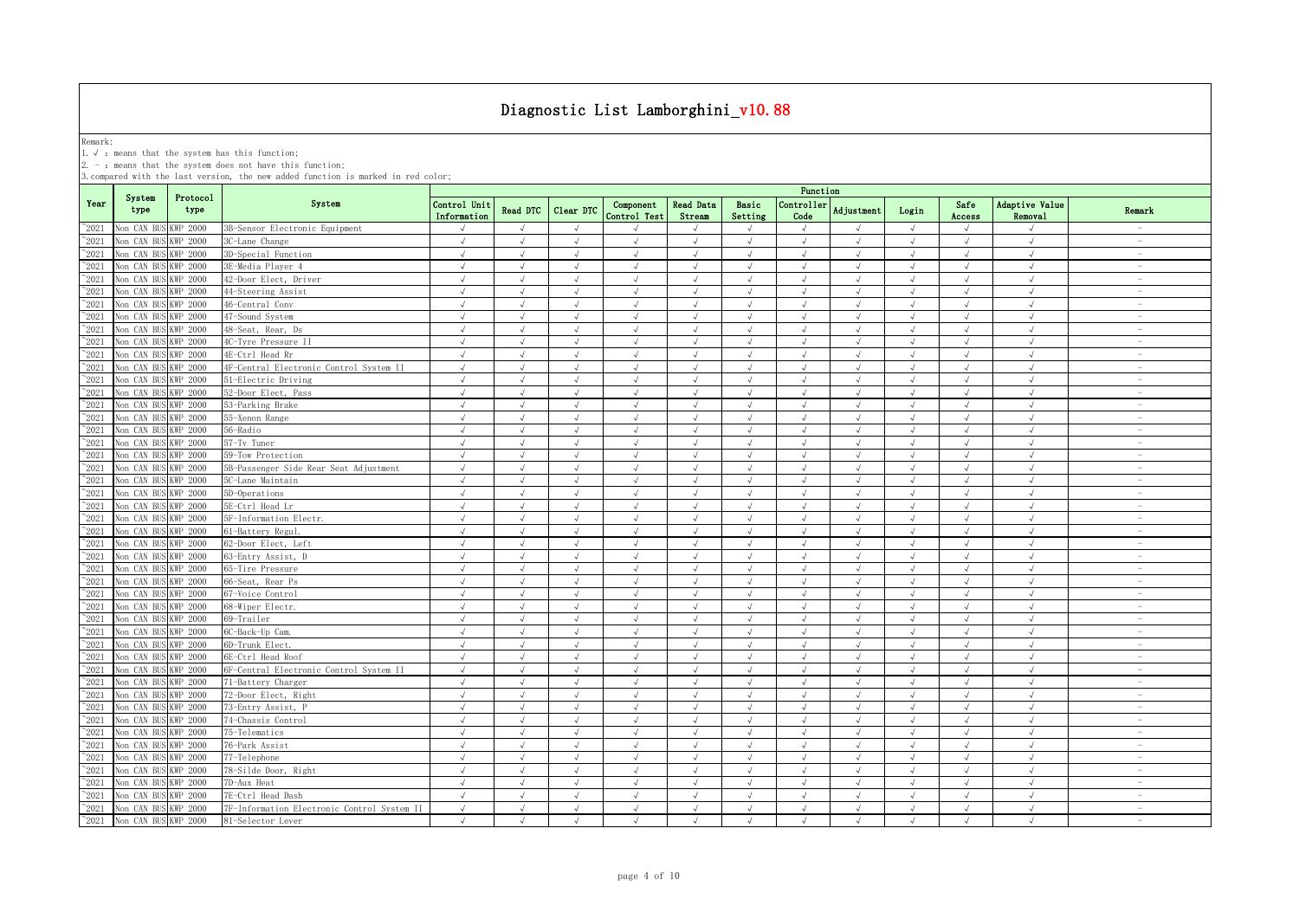Remark:<br>1.√ : means that the system has this function;<br>2. - : means that the system does not have this function;

|                |                      |                  |                                             | Function                    |            |               |                           |                     |                  |                    |               |            |                |                                  |                                 |
|----------------|----------------------|------------------|---------------------------------------------|-----------------------------|------------|---------------|---------------------------|---------------------|------------------|--------------------|---------------|------------|----------------|----------------------------------|---------------------------------|
| Year           | System<br>type       | Protocol<br>type | System                                      | Control Unit<br>Information | Read DTC   | Clear DTC     | Component<br>Control Test | Read Data<br>Stream | Basic<br>Setting | Controller<br>Code | Adjustment    | Login      | Safe<br>Access | Adaptive Value<br><b>Removal</b> | Remark                          |
| $^{\sim}$ 2021 | Non CAN BUS KWP 2000 |                  | 3B-Sensor Electronic Equipment              | J                           | $\sqrt{ }$ | $\sqrt{ }$    |                           |                     | $\sqrt{ }$       |                    |               | $\sqrt{ }$ | $\sqrt{ }$     |                                  | $\overline{\phantom{a}}$        |
| $^{\sim}$ 2021 | Non CAN BUS KWP 2000 |                  | 3C-Lane Change                              | $\sqrt{ }$                  | $\sqrt{ }$ | $\sqrt{ }$    | $\sqrt{ }$                | $\sqrt{ }$          | $\sqrt{ }$       | $\sqrt{ }$         | $\sqrt{ }$    | $\sqrt{ }$ | $\sqrt{ }$     | $\sqrt{ }$                       | $\sim$                          |
| $^{\sim}$ 2021 | Non CAN BUS KWP 2000 |                  | 3D-Special Function                         | $\sqrt{ }$                  | $\sqrt{ }$ | $\sqrt{ }$    | $\sqrt{ }$                | $\sqrt{ }$          | $\sqrt{ }$       | $\sqrt{ }$         | $\sqrt{ }$    | $\sqrt{ }$ | $\sqrt{ }$     | $\sqrt{ }$                       | $\overline{\phantom{a}}$        |
| $^{\sim}$ 2021 | Non CAN BUS KWP 2000 |                  | 3E-Media Player 4                           | $\sqrt{ }$                  | $\sqrt{ }$ | $\sqrt{ }$    | $\sqrt{ }$                | $\sqrt{ }$          | $\sqrt{ }$       | $\sqrt{ }$         | $\sqrt{ }$    | $\sqrt{ }$ | $\sqrt{ }$     | $\sqrt{ }$                       | $\overline{\phantom{a}}$        |
| $^{\sim}$ 2021 | Non CAN BUS KWP 2000 |                  | 42-Door Elect, Driver                       | $\sqrt{ }$                  | $\sqrt{ }$ | $\sqrt{ }$    | $\sqrt{ }$                | $\sqrt{ }$          | $\sqrt{ }$       | $\sqrt{ }$         | $\sqrt{ }$    | $\sqrt{ }$ | $\sqrt{ }$     | $\sqrt{ }$                       | $\sim$                          |
| $^{\sim}$ 2021 | Non CAN BUS KWP 2000 |                  | 44-Steering Assist                          | $\sqrt{ }$                  | $\sqrt{ }$ | $\sqrt{ }$    | $\sqrt{}$                 | $\sqrt{ }$          | $\sqrt{ }$       | $\sqrt{ }$         | $\sqrt{ }$    | $\sqrt{ }$ | $\sqrt{ }$     | $\sqrt{ }$                       | $\sim$                          |
| $^{\circ}2021$ | Von CAN BUS          | KWP 2000         | 46-Central Conv                             | $\sqrt{ }$                  | $\sqrt{ }$ | J             | J                         |                     | $\sqrt{ }$       | $\sqrt{ }$         |               | $\sqrt{ }$ | J              | $\sqrt{ }$                       | $\hspace{0.1mm}-\hspace{0.1mm}$ |
| $^{\sim}$ 2021 | Non CAN BUS KWP 2000 |                  | 47-Sound System                             | $\sqrt{ }$                  | $\sqrt{ }$ | $\sqrt{ }$    | $\sqrt{}$                 |                     | $\sqrt{ }$       | $\sqrt{ }$         | $\sqrt{ }$    | $\sqrt{ }$ | $\sqrt{ }$     | $\sqrt{ }$                       | $\sim$                          |
| $^{\circ}2021$ | Non CAN BUS KWP 2000 |                  | 48-Seat, Rear, Ds                           | $\sqrt{ }$                  | $\sqrt{ }$ | $\sqrt{ }$    | J                         |                     | $\sqrt{ }$       | $\sqrt{ }$         | $\sqrt{ }$    | $\sqrt{ }$ | $\sqrt{ }$     | $\sqrt{ }$                       |                                 |
| $^{\circ}2021$ | Non CAN BUS KWP 2000 |                  | 4C-Tyre Pressure II                         | $\sqrt{ }$                  | $\sqrt{ }$ | $\sqrt{ }$    | J                         |                     | $\sqrt{ }$       | $\sqrt{ }$         | $\sqrt{ }$    | $\sqrt{ }$ | $\sqrt{ }$     | $\sqrt{ }$                       | $\overline{\phantom{0}}$        |
| $^{\sim}$ 2021 | Non CAN BUS KWP 2000 |                  | 4E-Ctrl Head Rr                             | $\sqrt{ }$                  | $\sqrt{ }$ | $\sqrt{ }$    | $\sqrt{ }$                |                     | $\sqrt{ }$       | $\sqrt{ }$         | $\mathcal{L}$ | $\sqrt{ }$ | $\sqrt{ }$     | $\sqrt{ }$                       | $\overline{\phantom{0}}$        |
| $^{\sim}2021$  | Non CAN BUS KWP 2000 |                  | 4F-Central Electronic Control System II     | $\sqrt{ }$                  | $\sqrt{ }$ | $\sqrt{ }$    | $\sqrt{ }$                |                     | $\sqrt{ }$       | $\sqrt{ }$         | $\sqrt{ }$    | $\sqrt{ }$ | $\sqrt{ }$     | $\sqrt{ }$                       | $\overline{\phantom{a}}$        |
| $^{\sim}$ 2021 | Non CAN BUS KWP 2000 |                  | 51-Electric Driving                         | $\sqrt{ }$                  | $\sqrt{ }$ | $\sqrt{ }$    | $\sqrt{ }$                | $\sqrt{ }$          | $\sqrt{ }$       | $\sqrt{ }$         | $\sqrt{ }$    | $\sqrt{ }$ | $\sqrt{ }$     | $\sqrt{ }$                       | $\sim$                          |
| $^{\sim}$ 2021 | Non CAN BUS          | <b>KWP 2000</b>  | 52-Door Elect, Pass                         | $\sqrt{ }$                  | $\sqrt{ }$ | $\sqrt{ }$    | $\sqrt{ }$                | $\sqrt{ }$          | $\sqrt{ }$       | $\sqrt{ }$         | $\sqrt{ }$    | $\sqrt{ }$ | $\sqrt{ }$     | $\sqrt{ }$                       | $\sim$                          |
| $^{\sim}$ 2021 | Non CAN BUS KWP 2000 |                  | 53-Parking Brake                            | $\sqrt{ }$                  | $\sqrt{ }$ | $\sqrt{}$     | $\sqrt{ }$                | $\sqrt{ }$          | $\sqrt{ }$       | $\sqrt{ }$         | $\sqrt{ }$    | $\sqrt{ }$ | $\sqrt{ }$     | $\sqrt{ }$                       | $\overline{\phantom{a}}$        |
| $^{\sim}$ 2021 | Non CAN BUS KWP 2000 |                  | 55-Xenon Range                              | $\sqrt{ }$                  | $\sqrt{ }$ | $\sqrt{ }$    | $\sqrt{}$                 | $\sqrt{ }$          | $\sqrt{ }$       | $\sqrt{ }$         | $\mathcal{L}$ | $\sqrt{ }$ | $\sqrt{ }$     | $\sqrt{ }$                       | $\sim$                          |
| $^{\sim}$ 2021 | Non CAN BUS KWP 2000 |                  | 56-Radio                                    | $\sqrt{}$                   | $\sqrt{ }$ | $\sqrt{ }$    | $\sqrt{ }$                | $\sqrt{ }$          | $\sqrt{ }$       | $\sqrt{ }$         | $\sqrt{ }$    | $\sqrt{ }$ | $\sqrt{}$      | $\sqrt{ }$                       | $\overline{\phantom{a}}$        |
| $^{\sim}$ 2021 | Non CAN BUS KWP 2000 |                  | 57-Tv Tuner                                 | $\sqrt{ }$                  | $\sqrt{ }$ | $\sqrt{ }$    | $\sqrt{ }$                | $\sqrt{ }$          | $\sqrt{ }$       | $\sqrt{ }$         | $\sqrt{ }$    | $\sqrt{ }$ | $\sqrt{ }$     | $\sqrt{ }$                       | $\overline{\phantom{a}}$        |
| $^{\sim}$ 2021 | Non CAN BUS KWP 2000 |                  | 59-Tow Protection                           | $\sqrt{}$                   | $\sqrt{ }$ | $\sqrt{ }$    | $\sqrt{ }$                | $\sqrt{ }$          | $\sqrt{ }$       | $\sqrt{ }$         | $\sqrt{ }$    | $\sqrt{ }$ | $\sqrt{}$      | $\sqrt{ }$                       | $\sim$                          |
| $^{\sim}$ 2021 | Non CAN BUS KWP 2000 |                  | 5B-Passenger Side Rear Seat Adjustment      | $\sqrt{ }$                  | $\sqrt{ }$ | $\sqrt{ }$    | J                         |                     | $\sqrt{ }$       | $\sqrt{ }$         | $\sqrt{ }$    | $\sqrt{ }$ | $\sqrt{ }$     | $\sqrt{ }$                       | $\sim$                          |
| $^{\sim}$ 2021 | Non CAN BUS KWP 2000 |                  | 5C-Lane Maintain                            | $\sqrt{ }$                  | $\sqrt{ }$ | $\sqrt{ }$    | $\sqrt{ }$                | $\sqrt{ }$          | $\sqrt{ }$       | $\sqrt{ }$         | $\sqrt{ }$    | $\sqrt{ }$ | $\sqrt{ }$     | $\sqrt{ }$                       | $\sim$                          |
| $^{\sim}$ 2021 | Non CAN BUS KWP 2000 |                  | 5D-Operations                               | J                           | J          |               | $\sqrt{ }$                |                     | J                |                    |               | J          |                |                                  | $\sim$                          |
| $^{\sim}$ 2021 | Non CAN BUS KWP 2000 |                  | 5E-Ctrl Head Lr                             | $\sqrt{ }$                  | $\sqrt{ }$ | $\sqrt{ }$    | √                         |                     | $\sqrt{ }$       | $\sqrt{ }$         | $\sqrt{ }$    | $\sqrt{ }$ | $\sqrt{ }$     | $\sqrt{ }$                       | $\overline{\phantom{a}}$        |
| $^{\sim}$ 2021 | Non CAN BUS KWP 2000 |                  | 5F-Information Electr.                      | $\sqrt{ }$                  |            | $\mathcal{A}$ |                           |                     | $\mathcal{A}$    |                    |               |            | IJ             |                                  | $\overline{\phantom{a}}$        |
| $^{\sim}$ 2021 | Non CAN BUS KWP 2000 |                  | 61-Battery Regul.                           | $\sqrt{ }$                  | $\sqrt{ }$ | J             | $\sqrt{}$                 |                     | $\sqrt{ }$       | $\sqrt{ }$         |               | $\sqrt{ }$ | J              | $\sqrt{ }$                       |                                 |
| $^{\sim}2021$  | Non CAN BUS KWP 2000 |                  | 62-Door Elect, Left                         | $\sqrt{ }$                  | $\sqrt{ }$ | $\sqrt{ }$    | $\sqrt{ }$                |                     | $\sqrt{ }$       | $\sqrt{ }$         |               | $\sqrt{ }$ | $\sqrt{ }$     | $\sqrt{ }$                       |                                 |
| $^{\sim}2021$  | Non CAN BUS KWP 2000 |                  | 63-Entry Assist, D                          | $\sqrt{ }$                  | $\sqrt{ }$ | $\sqrt{ }$    | $\sqrt{ }$                | $\sqrt{ }$          | $\sqrt{ }$       | $\sqrt{ }$         | $\sqrt{ }$    | $\sqrt{ }$ | $\sqrt{ }$     | $\sqrt{ }$                       | $\sim$                          |
| $^{\sim}2021$  | Non CAN BUS KWP 2000 |                  | 65-Tire Pressure                            | $\sqrt{ }$                  | $\sqrt{ }$ | $\sqrt{}$     | $\sqrt{}$                 | $\sqrt{ }$          | $\sqrt{ }$       | $\sqrt{ }$         | $\sqrt{ }$    | $\sqrt{ }$ | $\sqrt{ }$     | $\sqrt{ }$                       | $\sim$                          |
| $^{\sim}2021$  | Non CAN BUS KWP 2000 |                  | 66-Seat, Rear Ps                            | $\sqrt{ }$                  | $\sqrt{ }$ | $\sqrt{ }$    | $\sqrt{}$                 |                     | $\sqrt{ }$       | $\sqrt{ }$         | $\sqrt{ }$    | $\sqrt{ }$ | $\sqrt{ }$     | $\sqrt{ }$                       | $\overline{\phantom{a}}$        |
| $^{\sim}$ 2021 | Non CAN BUS KWP 2000 |                  | 67-Voice Control                            | $\sqrt{ }$                  | $\sqrt{ }$ | $\sqrt{ }$    | $\sqrt{ }$                | $\sqrt{ }$          | $\sqrt{ }$       | $\sqrt{ }$         | $\sqrt{ }$    | $\sqrt{ }$ | $\sqrt{ }$     | $\sqrt{ }$                       | $\sim$                          |
| $^{\sim}$ 2021 | Non CAN BUS KWP 2000 |                  | 68-Wiper Electr.                            | $\sqrt{ }$                  | $\sqrt{ }$ | $\sqrt{ }$    | $\sqrt{ }$                | $\sqrt{ }$          | $\sqrt{ }$       | $\sqrt{ }$         | $\sqrt{ }$    | $\sqrt{ }$ | $\sqrt{ }$     | $\sqrt{ }$                       | $\overline{\phantom{a}}$        |
| $^{\sim}$ 2021 | Non CAN BUS KWP 2000 |                  | 69-Trailer                                  | $\sqrt{ }$                  | $\sqrt{ }$ | $\sqrt{ }$    | $\sqrt{ }$                | $\sqrt{ }$          | $\sqrt{ }$       | $\sqrt{ }$         | $\sqrt{ }$    | $\sqrt{ }$ | $\sqrt{ }$     | $\sqrt{ }$                       | $\overline{\phantom{a}}$        |
| $^{\sim}$ 2021 | Non CAN BUS KWP 2000 |                  | 6C-Back-Up Cam.                             | $\sqrt{ }$                  | $\sqrt{ }$ | $\sqrt{ }$    | $\sqrt{ }$                | $\sqrt{ }$          | $\sqrt{ }$       | $\sqrt{ }$         | $\sqrt{ }$    | $\sqrt{ }$ | $\sqrt{ }$     | $\sqrt{ }$                       | $\overline{\phantom{a}}$        |
| $^{\sim}$ 2021 | Non CAN BUS KWP 2000 |                  | 6D-Trunk Elect.                             | $\sqrt{ }$                  | $\sqrt{ }$ | $\sqrt{ }$    | $\sqrt{ }$                | $\sqrt{ }$          | $\sqrt{ }$       | $\sqrt{ }$         | $\sqrt{ }$    | $\sqrt{ }$ | $\sqrt{ }$     | $\sqrt{ }$                       | $\overline{\phantom{a}}$        |
| $^{\sim}$ 2021 | Non CAN BUS KWP 2000 |                  | 6E-Ctrl Head Roof                           | $\sqrt{ }$                  | $\sqrt{ }$ | $\sqrt{ }$    | $\sqrt{ }$                | $\sqrt{ }$          | $\sqrt{ }$       | $\sqrt{ }$         | $\sqrt{ }$    | $\sqrt{ }$ | $\sqrt{ }$     | $\sqrt{ }$                       | $\sim$                          |
| $^{\sim}$ 2021 | Non CAN BUS KWP 2000 |                  | 6F-Central Electronic Control System II     | $\sqrt{ }$                  | $\sqrt{ }$ | $\sqrt{}$     | $\sqrt{}$                 | $\sqrt{ }$          | $\sqrt{ }$       | $\sqrt{ }$         | $\sqrt{ }$    | $\sqrt{ }$ | $\sqrt{ }$     | $\sqrt{ }$                       | $\sim$                          |
| $^{\circ}2021$ | Non CAN BUS KWP 2000 |                  | 71-Battery Charger                          | $\sqrt{ }$                  | $\sqrt{ }$ | $\sqrt{ }$    | $\sqrt{ }$                | $\sqrt{ }$          | $\sqrt{ }$       | $\sqrt{ }$         | $\sqrt{ }$    | $\sqrt{ }$ | $\sqrt{ }$     | $\sqrt{ }$                       | $\overline{\phantom{a}}$        |
| $^{\sim}2021$  | Non CAN BUS KWP 2000 |                  | 72-Door Elect, Right                        | J                           | $\sqrt{ }$ | $\sqrt{ }$    | $\sqrt{ }$                |                     | $\sqrt{ }$       | $\sqrt{ }$         | $\sqrt{ }$    | $\sqrt{}$  | $\sqrt{ }$     | $\sqrt{ }$                       | $\overline{\phantom{a}}$        |
| $^{\circ}2021$ | Non CAN BUS KWP 2000 |                  | 73-Entry Assist, 1                          | $\sqrt{ }$                  |            | $\sqrt{ }$    |                           |                     | $\cdot$          |                    |               |            | J              |                                  |                                 |
| $^{\sim}2021$  | Non CAN BUS KWP 2000 |                  | 74-Chassis Control                          | J                           | $\sqrt{ }$ | J             |                           |                     | $\sqrt{ }$       | J                  |               | $\sqrt{ }$ | J              | $\sqrt{ }$                       | $\overline{\phantom{0}}$        |
| $^{\sim}2021$  | Non CAN BUS KWP 2000 |                  | 75-Telematics                               | $\sqrt{ }$                  | $\sqrt{ }$ | $\sqrt{ }$    | $\sqrt{ }$                |                     | $\sqrt{ }$       | $\sqrt{ }$         | $\sqrt{ }$    | $\sqrt{ }$ | $\sqrt{ }$     | $\sqrt{ }$                       |                                 |
| $^{\sim}2021$  | Non CAN BUS KWP 2000 |                  | 76-Park Assist                              | $\sqrt{ }$                  | $\sqrt{ }$ | $\sqrt{ }$    | $\sqrt{}$                 |                     | $\sqrt{ }$       | $\sqrt{ }$         | $\sqrt{ }$    | $\sqrt{ }$ | $\sqrt{ }$     | $\sqrt{ }$                       | $\sim$                          |
| $^{\sim}2021$  | Non CAN BUS KWP 2000 |                  | 77-Telephone                                | $\sqrt{ }$                  | $\sqrt{ }$ | $\sqrt{ }$    | $\sqrt{ }$                | $\sqrt{ }$          | $\sqrt{ }$       | $\sqrt{ }$         | $\sqrt{ }$    | $\sqrt{ }$ | $\sqrt{ }$     | $\sqrt{ }$                       | $\sim$                          |
| $^{\sim}2021$  | Non CAN BUS KWP 2000 |                  | 78-Silde Door, Right                        | $\sqrt{ }$                  | $\sqrt{ }$ | $\sqrt{ }$    | $\sqrt{}$                 | $\sqrt{ }$          | $\sqrt{ }$       | $\sqrt{ }$         | $\sqrt{ }$    | $\sqrt{ }$ | $\sqrt{ }$     | $\sqrt{ }$                       | $\sim$                          |
| $^{\sim}$ 2021 | Non CAN BUS KWP 2000 |                  | 7D-Aux Heat                                 | $\sqrt{ }$                  | $\sqrt{ }$ | $\sqrt{}$     | $\sqrt{ }$                | $\sqrt{ }$          | $\sqrt{ }$       | $\sqrt{ }$         | $\sqrt{ }$    | $\sqrt{ }$ | $\sqrt{ }$     | $\sqrt{ }$                       | $\overline{\phantom{a}}$        |
| $^{\sim}$ 2021 | Non CAN BUS KWP 2000 |                  | 7E-Ctrl Head Dash                           | $\sqrt{ }$                  | $\sqrt{ }$ | $\sqrt{ }$    | $\sqrt{}$                 | $\sqrt{ }$          | $\sqrt{ }$       | $\sqrt{ }$         | $\mathcal{L}$ | $\sqrt{ }$ | $\sqrt{ }$     | $\sqrt{ }$                       | $\overline{\phantom{a}}$        |
| $^{\sim}$ 2021 | Non CAN BUS KWP 2000 |                  | 7F-Information Electronic Control System II | $\sqrt{ }$                  | $\sqrt{ }$ | $\sqrt{ }$    | $\sqrt{ }$                | $\sqrt{ }$          | $\sqrt{ }$       | $\sqrt{ }$         | $\sqrt{ }$    | $\sqrt{ }$ | $\sqrt{ }$     | $\sqrt{ }$                       | $\overline{\phantom{a}}$        |
| $^{\sim}$ 2021 | Non CAN BUS KWP 2000 |                  | 81-Selector Lever                           | $\sqrt{ }$                  | $\sqrt{ }$ | $\sqrt{ }$    | $\sqrt{ }$                | $\sqrt{ }$          | $\sqrt{ }$       | $\sqrt{ }$         | $\mathcal{L}$ | $\sqrt{ }$ | $\sqrt{ }$     | $\sqrt{ }$                       | $\overline{\phantom{a}}$        |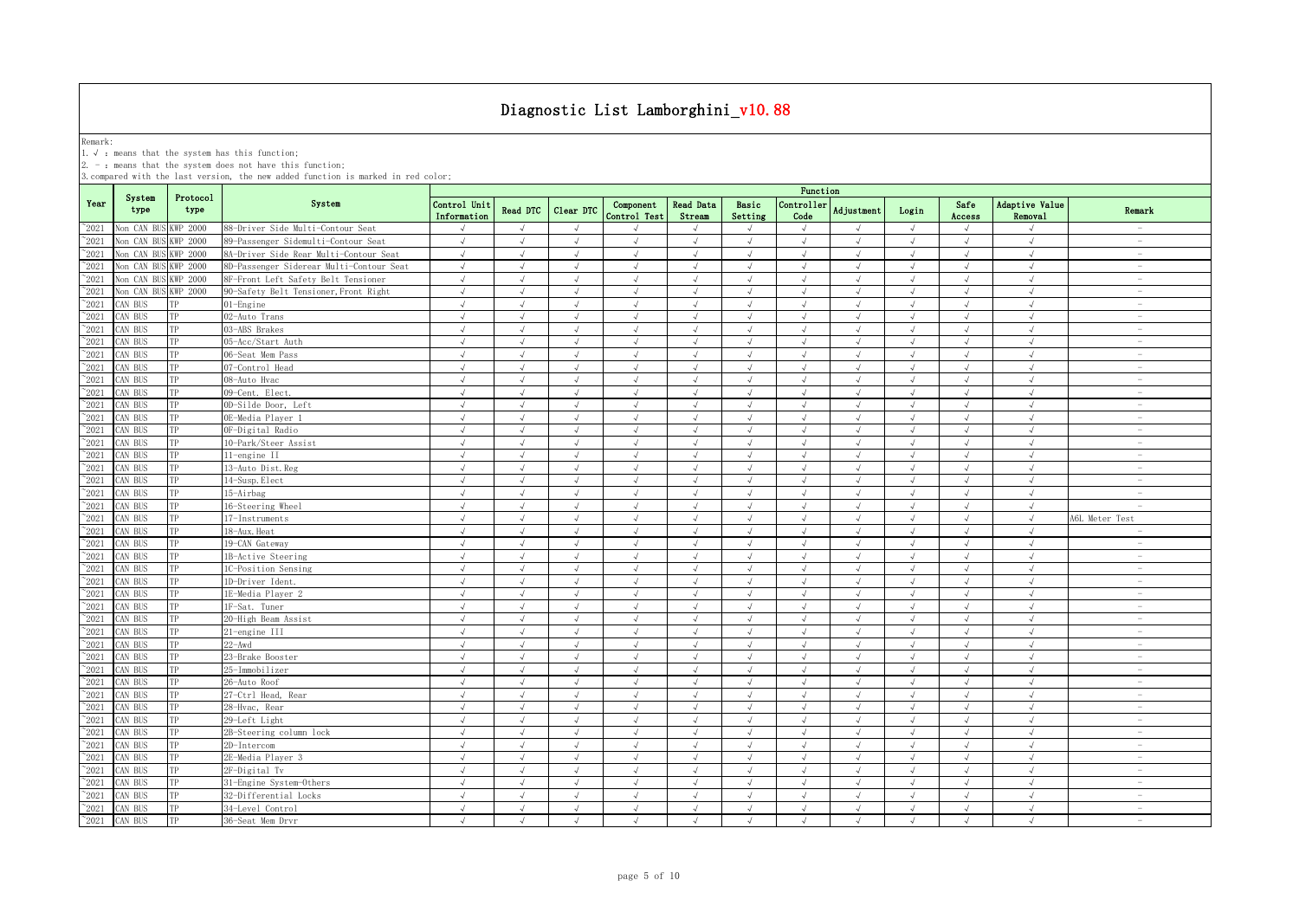Remark:<br>1.√ : means that the system has this function;<br>2. - : means that the system does not have this function;

|                |                      |                  |                                          | Function                    |               |            |                           |                            |                             |                    |                   |            |                |                                         |                                 |
|----------------|----------------------|------------------|------------------------------------------|-----------------------------|---------------|------------|---------------------------|----------------------------|-----------------------------|--------------------|-------------------|------------|----------------|-----------------------------------------|---------------------------------|
| Year           | System<br>type       | Protocol<br>type | System                                   | Control Unit<br>Information | Read DTC      | Clear DTC  | Component<br>Control Test | <b>Read Data</b><br>Stream | Basic<br>Setting            | Controller<br>Code | <b>Adjustment</b> | Login      | Safe<br>Access | <b>Adaptive Value</b><br><b>Removal</b> | Remark                          |
| $^{\sim}2021$  | Non CAN BUS KWP 2000 |                  | 88-Driver Side Multi-Contour Seat        | $\sqrt{ }$                  |               | $\sqrt{ }$ |                           |                            | $\mathcal{A}$               | $\sqrt{ }$         |                   | $\sqrt{ }$ |                |                                         | $\overline{\phantom{a}}$        |
| $^{\sim}2021$  | Non CAN BU           | <b>KWP 2000</b>  | 89-Passenger Sidemulti-Contour Seat      | $\sqrt{ }$                  | $\sqrt{ }$    | $\sqrt{ }$ | $\sqrt{ }$                | $\sqrt{ }$                 | $\sqrt{ }$                  | $\sqrt{ }$         | $\sqrt{ }$        | $\sqrt{ }$ | $\sqrt{ }$     | $\sqrt{ }$                              | $\overline{\phantom{a}}$        |
| $^{\sim}2021$  | Non CAN BUS          | <b>KWP 2000</b>  | 8A-Driver Side Rear Multi-Contour Seat   | $\sqrt{ }$                  | $\sqrt{ }$    | $\sqrt{ }$ | $\sqrt{ }$                | $\sqrt{ }$                 | $\sqrt{ }$                  | $\sqrt{ }$         | $\sqrt{ }$        | $\sqrt{ }$ | $\sqrt{ }$     | $\sqrt{ }$                              | $\sim$                          |
| $^{\sim}2021$  | Non CAN BUS KWP 2000 |                  | 8D-Passenger Siderear Multi-Contour Seat | $\sqrt{ }$                  | $\sqrt{ }$    | $\sqrt{ }$ | $\sqrt{ }$                | $\sqrt{ }$                 | $\sqrt{ }$                  | $\checkmark$       | $\sqrt{ }$        | $\sqrt{ }$ | $\sqrt{ }$     | $\sqrt{ }$                              | $\sim$                          |
| $^{\sim}2021$  | Non CAN BUS KWP 2000 |                  | 8F-Front Left Safety Belt Tensioner      | $\sqrt{ }$                  | $\sqrt{ }$    | $\sqrt{ }$ | $\sqrt{ }$                | $\sqrt{ }$                 | $\sqrt{ }$                  | $\sqrt{ }$         | $\sqrt{ }$        | $\sqrt{ }$ | $\sqrt{ }$     | $\sqrt{ }$                              | $\sim$                          |
| $^{\sim}2021$  | Non CAN BUS KWP 2000 |                  | 90-Safety Belt Tensioner, Front Right    | $\sqrt{ }$                  | $\sqrt{ }$    | $\sqrt{ }$ | $\sqrt{ }$                | $\sqrt{ }$                 | $\sqrt{ }$                  | $\sqrt{ }$         | $\sqrt{ }$        | $\sqrt{ }$ | $\sqrt{ }$     | $\sqrt{ }$                              | $\overline{\phantom{a}}$        |
| $^{\sim}2021$  | CAN BUS              | TP               | $01$ -Engine                             | $\sqrt{ }$                  | $\sqrt{ }$    | $\sqrt{ }$ | $\sqrt{ }$                | $\sqrt{ }$                 | $\sqrt{ }$                  | $\sqrt{ }$         | $\lambda$         | $\sqrt{ }$ | $\sqrt{ }$     | $\sqrt{ }$                              | $\overline{\phantom{a}}$        |
| 2021           | CAN BUS              | TP               | 02-Auto Trans                            | $\sqrt{ }$                  | $\sqrt{ }$    | $\sqrt{ }$ | $\sqrt{2}$                | $\sqrt{ }$                 | $\sqrt{ }$                  | $\sqrt{ }$         | $\sqrt{ }$        | $\sqrt{ }$ | $\sqrt{ }$     | $\sqrt{ }$                              | $\sim$                          |
| $^{\sim}2021$  | CAN BUS              | TP               | 03-ABS Brakes                            | $\sqrt{}$                   | $\sqrt{ }$    | $\sqrt{ }$ | $\sqrt{ }$                | $\sqrt{ }$                 | $\sqrt{ }$                  | $\sqrt{ }$         | $\sqrt{ }$        | $\sqrt{}$  | $\sqrt{ }$     | $\sqrt{ }$                              | $\hspace{0.1mm}-\hspace{0.1mm}$ |
| 2021           | CAN BUS              | TP               | 05-Acc/Start Auth                        | $\sqrt{ }$                  | $\sqrt{ }$    | $\sqrt{ }$ | $\sqrt{ }$                | $\sqrt{ }$                 | $\sqrt{ }$                  | $\sqrt{ }$         | $\sqrt{ }$        | $\sqrt{ }$ | $\sqrt{ }$     | $\sqrt{ }$                              | $\overline{\phantom{a}}$        |
| 2021           | CAN BUS              | TP               | 06-Seat Mem Pass                         | $\sqrt{ }$                  | J             | $\sqrt{ }$ | J                         |                            | $\sqrt{ }$                  | $\sqrt{ }$         |                   | $\sqrt{}$  | √              | $\sqrt{ }$                              | $\sim$                          |
| 2021           | CAN BUS              | TP               | 07-Control Head                          | $\sqrt{ }$                  | $\mathcal{L}$ | $\sqrt{ }$ | J                         |                            | J                           |                    |                   | $\sqrt{ }$ |                |                                         | $\sim$                          |
| $^{\sim}2021$  | CAN BUS              | TP               | 08-Auto Hvac                             | $\sqrt{ }$                  | $\mathcal{L}$ | $\sqrt{ }$ | $\sqrt{ }$                |                            | $\mathcal{A}$               | $\sqrt{ }$         |                   | $\sqrt{ }$ | J              | J                                       | $\overline{\phantom{a}}$        |
| $\degree$ 2021 | CAN BUS              | TP               | 09-Cent. Elect.                          | $\sqrt{ }$                  |               | $\sqrt{ }$ |                           |                            | J                           | $\sqrt{ }$         |                   | $\sqrt{ }$ | J              |                                         | L,                              |
| $^{\sim}2021$  | CAN BUS              | TP               | 0D-Silde Door, Left                      | $\sqrt{ }$                  | $\sqrt{ }$    | $\sqrt{ }$ | $\sqrt{ }$                | $\sqrt{ }$                 | $\sqrt{ }$                  | $\sqrt{ }$         | $\sqrt{ }$        | $\sqrt{ }$ | $\sqrt{ }$     | $\sqrt{ }$                              | $\sim$                          |
| $\degree$ 2021 | CAN BUS              | TP               | 0E-Media Plaver 1                        | $\sqrt{ }$                  | $\sqrt{ }$    | $\sqrt{ }$ | $\sqrt{ }$                | $\sqrt{ }$                 | $\sqrt{2}$                  | $\sqrt{ }$         | $\sqrt{ }$        | $\sqrt{ }$ | $\sqrt{ }$     | $\sqrt{ }$                              | $\sim$                          |
| $\degree$ 2021 | CAN BUS              | TP               | OF-Digital Radio                         | $\sqrt{ }$                  | $\sqrt{ }$    | $\sqrt{ }$ | $\sqrt{ }$                | $\sqrt{ }$                 | $\sqrt{ }$                  | $\sqrt{ }$         | $\sqrt{ }$        | $\sqrt{ }$ | $\sqrt{ }$     | $\sqrt{ }$                              | $\sim$                          |
| $\degree$ 2021 | CAN BUS              | TP               | 10-Park/Steer Assist                     | $\sqrt{ }$                  | $\sqrt{ }$    | $\sqrt{ }$ | $\sqrt{ }$                | $\sqrt{ }$                 | $\sqrt{ }$                  | $\sqrt{ }$         | $\lambda$         | $\sqrt{ }$ | $\sqrt{ }$     | $\sqrt{ }$                              | $\sim$                          |
| $^{\sim}2021$  | CAN BUS              | TP               | 11-engine II                             | $\sqrt{ }$                  | $\sqrt{ }$    | $\sqrt{ }$ | $\sqrt{ }$                | $\sqrt{ }$                 | $\sqrt{ }$                  | $\sqrt{ }$         | $\sqrt{ }$        | $\sqrt{ }$ | $\sqrt{ }$     | $\sqrt{ }$                              | $\overline{\phantom{a}}$        |
| $^{\sim}2021$  | CAN BUS              | TP               | 13-Auto Dist. Reg                        | $\sqrt{ }$                  | $\sqrt{ }$    | $\sqrt{ }$ | $\sqrt{ }$                | $\sqrt{ }$                 | $\sqrt{ }$                  | $\sqrt{ }$         | $\lambda$         | $\sqrt{ }$ | $\sqrt{ }$     | $\sqrt{ }$                              | $\sim$                          |
| $^{\sim}2021$  | CAN BUS              | TP               | 14-Susp. Elect                           | $\sqrt{ }$                  | $\sqrt{ }$    | $\sqrt{ }$ | $\sqrt{ }$                | $\sqrt{ }$                 | $\sqrt{ }$                  | $\sqrt{ }$         | $\sqrt{ }$        | $\sqrt{ }$ | $\sqrt{ }$     | $\sqrt{ }$                              | $\sim$                          |
| $^{\sim}2021$  | CAN BUS              | TP               | 15-Airbag                                | $\sqrt{ }$                  | $\sqrt{ }$    | $\sqrt{ }$ | $\sqrt{ }$                | $\sqrt{ }$                 | $\sqrt{ }$                  | $\sqrt{ }$         | $\sqrt{ }$        | $\sqrt{ }$ | $\sqrt{ }$     | $\sqrt{ }$                              | $\sim$                          |
| 2021           | CAN BUS              | TP               | 16-Steering Wheel                        | $\sqrt{ }$                  | $\sqrt{ }$    | $\sqrt{ }$ | $\sqrt{ }$                | $\sqrt{ }$                 | $\sqrt{ }$                  | $\sqrt{ }$         | $\sqrt{ }$        | $\sqrt{ }$ | $\sqrt{ }$     | $\sqrt{ }$                              | $\sim$                          |
| 2021           | CAN BUS              | TP               | 17-Instruments                           | $\sqrt{ }$                  |               | $\sqrt{ }$ |                           |                            | J                           | $\sqrt{ }$         |                   | $\sqrt{ }$ | J              | $\sqrt{ }$                              | <b>AGL Meter Test</b>           |
| 2021           | CAN BUS              | TP               | 18-Aux. Heat                             | $\sqrt{ }$                  | $\sqrt{ }$    | $\sqrt{ }$ | $\sqrt{ }$                | $\sqrt{ }$                 | $\sqrt{ }$                  | $\sqrt{ }$         | $\lambda$         | $\sqrt{ }$ | √              | $\sqrt{ }$                              | $\overline{\phantom{a}}$        |
| 2021           | CAN BUS              | TP               | 19-CAN Gateway                           | $\sqrt{ }$                  |               | $\sqrt{ }$ | ار                        |                            | $\cdot$                     | $\sqrt{ }$         |                   | $\sqrt{ }$ | J              | $\sqrt{ }$                              | $\overline{\phantom{a}}$        |
| $^{\circ}2021$ | CAN BUS              | TP               | 1B-Active Steering                       | $\sqrt{ }$                  | J             | $\sqrt{ }$ | $\sqrt{ }$                | $\sqrt{ }$                 | $\sqrt{ }$                  | $\sqrt{ }$         |                   | $\sqrt{ }$ | $\sqrt{ }$     | $\sqrt{ }$                              | $\overline{\phantom{a}}$        |
| $^{\sim}2021$  | CAN BUS              | TP               | 1C-Position Sensing                      | $\sqrt{ }$                  | $\sqrt{ }$    | $\sqrt{ }$ | $\sqrt{ }$                | $\sqrt{ }$                 | J                           | $\sqrt{ }$         | $\sqrt{ }$        | $\sqrt{ }$ | $\sqrt{ }$     | $\sqrt{ }$                              | $\sim$                          |
| $^{\circ}2021$ | CAN BUS              | TP               | 1D-Driver Ident                          | $\sqrt{ }$                  | $\sqrt{ }$    | $\sqrt{ }$ | $\sqrt{ }$                | $\sqrt{ }$                 | $\sqrt{ }$                  | $\sqrt{ }$         | $\sqrt{ }$        | $\sqrt{ }$ | $\sqrt{ }$     | $\sqrt{ }$                              | $\sim$                          |
| $^{\sim}2021$  | CAN BUS              | TP               | 1E-Media Plaver 2                        | $\sqrt{ }$                  | $\sqrt{ }$    | $\sqrt{ }$ | $\sqrt{ }$                | $\sqrt{ }$                 | $\sqrt{ }$                  | $\sqrt{ }$         | $\sqrt{ }$        | $\sqrt{ }$ | $\sqrt{ }$     | $\sqrt{ }$                              | $\sim$                          |
| $^{\circ}2021$ | CAN BUS              | TP               | 1F-Sat. Tuner                            | $\sqrt{ }$                  | $\sqrt{ }$    | $\sqrt{ }$ | $\sqrt{ }$                | $\sqrt{ }$                 | $\sqrt{ }$                  | $\sqrt{ }$         | $\sqrt{ }$        | $\sqrt{ }$ | $\sqrt{ }$     | $\sqrt{ }$                              | $\sim$                          |
| $\degree$ 2021 | CAN BUS              | TP               | 20-High Beam Assist                      | $\sqrt{ }$                  | $\sqrt{ }$    | $\sqrt{ }$ | $\sqrt{ }$                | $\sqrt{ }$                 | $\sqrt{ }$                  | $\sqrt{ }$         | $\sqrt{ }$        | $\sqrt{ }$ | $\sqrt{ }$     | $\sqrt{ }$                              | $\overline{\phantom{a}}$        |
| $^{\sim}2021$  | CAN BUS              | TP               | 21-engine III                            | $\sqrt{ }$                  | $\sqrt{ }$    | $\sqrt{ }$ | $\sqrt{ }$                | $\sqrt{ }$                 | $\sqrt{ }$                  | $\sqrt{ }$         | $\sqrt{ }$        | $\sqrt{ }$ | $\sqrt{ }$     | $\sqrt{ }$                              | $\sim$                          |
| $^{\sim}2021$  | CAN BUS              | TP               | $22 - Awd$                               | $\sqrt{ }$                  | $\sqrt{ }$    | $\sqrt{ }$ | $\sqrt{ }$                | $\sqrt{ }$                 | $\sqrt{ }$                  | $\sqrt{ }$         | $\sqrt{ }$        | $\sqrt{ }$ | $\sqrt{ }$     | $\sqrt{ }$                              | $\sim$                          |
| $^{\sim}2021$  | CAN BUS              | TP               | 23-Brake Booster                         | $\sqrt{ }$                  | $\sqrt{ }$    | $\sqrt{ }$ | $\sqrt{ }$                | $\sqrt{ }$                 | $\sqrt{ }$                  | $\sqrt{ }$         | $\lambda$         | $\sqrt{ }$ | $\sqrt{ }$     | $\sqrt{ }$                              | $\sim$                          |
| 2021           | CAN BUS              | TP               | 25-Immobilizer                           | $\sqrt{ }$                  | $\sqrt{ }$    | $\sqrt{ }$ | $\sqrt{ }$                | $\sqrt{}$                  | $\sqrt{ }$                  | $\sqrt{ }$         | $\sqrt{ }$        | $\sqrt{ }$ | $\sqrt{ }$     | $\sqrt{}$                               | $\sim$                          |
| $^{\circ}2021$ | CAN BUS              | TP               | 26-Auto Roof                             | $\sqrt{ }$                  | $\sqrt{ }$    | $\sqrt{ }$ | $\sqrt{ }$                | $\sqrt{ }$                 | $\sqrt{ }$                  | $\sqrt{ }$         | $\sqrt{ }$        | $\sqrt{ }$ | $\sqrt{ }$     | $\sqrt{ }$                              | $\sim$                          |
| 2021           | CAN BUS              | TP               | 27-Ctrl Head, Rear                       | $\sqrt{ }$                  | $\sqrt{ }$    | $\sqrt{ }$ | J                         | $\sqrt{ }$                 | $\sqrt{ }$                  | $\sqrt{ }$         | $\lambda$         | $\sqrt{ }$ | J              | $\sqrt{ }$                              | $\sim$                          |
| 2021           | CAN BUS              | TP               | 28-Hvac, Rear                            | $\sqrt{ }$                  |               | $\sqrt{ }$ |                           |                            | J                           | $\sqrt{ }$         |                   | $\sqrt{ }$ | $\sqrt{2}$     |                                         | $\sim$                          |
| $^{\circ}2021$ | CAN BUS              | TP               | 29-Left Light                            | $\sqrt{ }$                  |               | $\sqrt{ }$ |                           |                            | $\sqrt{ }$                  | $\sqrt{ }$         |                   | $\sqrt{ }$ | J              | $\sqrt{ }$                              | $\overline{\phantom{0}}$        |
| $\degree$ 2021 | CAN BUS              | TP               | 2B-Steering column lock                  | $\sqrt{ }$                  | J             | $\sqrt{ }$ | $\sqrt{ }$                | $\sqrt{ }$                 | J                           | $\sqrt{ }$         | $\sqrt{ }$        | $\sqrt{ }$ | $\sqrt{ }$     | $\sqrt{ }$                              | $\overline{\phantom{0}}$        |
| $^{\sim}2021$  | CAN BUS              | TP               | 2D-Intercom                              | $\sqrt{ }$                  | $\mathcal{A}$ | $\sqrt{ }$ |                           | J                          | J                           | $\sqrt{ }$         |                   | $\sqrt{ }$ | $\sqrt{2}$     | J                                       | $\overline{\phantom{a}}$        |
| $^{\sim}2021$  | CAN BUS              | TP               | 2E-Media Player 3                        | $\sqrt{ }$                  | $\sqrt{ }$    | $\sqrt{ }$ | $\sqrt{ }$                | $\sqrt{ }$                 | $\sqrt{ }$                  | $\sqrt{ }$         | $\sqrt{ }$        | $\sqrt{ }$ | $\sqrt{ }$     | $\sqrt{ }$                              | $\sim$                          |
| $\degree$ 2021 | CAN BUS              | TP               | 2F-Digital Tv                            | $\sqrt{ }$                  | $\sqrt{2}$    | $\sqrt{ }$ | $\sqrt{2}$                | $\sqrt{ }$                 | $\sqrt{ }$                  | $\sqrt{ }$         | $\sqrt{ }$        | $\sqrt{ }$ | $\sqrt{ }$     | $\sqrt{ }$                              | $\sim$                          |
| $^{\sim}2021$  | CAN BUS              | TP               | 31-Engine System-Others                  | $\sqrt{ }$                  | $\sqrt{ }$    | $\sqrt{ }$ | $\sqrt{ }$                | $\sqrt{ }$                 | $\sqrt{ }$                  | $\sqrt{ }$         | $\sqrt{ }$        | $\sqrt{ }$ | $\sqrt{ }$     | $\sqrt{ }$                              | $\overline{\phantom{a}}$        |
| $\degree$ 2021 | CAN BUS              | TP               | 32-Differential Locks                    | $\sqrt{ }$                  | $\sqrt{ }$    | $\sqrt{ }$ | $\sqrt{ }$                | $\sqrt{ }$                 | $\sqrt{ }$                  | $\sqrt{ }$         | $\lambda$         | $\sqrt{ }$ | $\sqrt{ }$     | $\sqrt{ }$                              | $\sim$                          |
| $^{\sim}2021$  | CAN BUS              | TP               | 34-Level Control                         | $\sqrt{ }$                  | $\sqrt{ }$    | $\sqrt{ }$ | $\sqrt{ }$                | $\sqrt{ }$                 | $\sqrt{ }$                  | $\sqrt{ }$         | $\sqrt{ }$        | $\sqrt{ }$ | $\sqrt{ }$     | $\sqrt{ }$                              | $\overline{\phantom{a}}$        |
| $^{\sim}$ 2021 | CAN BUS              | TP               | 36-Seat Mem Drvr                         | $\sqrt{ }$                  | $\sqrt{ }$    | $\sqrt{ }$ | $\sqrt{ }$                | $\sqrt{ }$                 | $\mathcal{N}_{\mathcal{N}}$ | $\sqrt{ }$         | $\lambda$         | $\sqrt{ }$ | $\sqrt{ }$     | $\sqrt{ }$                              | $\sim$                          |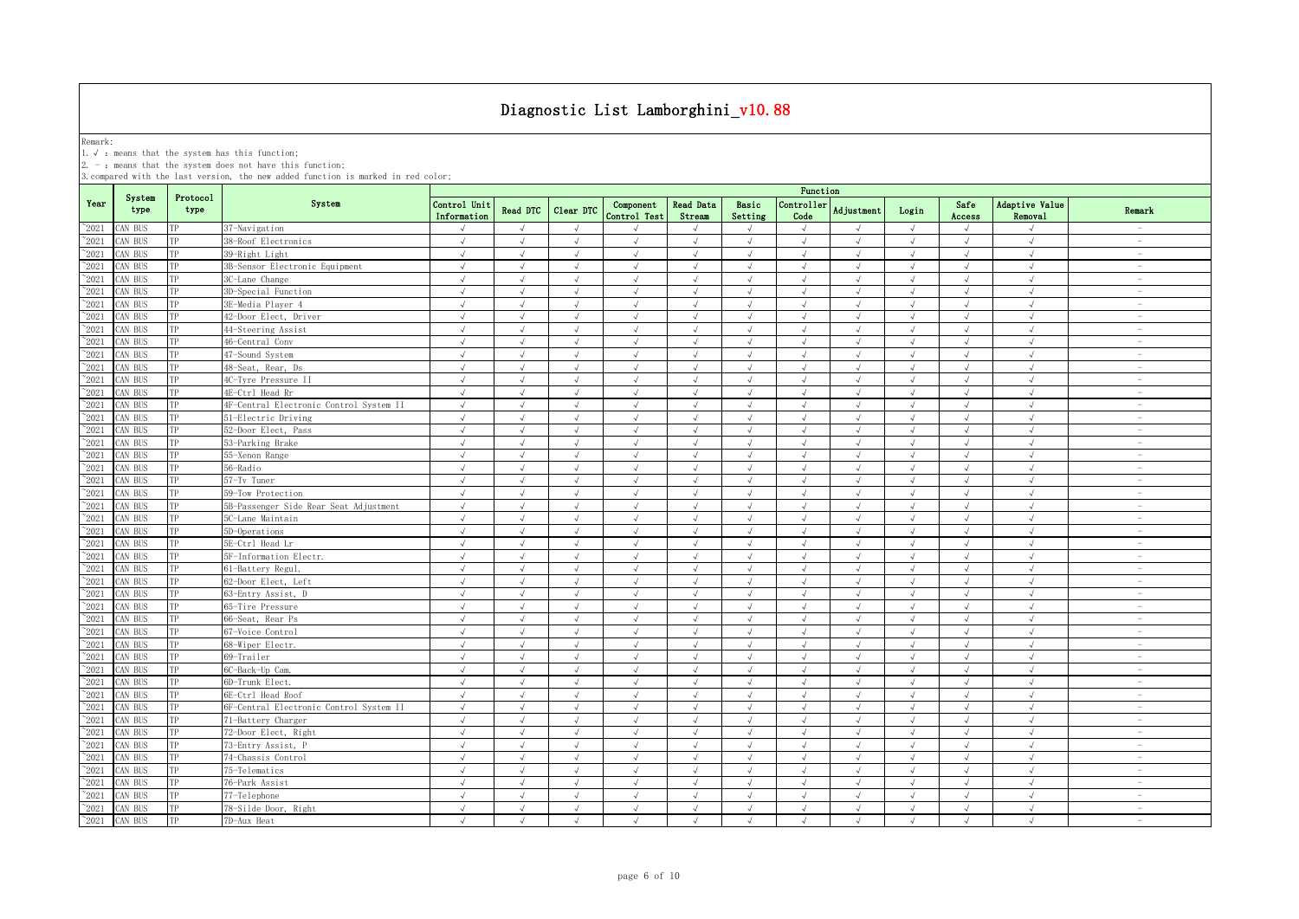Remark:<br>1.√ : means that the system has this function;<br>2. - : means that the system does not have this function;

|                 |                |                  |                                         | Function                    |                 |            |                           |                            |                  |                    |                   |            |                |                           |                                 |
|-----------------|----------------|------------------|-----------------------------------------|-----------------------------|-----------------|------------|---------------------------|----------------------------|------------------|--------------------|-------------------|------------|----------------|---------------------------|---------------------------------|
| Year            | System<br>type | Protocol<br>type | System                                  | Control Unit<br>Information | <b>Read DTC</b> | Clear DTC  | Component<br>Control Test | <b>Read Data</b><br>Stream | Basic<br>Setting | Controller<br>Code | <b>Adjustment</b> | Login      | Safe<br>Access | Adaptive Value<br>Removal | Remark                          |
| $\degree$ 2021  | CAN BUS        | TP               | 37-Navigation                           | $\sqrt{}$                   | $\sqrt{ }$      | $\sqrt{ }$ | $\mathcal{L}$             | $\sqrt{ }$                 | $\sqrt{ }$       | $\sqrt{ }$         | $\sqrt{ }$        | $\sqrt{ }$ | $\sqrt{ }$     | $\sqrt{ }$                | $\sim$                          |
| $^{\sim}$ 2021  | AN BUS         | TP               | 38-Roof Electronics                     | $\sqrt{ }$                  | $\sqrt{ }$      | $\sqrt{ }$ | $\sqrt{ }$                | $\sqrt{ }$                 | $\sqrt{ }$       | $\sqrt{ }$         | $\sqrt{ }$        | $\sqrt{ }$ | $\sqrt{ }$     | $\sqrt{ }$                | $\sim$                          |
| $^{\sim}$ 2021  | CAN BUS        | TP               | 39-Right Light                          | $\sqrt{ }$                  | $\sqrt{ }$      | $\sqrt{ }$ | $\sqrt{ }$                | $\sqrt{ }$                 | $\sqrt{ }$       | $\sqrt{ }$         | $\sqrt{ }$        | $\sqrt{ }$ | $\sqrt{ }$     | $\sqrt{ }$                | $\overline{\phantom{a}}$        |
| $^{\sim}$ 2021  | CAN BUS        | TP               | 3B-Sensor Electronic Equipment          | $\sqrt{ }$                  | $\sqrt{ }$      | $\sqrt{ }$ | $\sqrt{ }$                | $\sqrt{ }$                 | $\sqrt{ }$       | $\sqrt{ }$         | $\sqrt{ }$        | $\sqrt{ }$ | $\sqrt{ }$     | $\sqrt{ }$                | $\sim$                          |
| $^{\sim}$ 2021  | AN BUS         | TP               | 3C-Lane Change                          | $\sqrt{ }$                  | $\sqrt{ }$      | $\sqrt{ }$ | $\sqrt{ }$                | $\sqrt{ }$                 | $\sqrt{ }$       | $\sqrt{ }$         | $\sqrt{ }$        | $\sqrt{ }$ | $\sqrt{}$      | $\sqrt{ }$                | $\hspace{0.1mm}-\hspace{0.1mm}$ |
| $^{\sim}$ 2021  | AN BUS         | TP               | 3D-Special Function                     | J                           | $\sqrt{ }$      | $\sqrt{ }$ | $\sqrt{ }$                | $\sqrt{ }$                 | $\sqrt{ }$       | $\sqrt{2}$         | $\sqrt{ }$        | $\sqrt{ }$ | J              | $\sqrt{ }$                | $\overline{\phantom{a}}$        |
| $^{\sim}2021$   | AN BUS         | TP               | 3E-Media Player 4                       | $\sqrt{2}$                  | J               |            | $\sqrt{ }$                |                            | J                | $\sqrt{ }$         |                   | $\sqrt{ }$ |                | $\sqrt{ }$                | $\overline{\phantom{m}}$        |
| $\sim 2021$     | CAN BUS        | TP               | 42-Door Elect, Driver                   |                             |                 | $\sqrt{ }$ | J                         |                            | J                | $\sqrt{ }$         |                   | J          |                | $\sqrt{ }$                | $\overline{\phantom{a}}$        |
| $^{\sim}$ 2021  | AN BUS         | TP               | 44-Steering Assist                      | $\sqrt{ }$                  |                 | $\sqrt{ }$ | $\mathcal{L}$             |                            | J                | J                  | $\mathcal{N}$     | $\sqrt{ }$ | $\sqrt{ }$     | $\sqrt{ }$                | $\overline{\phantom{0}}$        |
| $\gamma_{2021}$ | CAN BUS        | TP               | 46-Central Conv                         | J                           | J               | J          |                           |                            | J                | J                  |                   | J          | $\sqrt{ }$     | $\sqrt{ }$                | $\overline{\phantom{a}}$        |
| $^{\sim}$ 2021  | AN BUS         | TP               | 47-Sound System                         | $\sqrt{ }$                  | $\sqrt{ }$      | $\sqrt{ }$ | $\sqrt{ }$                | $\sqrt{ }$                 | $\sqrt{ }$       | $\sqrt{ }$         | $\sqrt{ }$        | $\sqrt{ }$ | $\sqrt{ }$     | $\sqrt{ }$                | $\overline{\phantom{a}}$        |
| $^{\sim}2021$   | CAN BUS        | TP               | 48-Seat, Rear, Ds                       | $\sqrt{ }$                  | $\sqrt{ }$      | $\sqrt{ }$ | $\sqrt{ }$                | $\sqrt{ }$                 | $\sqrt{ }$       | $\sqrt{ }$         | $\sqrt{ }$        | $\sqrt{ }$ | $\sqrt{ }$     | $\sqrt{ }$                | $\sim$                          |
| $^{\sim}2021$   | AN BUS         | TP               | 4C-Tyre Pressure II                     | $\sqrt{ }$                  | $\sqrt{ }$      | $\sqrt{ }$ | $\sqrt{ }$                | $\sqrt{ }$                 | $\sqrt{ }$       | $\sqrt{ }$         | $\sqrt{ }$        | $\sqrt{ }$ | $\sqrt{ }$     | $\sqrt{ }$                | $\sim$                          |
| $\gamma_{2021}$ | CAN BUS        | TP               | 4E-Ctrl Head Rr                         | $\sqrt{ }$                  | $\sqrt{ }$      | $\sqrt{ }$ | $\sqrt{ }$                | $\sqrt{ }$                 | $\sqrt{ }$       | $\sqrt{ }$         | $\sqrt{ }$        | $\sqrt{ }$ | $\sqrt{ }$     | $\sqrt{ }$                | $\overline{\phantom{0}}$        |
| $^{\sim}$ 2021  | CAN BUS        | TP               | 4F-Central Electronic Control System II | $\sqrt{ }$                  | $\sqrt{ }$      | $\sqrt{ }$ | $\sqrt{ }$                | $\sqrt{ }$                 | $\sqrt{ }$       | $\sqrt{ }$         | $\sqrt{ }$        | $\sqrt{ }$ | $\sqrt{ }$     | $\sqrt{ }$                | $\sim$                          |
| $^{\sim}$ 2021  | CAN BUS        | TP               | 51-Electric Driving                     | $\sqrt{ }$                  | $\sqrt{ }$      | $\sqrt{ }$ | $\sqrt{ }$                | $\sqrt{ }$                 | $\sqrt{ }$       | $\sqrt{ }$         | $\sqrt{ }$        | $\sqrt{ }$ | $\sqrt{ }$     | $\sqrt{ }$                | $\overline{\phantom{a}}$        |
| $^{\sim}$ 2021  | CAN BUS        | TP               | 52-Door Elect, Pass                     | $\sqrt{ }$                  | $\sqrt{ }$      | $\sqrt{ }$ | $\sqrt{ }$                | $\sqrt{ }$                 | $\sqrt{ }$       | $\sqrt{ }$         | $\sqrt{ }$        | $\sqrt{ }$ | $\sqrt{ }$     | $\sqrt{ }$                | $ \,$                           |
| $^{\sim}$ 2021  | CAN BUS        | TP               | 53-Parking Brake                        | $\sqrt{ }$                  | $\sqrt{ }$      | $\sqrt{ }$ | $\sqrt{ }$                | $\sqrt{ }$                 | $\sqrt{ }$       | $\sqrt{ }$         | $\sqrt{ }$        | $\sqrt{ }$ | $\sqrt{ }$     | $\sqrt{ }$                | $\sim$                          |
| $^{\sim}2021$   | AN BUS         | TP               | 55-Xenon Range                          | $\sqrt{ }$                  | $\sqrt{ }$      | $\sqrt{ }$ | $\sqrt{ }$                | $\sqrt{ }$                 | $\sqrt{ }$       | $\sqrt{ }$         | $\sqrt{ }$        | $\sqrt{ }$ | $\sqrt{ }$     | $\sqrt{ }$                | $\sim$                          |
| $^{\sim}$ 2021  | AN BUS         | TP               | 56-Radio                                | √                           | J               | J          | J                         |                            | J                | $\sqrt{ }$         |                   | $\sqrt{ }$ | $\sqrt{ }$     | $\sqrt{ }$                | $\hspace{0.1mm}-\hspace{0.1mm}$ |
| $^{\sim}2021$   | AN BUS         | TP               | 57-Tv Tuner                             | √                           | $\sqrt{ }$      | $\sqrt{}$  | $\sqrt{}$                 | $\sqrt{}$                  | $\sqrt{}$        | $\sqrt{ }$         |                   | $\sqrt{ }$ | $\sqrt{ }$     | $\sqrt{ }$                | $\hspace{0.1mm}-\hspace{0.1mm}$ |
| $^{\sim}$ 2021  | AN BUS         | TP               | 59-Tow Protection                       | $\sqrt{ }$                  | $\mathcal{L}$   | J          | $\mathcal{L}$             |                            | $\sqrt{ }$       | $\sqrt{ }$         | $\mathcal{L}$     | $\sqrt{ }$ | <sup>N</sup>   | $\sqrt{ }$                | $\sim$                          |
| $\gamma_{2021}$ | CAN BUS        | TP               | 5B-Passenger Side Rear Seat Adjustment  | $\sqrt{ }$                  | $\sqrt{ }$      | $\sqrt{ }$ | $\sqrt{ }$                | $\sqrt{ }$                 | $\sqrt{ }$       | $\sqrt{2}$         |                   | $\sqrt{ }$ | $\sqrt{ }$     | $\sqrt{ }$                | $\overline{\phantom{a}}$        |
| $\degree$ 2021  | AN BUS         | TP               | 5C-Lane Maintain                        | $\sqrt{ }$                  | $\sqrt{ }$      | $\sqrt{ }$ | $\sqrt{ }$                | $\sqrt{ }$                 | $\sqrt{ }$       | $\sqrt{ }$         | $\sqrt{ }$        | $\sqrt{ }$ | $\sqrt{ }$     | $\sqrt{ }$                | $\overline{\phantom{a}}$        |
| $\degree$ 2021  | CAN BUS        | TP               | 5D-Operations                           | $\sqrt{ }$                  | $\sqrt{ }$      | $\sqrt{ }$ | $\sqrt{ }$                |                            | $\sqrt{ }$       | $\sqrt{ }$         |                   | $\sqrt{ }$ | $\sqrt{ }$     | $\sqrt{ }$                | $\overline{\phantom{0}}$        |
| $^{\sim}$ 2021  | <b>CAN BUS</b> | TP               | 5E-Ctrl Head Lr                         | $\sqrt{ }$                  | $\sqrt{ }$      | $\sqrt{ }$ | $\sqrt{ }$                | $\sqrt{ }$                 | $\mathcal{A}$    | $\sqrt{ }$         | $\lambda$         | $\sqrt{ }$ | $\sqrt{ }$     | $\sqrt{ }$                | $\overline{\phantom{a}}$        |
| $^{\sim}2021$   | CAN BUS        | TP               | 5F-Information Electr.                  | $\sqrt{ }$                  | $\sqrt{ }$      | $\sqrt{ }$ | $\sqrt{ }$                | $\sqrt{ }$                 | $\sqrt{ }$       | $\sqrt{ }$         | $\sqrt{ }$        | $\sqrt{ }$ | $\sqrt{ }$     | $\sqrt{ }$                | $\overline{\phantom{a}}$        |
| $^{\sim}2021$   | AN BUS         | TP               | 61-Battery Regul.                       | $\sqrt{ }$                  | $\sqrt{ }$      | $\sqrt{ }$ | $\sqrt{ }$                | $\sqrt{ }$                 | $\sqrt{ }$       | $\sqrt{ }$         | $\sqrt{ }$        | $\sqrt{ }$ | $\sqrt{ }$     | $\sqrt{ }$                | $\overline{\phantom{a}}$        |
| $^\sim\!2021$   | CAN BUS        | TP               | 62-Door Elect, Left                     | $\sqrt{ }$                  | $\sqrt{ }$      | $\sqrt{ }$ | $\sqrt{ }$                | $\sqrt{ }$                 | $\sqrt{ }$       | $\sqrt{ }$         | $\sqrt{ }$        | $\sqrt{ }$ | $\sqrt{ }$     | $\sqrt{ }$                | $\overline{\phantom{a}}$        |
| $^{\sim}$ 2021  | CAN BUS        | TP               | 63-Entry Assist, D                      | $\sqrt{ }$                  | $\sqrt{ }$      | $\sqrt{ }$ | $\sqrt{ }$                | $\sqrt{ }$                 | $\sqrt{ }$       | $\sqrt{ }$         | $\sqrt{ }$        | $\sqrt{ }$ | $\sqrt{ }$     | $\sqrt{ }$                | $\overline{\phantom{a}}$        |
| $^{\sim}$ 2021  | CAN BUS        | TP               | 65-Tire Pressure                        | $\sqrt{ }$                  | $\sqrt{ }$      | $\sqrt{ }$ | $\sqrt{ }$                | $\sqrt{ }$                 | $\sqrt{ }$       | $\sqrt{ }$         | $\sqrt{ }$        | $\sqrt{ }$ | $\sqrt{ }$     | $\sqrt{ }$                | $\overline{\phantom{a}}$        |
| $^{\sim}$ 2021  | CAN BUS        | TP               | 66-Seat, Rear Ps                        | $\sqrt{ }$                  | $\sqrt{ }$      | $\sqrt{ }$ | $\sqrt{ }$                | $\sqrt{ }$                 | $\sqrt{ }$       | $\sqrt{ }$         | $\sqrt{ }$        | $\sqrt{ }$ | $\sqrt{ }$     | $\sqrt{ }$                | $\sim$                          |
| $^{\sim}$ 2021  | CAN BUS        | TP               | 67-Voice Control                        | $\sqrt{ }$                  | $\sqrt{ }$      | $\sqrt{ }$ | $\sqrt{ }$                | $\sqrt{ }$                 | $\sqrt{ }$       | $\sqrt{ }$         | $\sqrt{ }$        | $\sqrt{ }$ | $\sqrt{ }$     | $\sqrt{ }$                | $\overline{\phantom{a}}$        |
| $^{\sim}$ 2021  | CAN BUS        | TP               | 68-Wiper Electr.                        | $\sqrt{ }$                  | $\sqrt{ }$      | $\sqrt{ }$ | $\sqrt{ }$                | $\sqrt{ }$                 | $\sqrt{ }$       | $\sqrt{ }$         | $\sqrt{ }$        | $\sqrt{ }$ | $\sqrt{ }$     | $\sqrt{ }$                | $\sim$                          |
| $^{\sim}$ 2021  | CAN BUS        | TP               | 69-Trailer                              | $\sqrt{ }$                  | $\sqrt{ }$      | $\sqrt{ }$ | $\sqrt{ }$                | $\sqrt{ }$                 | $\sqrt{ }$       | $\sqrt{ }$         | $\sqrt{ }$        | $\sqrt{ }$ | $\sqrt{ }$     | $\sqrt{ }$                | $\sim$                          |
| $^{\sim}$ 2021  | CAN BUS        | TP               | 6C-Back-Up Cam.                         | $\sqrt{ }$                  | $\sqrt{ }$      | $\sqrt{ }$ | $\sqrt{ }$                | $\sqrt{ }$                 | $\sqrt{ }$       | $\sqrt{ }$         | $\sqrt{ }$        | $\sqrt{ }$ | $\sqrt{ }$     | $\sqrt{ }$                | $\overline{\phantom{a}}$        |
| $^{\sim}$ 2021  | CAN BUS        | TP               | 6D-Trunk Elect.                         | $\sqrt{ }$                  | $\sqrt{ }$      | $\sqrt{ }$ | $\sqrt{}$                 | $\sqrt{ }$                 | √                | $\sqrt{ }$         | $\sqrt{ }$        | $\sqrt{ }$ | $\sqrt{ }$     | $\sqrt{}$                 | $\overline{\phantom{m}}$        |
| $^{\sim}$ 2021  | CAN BUS        | TP               | 6E-Ctrl Head Roof                       |                             |                 |            |                           |                            | J                |                    |                   | $\sqrt{ }$ |                | $\sqrt{ }$                | $\overline{\phantom{a}}$        |
| $^{\sim}$ 2021  | CAN BUS        | TP               | 6F-Central Electronic Control System II | $\sqrt{ }$                  | $\sqrt{ }$      |            | $\mathcal{L}$             |                            | J                |                    |                   | $\sqrt{ }$ |                | $\sqrt{ }$                | $\overline{\phantom{a}}$        |
| $\gamma_{2021}$ | CAN BUS        | TP               | 71-Battery Charger                      | J                           | J               | J          |                           |                            | J                | $\sqrt{2}$         |                   | $\sqrt{ }$ | J              | $\sqrt{ }$                | $\overline{\phantom{a}}$        |
| $^{\sim}$ 2021  | AN BUS         | TP               | 72-Door Elect, Right                    | $\sqrt{ }$                  | $\sqrt{ }$      | $\sqrt{ }$ | $\sqrt{ }$                | $\sqrt{ }$                 | $\sqrt{ }$       | $\sqrt{ }$         | $\sqrt{ }$        | $\sqrt{ }$ | $\sqrt{ }$     | $\sqrt{ }$                | $\overline{\phantom{a}}$        |
| $^{\sim}2021$   | CAN BUS        | TP               | 73-Entry Assist, P                      | $\sqrt{ }$                  | $\sqrt{ }$      | $\sqrt{ }$ | $\sqrt{ }$                | $\sqrt{ }$                 | $\sqrt{ }$       | $\sqrt{ }$         | $\lambda$         | $\sqrt{ }$ | $\sqrt{ }$     | $\sqrt{ }$                | $\sim$                          |
| $^{\sim}2021$   | CAN BUS        | TP               | 74-Chassis Control                      | $\sqrt{ }$                  | $\sqrt{ }$      | $\sqrt{ }$ | $\sqrt{ }$                | $\sqrt{ }$                 | $\sqrt{ }$       | $\sqrt{ }$         | $\sqrt{ }$        | $\sqrt{ }$ | $\sqrt{ }$     | $\sqrt{ }$                | $\sim$                          |
| $^{\sim}$ 2021  | CAN BUS        | TP               | 75-Telematics                           | $\sqrt{ }$                  | $\sqrt{ }$      | $\sqrt{ }$ | $\sqrt{ }$                | $\sqrt{ }$                 | $\sqrt{ }$       | $\sqrt{ }$         | $\sqrt{ }$        | $\sqrt{ }$ | $\sqrt{ }$     | $\sqrt{ }$                | $\sim$                          |
| $\gamma_{2021}$ | CAN BUS        | TP               | 76-Park Assist                          | $\sqrt{ }$                  | $\sqrt{ }$      | $\sqrt{ }$ | $\sqrt{ }$                | $\sqrt{ }$                 | $\sqrt{ }$       | $\sqrt{ }$         | $\sqrt{ }$        | $\sqrt{ }$ | $\sqrt{ }$     | $\sqrt{ }$                | $\overline{\phantom{a}}$        |
| $^{\sim}$ 2021  | CAN BUS        | TP               | 77-Telephone                            | $\sqrt{ }$                  | $\sqrt{ }$      | $\sqrt{ }$ | $\sqrt{ }$                | $\sqrt{ }$                 | $\sqrt{ }$       | $\sqrt{ }$         | $\mathcal{A}$     | $\sqrt{ }$ | $\sqrt{ }$     | $\sqrt{ }$                | $\overline{\phantom{a}}$        |
| $^{\sim}$ 2021  | CAN BUS        | TP               | 78-Silde Door, Right                    | $\sqrt{ }$                  | $\sqrt{ }$      | $\sqrt{ }$ | $\sqrt{ }$                | $\sqrt{ }$                 | $\sqrt{ }$       | $\sqrt{ }$         | $\sqrt{ }$        | $\sqrt{ }$ | $\sqrt{ }$     | $\sqrt{ }$                | $\sim$                          |
| $^{\sim}2021$   | CAN BUS        | TP               | 7D-Aux Heat                             | $\sqrt{ }$                  | $\sqrt{ }$      | $\sqrt{ }$ | $\sqrt{ }$                | $\sqrt{ }$                 | $\sqrt{ }$       | $\sqrt{ }$         | $\mathcal{A}$     | $\sqrt{ }$ | $\sqrt{ }$     | $\sqrt{ }$                | $\overline{\phantom{a}}$        |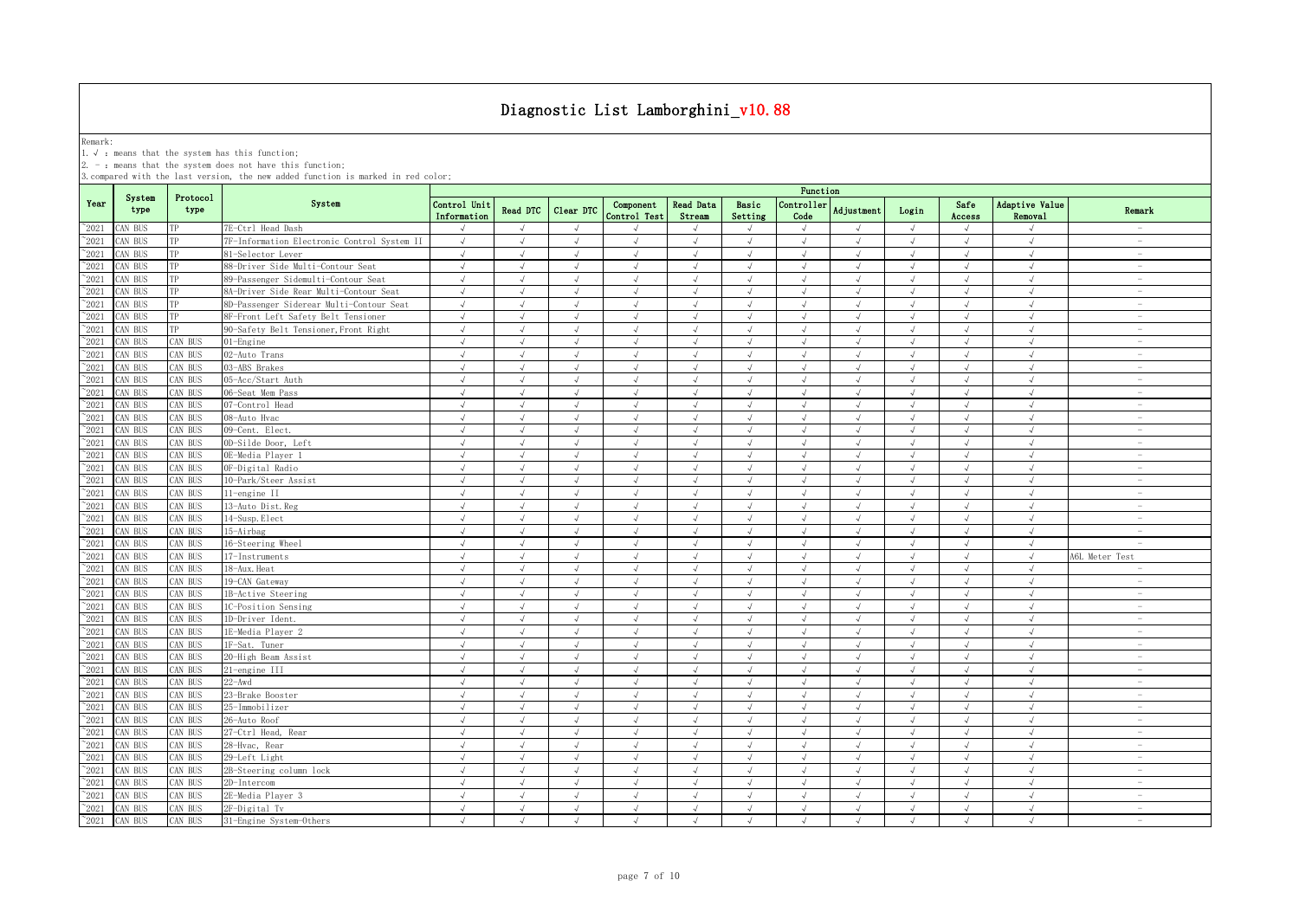Remark:<br>1.√ : means that the system has this function;<br>2. - : means that the system does not have this function;

|                 |                |                  |                                             | Function                    |               |            |                           |                            |                             |                    |               |               |                |                           |                                 |
|-----------------|----------------|------------------|---------------------------------------------|-----------------------------|---------------|------------|---------------------------|----------------------------|-----------------------------|--------------------|---------------|---------------|----------------|---------------------------|---------------------------------|
| Year            | System<br>type | Protocol<br>type | System                                      | Control Unit<br>Information | Read DTC      | Clear DTC  | Component<br>Control Test | <b>Read Data</b><br>Stream | Basic<br>Setting            | Controller<br>Code | Adjustment    | Login         | Safe<br>Access | Adaptive Value<br>Removal | Remark                          |
| $^{\sim}$ 2021  | CAN BUS        | TP               | 7E-Ctrl Head Dash                           |                             | $\sqrt{ }$    | $\sqrt{ }$ |                           |                            | $\sqrt{ }$                  | $\sqrt{ }$         | $\sqrt{ }$    | $\sqrt{ }$    | J              | $\sqrt{ }$                | $\sim$                          |
| $^{\sim}$ 2021  | CAN BUS        | TP               | 7F-Information Electronic Control System II | $\sqrt{ }$                  | $\sqrt{ }$    | $\sqrt{ }$ | $\sqrt{ }$                | $\sqrt{ }$                 | $\sqrt{ }$                  | $\sqrt{ }$         | $\sqrt{ }$    | $\sqrt{ }$    | $\sqrt{ }$     | $\sqrt{ }$                | $\sim$                          |
| $^{\sim}$ 2021  | CAN BUS        | TP               | 81-Selector Lever                           | $\sqrt{ }$                  | $\sqrt{ }$    | $\sqrt{ }$ | $\sqrt{ }$                | $\sqrt{ }$                 | $\sqrt{ }$                  | $\sqrt{ }$         | $\mathcal{A}$ | $\sqrt{ }$    | $\sqrt{ }$     | $\sqrt{ }$                | $\overline{\phantom{a}}$        |
| $\degree$ 2021  | CAN BUS        | TP               | 88-Driver Side Multi-Contour Seat           | $\sqrt{ }$                  | $\sqrt{ }$    | $\sqrt{ }$ | $\sqrt{ }$                | $\sqrt{ }$                 | $\sqrt{ }$                  | $\sqrt{ }$         | $\sqrt{ }$    | $\sqrt{ }$    | $\sqrt{ }$     | $\sqrt{ }$                | $\sim$                          |
| $^{\sim}2021$   | CAN BUS        | TP               | 89-Passenger Sidemulti-Contour Seat         | $\sqrt{ }$                  | $\mathcal{A}$ | $\sqrt{ }$ | $\sqrt{ }$                | $\sqrt{ }$                 | $\sqrt{ }$                  | $\sqrt{ }$         | $\mathcal{A}$ | $\sqrt{ }$    | $\sqrt{ }$     | $\sqrt{ }$                | $\overline{\phantom{a}}$        |
| $\degree$ 2021  | CAN BUS        | TP               | 8A-Driver Side Rear Multi-Contour Seat      | $\sqrt{ }$                  | $\sqrt{ }$    | $\sqrt{ }$ | $\sqrt{ }$                | $\sqrt{}$                  | $\sqrt{ }$                  | $\sqrt{ }$         | $\sqrt{ }$    | $\sqrt{ }$    | $\sqrt{ }$     | $\sqrt{ }$                | $\overline{\phantom{a}}$        |
| $^{\sim}$ 2021  | CAN BUS        | TP               | 8D-Passenger Siderear Multi-Contour Seat    | $\sqrt{ }$                  | $\sqrt{ }$    | $\sqrt{ }$ | $\sqrt{ }$                | $\sqrt{ }$                 | $\sqrt{ }$                  | $\sqrt{ }$         | $\sqrt{ }$    | $\sqrt{ }$    | $\sqrt{ }$     | $\sqrt{ }$                | $\sim$                          |
| $^{\sim}2021$   | CAN BUS        | TP               | 8F-Front Left Safety Belt Tensioner         | $\sqrt{ }$                  | $\sqrt{ }$    | $\sqrt{ }$ | $\sqrt{ }$                | $\sqrt{ }$                 | $\sqrt{ }$                  | $\sqrt{ }$         | $\sqrt{ }$    | $\sqrt{ }$    | $\sqrt{ }$     | $\sqrt{ }$                | $\sim$                          |
| $\degree$ 2021  | CAN BUS        |                  | 90-Safety Belt Tensioner, Front Right       | $\sqrt{ }$                  |               |            |                           |                            |                             | $\sqrt{ }$         |               |               |                | $\sqrt{ }$                | $\overline{\phantom{m}}$        |
| $^{\sim}2021$   | CAN BUS        | AN BUS           | $01$ -Engine                                | $\sqrt{ }$                  | $\sqrt{ }$    | $\sqrt{ }$ |                           |                            | $\sqrt{ }$                  | $\sqrt{ }$         |               | $\sqrt{}$     |                | $\sqrt{ }$                | $\overline{\phantom{0}}$        |
| $\degree$ 2021  | CAN BUS        | AN BUS           | 02-Auto Trans                               | $\sqrt{ }$                  |               | $\lambda$  |                           |                            |                             | $\sqrt{ }$         |               | $\sqrt{ }$    | J              | $\mathcal{N}$             | $\overline{\phantom{0}}$        |
| $^{\sim}$ 2021  | CAN BUS        | AN BUS           | 03-ABS Brakes                               | $\sqrt{ }$                  |               | $\sqrt{ }$ | $\sqrt{ }$                |                            | J                           | $\sqrt{ }$         |               | $\sqrt{ }$    | $\sqrt{ }$     | $\sqrt{ }$                | $\overline{\phantom{0}}$        |
| $^\sim\!\!2021$ | CAN BUS        | AN BUS           | 05-Acc/Start Auth                           | $\sqrt{ }$                  | $\mathcal{A}$ | $\sqrt{ }$ | $\sqrt{ }$                | $\sqrt{ }$                 | $\sqrt{ }$                  | $\sqrt{ }$         | $\lambda$     | $\sqrt{ }$    | $\sqrt{ }$     | $\sqrt{ }$                | $\overline{\phantom{0}}$        |
| $^{\sim}$ 2021  | CAN BUS        | AN BUS           | 06-Seat Mem Pass                            | $\sqrt{ }$                  | $\sqrt{ }$    | $\sqrt{ }$ | $\sqrt{ }$                | $\sqrt{ }$                 | $\sqrt{ }$                  | $\sqrt{ }$         | $\sqrt{ }$    | $\sqrt{ }$    | $\sqrt{ }$     | $\sqrt{ }$                | $\overline{\phantom{a}}$        |
| $^{\sim}$ 2021  | CAN BUS        | AN BUS           | 07-Control Head                             | $\sqrt{ }$                  | $\sqrt{ }$    | $\sqrt{ }$ | $\sqrt{ }$                | $\sqrt{ }$                 | $\sqrt{ }$                  | $\sqrt{ }$         | $\sqrt{ }$    | $\sqrt{ }$    | $\sqrt{ }$     | $\sqrt{ }$                | $\sim$                          |
| $^{\sim}$ 2021  | CAN BUS        | AN BUS           | 08-Auto Hvac                                | $\sqrt{ }$                  | $\sqrt{ }$    | $\sqrt{ }$ | $\sqrt{ }$                | $\sqrt{ }$                 | $\sqrt{ }$                  | $\sqrt{ }$         | $\lambda$     | $\sqrt{ }$    | $\sqrt{ }$     | $\sqrt{ }$                | $\sim$                          |
| $\degree$ 2021  | CAN BUS        | AN BUS           | 09-Cent. Elect.                             | $\sqrt{ }$                  | $\sqrt{ }$    | $\sqrt{ }$ | $\sqrt{ }$                | $\sqrt{ }$                 | $\sqrt{ }$                  | $\sqrt{ }$         | $\lambda$     | $\sqrt{ }$    | $\sqrt{ }$     | $\sqrt{ }$                | $\sim$                          |
| $^{\circ}2021$  | CAN BUS        | AN BUS           | OD-Silde Door, Left                         | $\sqrt{ }$                  | $\sqrt{ }$    | $\sqrt{ }$ | $\sqrt{ }$                | $\sqrt{ }$                 | $\sqrt{ }$                  | $\sqrt{ }$         | $\sqrt{ }$    | $\sqrt{ }$    | $\sqrt{ }$     | $\sqrt{}$                 | $\overline{\phantom{m}}$        |
| $\degree$ 2021  | CAN BUS        | AN BUS           | OE-Media Player 1                           | $\sqrt{ }$                  | $\sqrt{ }$    | $\sqrt{ }$ | $\sqrt{ }$                | $\sqrt{ }$                 | $\sqrt{ }$                  | $\sqrt{ }$         | $\sqrt{ }$    | $\sqrt{ }$    | $\sqrt{ }$     | $\sqrt{ }$                | $\sim$                          |
| $^{\sim}2021$   | CAN BUS        | AN BUS           | OF-Digital Radio                            | $\sqrt{ }$                  | $\sqrt{ }$    | $\sqrt{ }$ | $\sqrt{ }$                | $\sqrt{ }$                 | $\sqrt{ }$                  | $\sqrt{ }$         | $\sqrt{ }$    | $\sqrt{ }$    | $\sqrt{ }$     | $\sqrt{ }$                | $\overline{\phantom{a}}$        |
| $\degree$ 2021  | CAN BUS        | AN BUS           | 10-Park/Steer Assist                        | $\sqrt{ }$                  | $\sqrt{ }$    | $\sqrt{ }$ | $\sqrt{ }$                | $\sqrt{ }$                 | $\sqrt{ }$                  | $\sqrt{ }$         | $\sqrt{ }$    | $\sqrt{ }$    | $\sqrt{ }$     | $\sqrt{ }$                | $\sim$                          |
| $^{\sim}2021$   | CAN BUS        | AN BUS           | 11-engine II                                | $\sqrt{ }$                  | $\sqrt{ }$    | $\sqrt{ }$ | $\sqrt{ }$                | $\sqrt{ }$                 | $\sqrt{ }$                  | $\sqrt{ }$         | $\sqrt{ }$    | $\sqrt{ }$    | $\sqrt{ }$     | $\sqrt{ }$                | $\sim$                          |
| $\degree$ 2021  | CAN BUS        | AN BUS           | 13-Auto Dist. Reg                           | $\sqrt{ }$                  | $\sqrt{ }$    | $\sqrt{ }$ | $\sqrt{ }$                | $\sqrt{}$                  | $\sqrt{ }$                  | $\sqrt{ }$         | $\sqrt{ }$    | $\sqrt{ }$    | $\sqrt{ }$     | $\sqrt{ }$                | $\overline{\phantom{a}}$        |
| 2021            | CAN BUS        | AN BUS           | 14-Susp. Elect                              | $\sqrt{ }$                  |               |            |                           |                            | $\sqrt{ }$                  | $\sqrt{ }$         |               | J             |                | $\sqrt{ }$                | $\overline{\phantom{m}}$        |
| 2021            | CAN BUS        | AN BUS           | 15-Airbag                                   | $\sqrt{ }$                  |               | $\sqrt{ }$ | $\sqrt{ }$                |                            | $\sqrt{ }$                  | $\sqrt{ }$         |               | $\sqrt{ }$    |                | $\sqrt{ }$                | $\overline{\phantom{a}}$        |
| $^{\sim}2021$   | CAN BUS        | AN BUS           | 16-Steering Wheel                           | $\sqrt{ }$                  |               | $\sqrt{ }$ |                           |                            |                             | $\sqrt{ }$         |               | $\sqrt{ }$    | $\sqrt{ }$     | $\sqrt{ }$                |                                 |
| $^{\sim}$ 2021  | CAN BUS        | AN BUS           | 17-Instruments                              | $\sqrt{ }$                  | $\sqrt{ }$    | $\sqrt{ }$ | $\sqrt{ }$                | $\sqrt{ }$                 | J                           | $\sqrt{ }$         |               | $\sqrt{ }$    | J              | $\sqrt{ }$                | A6L Meter Test                  |
| $^{\sim}$ 2021  | CAN BUS        | AN BUS           | 18-Aux. Heat                                | $\sqrt{ }$                  | $\sqrt{ }$    | $\sqrt{ }$ | $\sqrt{ }$                | $\sqrt{ }$                 | $\sqrt{ }$                  | $\sqrt{ }$         | $\lambda$     | $\sqrt{ }$    | $\sqrt{ }$     | $\sqrt{ }$                |                                 |
| $^{\sim}$ 2021  | CAN BUS        | AN BUS           | 19-CAN Gateway                              | $\sqrt{ }$                  | $\sqrt{ }$    | $\sqrt{ }$ | $\sqrt{ }$                | $\sqrt{ }$                 | $\sqrt{ }$                  | $\sqrt{ }$         | $\sqrt{ }$    | $\sqrt{ }$    | $\sqrt{ }$     | $\sqrt{ }$                | $\sim$                          |
| $^{\sim}$ 2021  | CAN BUS        | AN BUS           | 1B-Active Steering                          | $\sqrt{ }$                  | $\sqrt{ }$    | $\sqrt{ }$ | $\sqrt{ }$                | $\sqrt{ }$                 | $\sqrt{ }$                  | $\sqrt{ }$         | $\lambda$     | $\sqrt{ }$    | $\sqrt{ }$     | $\sqrt{ }$                | $\sim$                          |
| $\degree$ 2021  | CAN BUS        | CAN BUS          | 1C-Position Sensing                         | $\sqrt{ }$                  | $\sqrt{ }$    | $\sqrt{ }$ | $\sqrt{ }$                | $\sqrt{ }$                 | $\sqrt{ }$                  | $\sqrt{ }$         | $\sqrt{ }$    | $\sqrt{ }$    | $\sqrt{ }$     | $\sqrt{ }$                | $\overline{\phantom{a}}$        |
| $\degree$ 2021  | CAN BUS        | <b>CAN BUS</b>   | 1D-Driver Ident.                            | $\sqrt{ }$                  | $\sqrt{ }$    | $\sqrt{ }$ | $\sqrt{ }$                | $\sqrt{ }$                 | $\sqrt{ }$                  | $\sqrt{ }$         | $\sqrt{ }$    | $\sqrt{ }$    | $\sqrt{ }$     | $\sqrt{ }$                | $\sim$                          |
| $^{\sim}2021$   | CAN BUS        | AN BUS           | 1E-Media Player 2                           | $\sqrt{ }$                  | $\sqrt{ }$    | $\sqrt{ }$ | $\sqrt{ }$                | $\sqrt{ }$                 | $\sqrt{ }$                  | $\sqrt{ }$         | $\sqrt{ }$    | $\sqrt{ }$    | $\sqrt{ }$     | $\sqrt{ }$                | $\overline{\phantom{a}}$        |
| $^{\sim}2021$   | CAN BUS        | AN BUS           | 1F-Sat. Tuner                               | $\sqrt{ }$                  | $\sqrt{ }$    | $\sqrt{ }$ | $\sqrt{ }$                | $\sqrt{ }$                 | $\sqrt{ }$                  | $\sqrt{ }$         | $\sqrt{ }$    | $\sqrt{ }$    | $\sqrt{ }$     | $\sqrt{ }$                | $\sim$                          |
| $^{\sim}2021$   | CAN BUS        | AN BUS           | 20-High Beam Assist                         | $\sqrt{ }$                  | $\sqrt{ }$    | $\sqrt{ }$ | $\sqrt{ }$                | $\sqrt{ }$                 | $\sqrt{ }$                  | $\sqrt{ }$         | $\sqrt{ }$    | $\sqrt{ }$    | $\sqrt{ }$     | $\sqrt{ }$                | $\overline{\phantom{a}}$        |
| $\degree$ 2021  | CAN BUS        | AN BUS           | 21-engine III                               | $\sqrt{ }$                  | $\sqrt{ }$    | $\sqrt{ }$ | $\sqrt{ }$                | $\sqrt{ }$                 | $\sqrt{ }$                  | $\sqrt{ }$         | $\sqrt{ }$    | $\sqrt{ }$    | $\sqrt{ }$     | $\sqrt{ }$                | $\sim$                          |
| $\degree$ 2021  | CAN BUS        | AN BUS           | $22 - Awd$                                  | $\sqrt{}$                   | $\sqrt{ }$    | $\sqrt{ }$ | $\sqrt{ }$                | $\sqrt{ }$                 | $\sqrt{ }$                  | $\sqrt{ }$         | $\sqrt{ }$    | $\sqrt{ }$    | $\sqrt{ }$     | $\sqrt{ }$                | $\hspace{0.1mm}-\hspace{0.1mm}$ |
| $\degree$ 2021  | CAN BUS        | AN BUS           | 23-Brake Booster                            | $\sqrt{ }$                  | $\sqrt{ }$    | $\sqrt{ }$ | J                         | $\sqrt{ }$                 | $\sqrt{ }$                  | $\sqrt{ }$         | $\sqrt{ }$    | $\sqrt{ }$    | $\sqrt{ }$     | $\sqrt{ }$                | $\overline{\phantom{a}}$        |
| 2021            | CAN BUS        | AN BUS           | 25-Immobilizer                              | <sup>N</sup>                |               |            |                           |                            | J                           | $\sqrt{ }$         |               | $\mathcal{L}$ |                | $\sqrt{ }$                | $\overline{\phantom{a}}$        |
| $^{\sim}$ 2021  | CAN BUS        | AN BUS           | 26-Auto Roof                                | $\sqrt{ }$                  |               | $\sqrt{ }$ |                           |                            |                             | $\sqrt{ }$         |               | J             | J              | $\sqrt{ }$                | $\equiv$                        |
| $^{\sim}$ 2021  | CAN BUS        | AN BUS           | 27-Ctrl Head, Rear                          | $\sqrt{ }$                  | J             | $\sqrt{ }$ | $\sqrt{ }$                | $\sqrt{ }$                 | $\sqrt{ }$                  | $\sqrt{ }$         | $\sqrt{ }$    | $\sqrt{ }$    | $\sqrt{ }$     | $\sqrt{ }$                | $\overline{\phantom{0}}$        |
| $^{\sim}$ 2021  | CAN BUS        | AN BUS           | 28-Hvac, Rear                               | $\sqrt{ }$                  | $\sqrt{ }$    | $\sqrt{ }$ | $\sqrt{ }$                | $\sqrt{ }$                 | J                           | $\sqrt{ }$         |               | $\sqrt{ }$    | $\sqrt{ }$     | $\sqrt{ }$                | $\overline{\phantom{a}}$        |
| $^{\sim}$ 2021  | CAN BUS        | AN BUS           | 29-Left Light                               | $\sqrt{ }$                  | $\sqrt{ }$    | $\sqrt{ }$ | $\sqrt{ }$                | $\sqrt{ }$                 | $\sqrt{ }$                  | $\sqrt{ }$         | $\sqrt{ }$    | $\sqrt{ }$    | $\sqrt{ }$     | $\sqrt{ }$                | $\sim$                          |
| $^{\sim}$ 2021  | CAN BUS        | AN BUS           | 2B-Steering column lock                     | $\sqrt{ }$                  | $\sqrt{ }$    | $\sqrt{ }$ | $\sqrt{ }$                | $\sqrt{ }$                 | $\sqrt{ }$                  | $\sqrt{ }$         | $\sqrt{ }$    | $\sqrt{ }$    | $\sqrt{ }$     | $\sqrt{ }$                | $\overline{\phantom{a}}$        |
| $^{\sim}$ 2021  | CAN BUS        | CAN BUS          | 2D-Intercom                                 | $\sqrt{ }$                  | $\sqrt{ }$    | $\sqrt{ }$ | $\sqrt{ }$                | $\sqrt{ }$                 | $\sqrt{ }$                  | $\sqrt{ }$         | $\sqrt{ }$    | $\sqrt{ }$    | $\sqrt{ }$     | $\sqrt{ }$                | $\overline{\phantom{a}}$        |
| $\degree$ 2021  | CAN BUS        | CAN BUS          | 2E-Media Player 3                           | $\sqrt{ }$                  | $\sqrt{ }$    | $\sqrt{ }$ | $\sqrt{ }$                | $\sqrt{ }$                 | $\sqrt{ }$                  | $\sqrt{ }$         | $\mathcal{A}$ | $\sqrt{ }$    | $\sqrt{ }$     | $\sqrt{ }$                | $\sim$                          |
| $^{\sim}$ 2021  | CAN BUS        | CAN BUS          | 2F-Digital Tv                               | $\sqrt{ }$                  | $\sqrt{ }$    | $\sqrt{ }$ | $\sqrt{ }$                | $\sqrt{ }$                 | $\sqrt{ }$                  | $\sqrt{ }$         | $\sqrt{ }$    | $\sqrt{ }$    | $\sqrt{ }$     | $\sqrt{ }$                | $\overline{\phantom{a}}$        |
| $^{\sim}$ 2021  | CAN BUS        | CAN BUS          | 31-Engine System-Others                     | $\sqrt{ }$                  | $\sqrt{ }$    | $\sqrt{ }$ | $\sqrt{ }$                | $\sqrt{ }$                 | $\mathcal{N}_{\mathcal{N}}$ | $\sqrt{ }$         | $\mathcal{A}$ | $\sqrt{ }$    | $\sqrt{ }$     | $\sqrt{ }$                | $\overline{\phantom{m}}$        |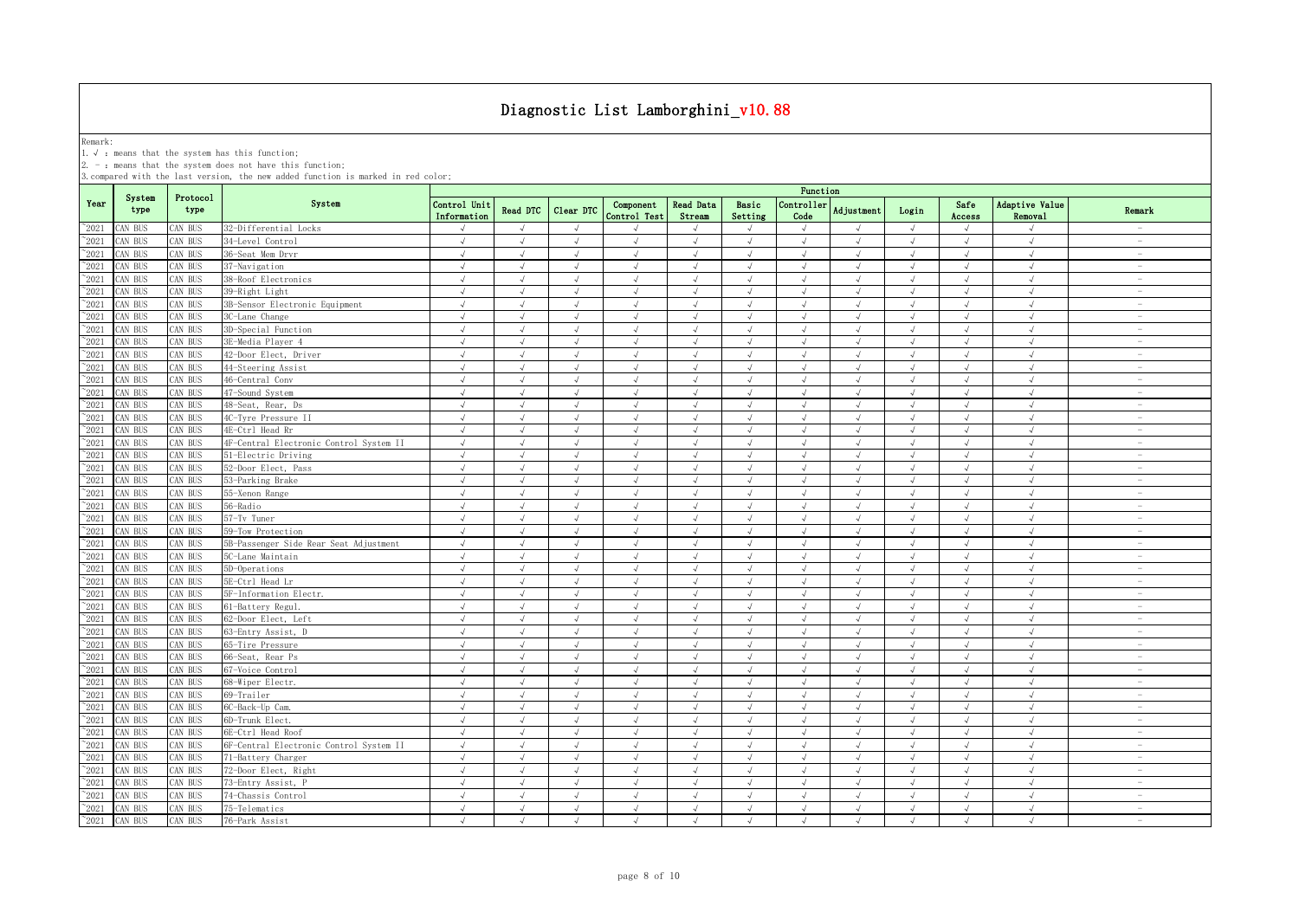Remark:<br>1.√ : means that the system has this function;<br>2. - : means that the system does not have this function;

|                |                |                  |                                         |                             |               |            |                           |                            |                             | Function           |               |            |                |                           |                                 |
|----------------|----------------|------------------|-----------------------------------------|-----------------------------|---------------|------------|---------------------------|----------------------------|-----------------------------|--------------------|---------------|------------|----------------|---------------------------|---------------------------------|
| Year           | System<br>type | Protocol<br>type | System                                  | Control Unit<br>Information | Read DTC      | Clear DTC  | Component<br>Control Test | <b>Read Data</b><br>Stream | Basic<br>Setting            | Controller<br>Code | Adjustment    | Login      | Safe<br>Access | Adaptive Value<br>Removal | Remark                          |
| $^{\sim}2021$  | CAN BUS        | AN BUS           | 32-Differential Locks                   | $\sqrt{ }$                  | $\sqrt{ }$    | $\sqrt{ }$ |                           | $\mathcal{L}$              | $\sqrt{ }$                  | $\sqrt{ }$         | $\sqrt{ }$    | $\sqrt{ }$ | $\sqrt{ }$     | $\sqrt{ }$                | $\overline{\phantom{a}}$        |
| $^{\sim}2021$  | CAN BUS        | AN BUS           | 34-Level Control                        | $\sqrt{ }$                  | $\sqrt{ }$    | $\sqrt{ }$ | $\sqrt{ }$                | $\sqrt{ }$                 | $\sqrt{ }$                  | $\sqrt{ }$         | $\sqrt{ }$    | $\sqrt{ }$ | $\sqrt{ }$     | $\sqrt{ }$                | $\sim$                          |
| $^{\sim}2021$  | CAN BUS        | AN BUS           | 36-Seat Mem Drvr                        | $\sqrt{ }$                  |               | $\sqrt{ }$ |                           |                            |                             | $\sqrt{ }$         |               | J          | $\sqrt{ }$     | $\sqrt{ }$                | $\overline{\phantom{a}}$        |
| $\degree$ 2021 | CAN BUS        | AN BUS           | 37-Navigation                           | $\sqrt{ }$                  | $\sqrt{ }$    | $\sqrt{ }$ | J                         | $\sqrt{ }$                 | $\sqrt{ }$                  | $\sqrt{ }$         | $\sqrt{ }$    | $\sqrt{}$  | $\sqrt{ }$     | $\sqrt{ }$                | $\hspace{0.1mm}-\hspace{0.1mm}$ |
| 2021           | CAN BUS        | AN BUS           | 38-Roof Electronics                     | $\sqrt{ }$                  |               |            |                           |                            | J                           | $\sqrt{ }$         |               |            | $\sqrt{ }$     | $\sqrt{ }$                | $\overline{\phantom{a}}$        |
| 2021           | CAN BUS        | AN BUS           | 39-Right Light                          | $\sqrt{ }$                  | $\mathcal{A}$ | $\sqrt{ }$ | $\sqrt{ }$                |                            | $\sqrt{ }$                  | $\sqrt{ }$         |               | $\sqrt{ }$ | $\sqrt{ }$     | $\sqrt{ }$                | $\overline{\phantom{0}}$        |
| $\degree$ 2021 | CAN BUS        | AN BUS           | 3B-Sensor Electronic Equipment          | $\sqrt{ }$                  |               | $\sqrt{ }$ | $\sqrt{ }$                |                            | J                           | $\sqrt{ }$         |               | $\sqrt{ }$ | $\sqrt{ }$     | $\sqrt{ }$                | $\overline{\phantom{m}}$        |
| $^{\sim}$ 2021 | CAN BUS        | AN BUS           | 3C-Lane Change                          | $\sqrt{ }$                  | $\mathcal{A}$ | $\sqrt{ }$ | $\sqrt{ }$                | $\sqrt{ }$                 | $\sqrt{ }$                  | $\sqrt{ }$         |               | $\sqrt{ }$ | $\sqrt{ }$     | $\sqrt{ }$                | $\overline{\phantom{0}}$        |
| $^{\sim}$ 2021 | CAN BUS        | AN BUS           | 3D-Special Function                     | $\sqrt{ }$                  | $\sqrt{ }$    | $\sqrt{ }$ | $\sqrt{ }$                | $\sqrt{ }$                 | $\sqrt{ }$                  | $\sqrt{ }$         | $\sqrt{ }$    | $\sqrt{ }$ | $\sqrt{ }$     | $\sqrt{ }$                | $\sim$                          |
| $^{\sim}$ 2021 | CAN BUS        | AN BUS           | 3E-Media Player 4                       | $\sqrt{ }$                  | $\sqrt{ }$    | $\sqrt{ }$ | $\sqrt{ }$                | $\sqrt{ }$                 | $\sqrt{ }$                  | $\sqrt{ }$         | $\sqrt{ }$    | $\sqrt{ }$ | $\sqrt{ }$     | $\sqrt{ }$                | $\overline{\phantom{a}}$        |
| $^{\sim}$ 2021 | CAN BUS        | AN BUS           | 42-Door Elect, Driver                   | $\sqrt{ }$                  | $\sqrt{ }$    | $\sqrt{ }$ | $\sqrt{ }$                | $\sqrt{ }$                 | $\sqrt{ }$                  | $\sqrt{ }$         | $\sqrt{ }$    | $\sqrt{ }$ | $\sqrt{ }$     | $\sqrt{ }$                | $\sim$                          |
| $^{\sim}$ 2021 | CAN BUS        | AN BUS           | 44-Steering Assist                      | $\sqrt{ }$                  | $\sqrt{ }$    | $\sqrt{ }$ | $\sqrt{ }$                | $\sqrt{ }$                 | $\sqrt{ }$                  | $\sqrt{ }$         | $\lambda$     | $\sqrt{ }$ | $\sqrt{ }$     | $\sqrt{ }$                | $\overline{\phantom{a}}$        |
| $\degree$ 2021 | CAN BUS        | AN BUS           | 46-Central Conv                         | $\sqrt{ }$                  | $\sqrt{ }$    | $\sqrt{ }$ | $\sqrt{ }$                | $\sqrt{ }$                 | $\sqrt{ }$                  | $\sqrt{ }$         | $\lambda$     | $\sqrt{ }$ | $\sqrt{ }$     | $\sqrt{ }$                | $\sim$                          |
| $\degree$ 2021 | CAN BUS        | AN BUS           | 47-Sound System                         | $\sqrt{ }$                  | $\sqrt{ }$    | $\sqrt{ }$ | $\sqrt{ }$                | $\sqrt{ }$                 | $\sqrt{ }$                  | $\sqrt{ }$         | $\sqrt{ }$    | $\sqrt{ }$ | $\sqrt{ }$     | $\sqrt{ }$                | $\overline{\phantom{0}}$        |
| $\degree$ 2021 | CAN BUS        | <b>CAN BUS</b>   | 48-Seat, Rear, Ds                       | $\sqrt{ }$                  | $\sqrt{ }$    | $\sqrt{ }$ | $\sqrt{ }$                | $\sqrt{ }$                 | $\sqrt{ }$                  | $\sqrt{ }$         | $\sqrt{ }$    | $\sqrt{ }$ | $\sqrt{ }$     | $\sqrt{ }$                | $\sim$                          |
| $^{\sim}$ 2021 | CAN BUS        | AN BUS           | 4C-Tyre Pressure II                     | $\sqrt{ }$                  | $\mathcal{A}$ | $\sqrt{ }$ | $\sqrt{ }$                | $\sqrt{ }$                 | $\sqrt{ }$                  | $\sqrt{ }$         | $\mathcal{A}$ | $\sqrt{ }$ | $\sqrt{ }$     | $\sqrt{ }$                | $\overline{\phantom{0}}$        |
| $^{\sim}2021$  | CAN BUS        | <b>AN BUS</b>    | 4E-Ctrl Head Rr                         | $\sqrt{ }$                  | $\sqrt{ }$    | $\sqrt{ }$ | $\sqrt{ }$                | $\sqrt{ }$                 | $\sqrt{ }$                  | $\sqrt{ }$         | $\sqrt{ }$    | $\sqrt{ }$ | $\sqrt{ }$     | $\sqrt{ }$                | $\sim$                          |
| $^{\sim}2021$  | CAN BUS        | AN BUS           | 4F-Central Electronic Control System II | $\sqrt{ }$                  | $\sqrt{ }$    | $\sqrt{ }$ | $\sqrt{ }$                | $\sqrt{ }$                 | $\sqrt{ }$                  | $\sqrt{ }$         | $\sqrt{ }$    | $\sqrt{ }$ | $\sqrt{ }$     | $\sqrt{ }$                | $\sim$                          |
| $\degree$ 2021 | CAN BUS        | AN BUS           | 51-Electric Driving                     | $\sqrt{ }$                  | $\sqrt{ }$    | $\sqrt{ }$ | $\sqrt{ }$                | $\sqrt{ }$                 | $\sqrt{ }$                  | $\sqrt{ }$         | $\sqrt{ }$    | $\sqrt{ }$ | $\sqrt{ }$     | $\sqrt{ }$                | $\hspace{0.1mm}-\hspace{0.1mm}$ |
| 2021           | CAN BUS        | AN BUS           | 52-Door Elect, Pass                     | $\sqrt{ }$                  |               | $\sqrt{ }$ |                           |                            | J                           | $\mathcal{N}$      |               | $\sqrt{ }$ | $\sqrt{ }$     | $\mathcal{L}$             | $\sim$                          |
| 2021           | CAN BUS        | AN BUS           | 53-Parking Brake                        | $\sqrt{ }$                  | $\sqrt{ }$    | $\sqrt{ }$ | $\sqrt{2}$                | $\sqrt{ }$                 | $\sqrt{ }$                  | $\sqrt{ }$         | $\sqrt{ }$    | $\sqrt{ }$ | $\sqrt{}$      | $\sqrt{ }$                | $\overline{\phantom{a}}$        |
| 2021           | CAN BUS        | AN BUS           | 55-Xenon Range                          | J                           |               | $\sqrt{ }$ | $\sqrt{ }$                |                            | J                           | $\sqrt{ }$         |               | $\sqrt{ }$ | $\sqrt{ }$     | $\sqrt{ }$                | $\overline{\phantom{m}}$        |
| $^{\sim}$ 2021 | CAN BUS        | AN BUS           | 56-Radio                                | J                           |               | $\sqrt{ }$ |                           |                            | $\sqrt{ }$                  | $\sqrt{ }$         |               | J          | J              | $\sqrt{ }$                | $\overline{\phantom{0}}$        |
| $^{\sim}$ 2021 | CAN BUS        | AN BUS           | 57-Tv Tuner                             | $\sqrt{ }$                  | $\sqrt{ }$    | $\sqrt{ }$ | $\sqrt{ }$                | $\sqrt{ }$                 | $\mathcal{A}$               | $\mathcal{A}$      | $\mathcal{A}$ | $\sqrt{ }$ | $\sqrt{ }$     | $\sqrt{ }$                | $\overline{\phantom{0}}$        |
| $^{\sim}$ 2021 | CAN BUS        | AN BUS           | 59-Tow Protection                       | $\sqrt{ }$                  | $\sqrt{ }$    | $\sqrt{ }$ | $\sqrt{ }$                | $\sqrt{ }$                 | $\sqrt{ }$                  | $\sqrt{ }$         | $\sqrt{ }$    | $\sqrt{ }$ | $\sqrt{ }$     | $\sqrt{ }$                | $\overline{\phantom{a}}$        |
| $^{\sim}$ 2021 | CAN BUS        | AN BUS           | 5B-Passenger Side Rear Seat Adjustment  | $\sqrt{ }$                  | $\sqrt{ }$    | $\sqrt{ }$ | $\sqrt{ }$                | $\sqrt{ }$                 | $\sqrt{ }$                  | $\sqrt{ }$         | $\sqrt{ }$    | $\sqrt{ }$ | $\sqrt{ }$     | $\sqrt{ }$                | $\sim$                          |
| $^{\sim}$ 2021 | CAN BUS        | AN BUS           | 5C-Lane Maintain                        | $\sqrt{ }$                  | $\sqrt{ }$    | $\sqrt{ }$ | $\sqrt{ }$                | $\sqrt{ }$                 | $\sqrt{ }$                  | $\sqrt{ }$         | $\sqrt{ }$    | $\sqrt{ }$ | $\sqrt{ }$     | $\sqrt{ }$                | $\overline{\phantom{a}}$        |
| $^{\sim}$ 2021 | CAN BUS        | <b>CAN BUS</b>   | 5D-Operations                           | $\sqrt{ }$                  | $\sqrt{ }$    | $\sqrt{ }$ | $\sqrt{2}$                | $\sqrt{ }$                 | $\sqrt{ }$                  | $\sqrt{ }$         | $\sqrt{ }$    | $\sqrt{ }$ | $\sqrt{ }$     | $\sqrt{ }$                | $\overline{\phantom{a}}$        |
| $^{\sim}$ 2021 | CAN BUS        | AN BUS           | 5E-Ctrl Head Lr                         | $\sqrt{ }$                  | $\sqrt{ }$    | $\sqrt{ }$ | $\sqrt{ }$                | $\sqrt{ }$                 | $\sqrt{ }$                  | $\sqrt{ }$         | $\sqrt{ }$    | $\sqrt{ }$ | $\sqrt{}$      | $\sqrt{ }$                | $\overline{\phantom{a}}$        |
| $\degree$ 2021 | CAN BUS        | <b>CAN BUS</b>   | 5F-Information Electr.                  | $\sqrt{ }$                  | $\sqrt{ }$    | $\sqrt{ }$ | $\sqrt{ }$                | $\sqrt{ }$                 | $\sqrt{ }$                  | $\sqrt{ }$         | $\mathcal{A}$ | $\sqrt{ }$ | $\sqrt{ }$     | $\sqrt{ }$                | $\sim$                          |
| $\degree$ 2021 | CAN BUS        | CAN BUS          | 61-Battery Regul.                       | $\sqrt{ }$                  | $\sqrt{ }$    | $\sqrt{ }$ | $\sqrt{ }$                | $\sqrt{ }$                 | $\sqrt{ }$                  | $\sqrt{ }$         | $\sqrt{ }$    | $\sqrt{ }$ | $\sqrt{ }$     | $\sqrt{ }$                | $\overline{\phantom{a}}$        |
| $\degree$ 2021 | CAN BUS        | AN BUS           | 62-Door Elect, Left                     | $\sqrt{ }$                  | $\sqrt{ }$    | $\sqrt{ }$ | $\sqrt{ }$                | $\sqrt{ }$                 | $\sqrt{ }$                  | $\sqrt{ }$         | $\sqrt{ }$    | $\sqrt{ }$ | $\sqrt{ }$     | $\sqrt{ }$                | $\overline{\phantom{a}}$        |
| $^{\sim}$ 2021 | CAN BUS        | AN BUS           | 63-Entry Assist, D                      | $\sqrt{}$                   | $\sqrt{ }$    | $\sqrt{ }$ | $\sqrt{ }$                | $\sqrt{ }$                 | $\sqrt{ }$                  | $\sqrt{}$          | $\sqrt{ }$    | $\sqrt{ }$ | $\sqrt{}$      | $\sqrt{}$                 | $\sim$                          |
| $^{\sim}2021$  | CAN BUS        | AN BUS           | 65-Tire Pressure                        | $\sqrt{ }$                  | $\sqrt{ }$    | $\sqrt{ }$ | $\sqrt{ }$                | $\sqrt{ }$                 | $\sqrt{ }$                  | $\sqrt{ }$         | $\sqrt{ }$    | $\sqrt{ }$ | $\sqrt{ }$     | $\sqrt{ }$                | $\sim$                          |
| $^{\sim}2021$  | CAN BUS        | AN BUS           | 66-Seat, Rear Ps                        | $\sqrt{ }$                  | $\sqrt{ }$    | $\sqrt{ }$ | $\sqrt{ }$                | $\sqrt{ }$                 | $\sqrt{ }$                  | $\sqrt{ }$         | $\sqrt{ }$    | $\sqrt{ }$ | $\sqrt{ }$     | $\sqrt{ }$                | $\sim$                          |
| $\degree$ 2021 | CAN BUS        | AN BUS           | 67-Voice Control                        | $\sqrt{ }$                  | $\sqrt{ }$    | $\sqrt{ }$ | $\sqrt{ }$                | $\sqrt{ }$                 | $\sqrt{ }$                  | $\sqrt{ }$         | $\sqrt{ }$    | $\sqrt{ }$ | $\sqrt{ }$     | $\sqrt{ }$                | $\overline{\phantom{a}}$        |
| 2021           | CAN BUS        | AN BUS           | 68-Wiper Electr.                        | $\sqrt{ }$                  | $\sqrt{ }$    | $\sqrt{ }$ | $\sqrt{ }$                |                            | $\sqrt{ }$                  | $\sqrt{ }$         | $\sqrt{ }$    | J          | $\sqrt{ }$     | $\sqrt{ }$                | $\overline{\phantom{a}}$        |
| $^{\sim}2021$  | CAN BUS        | AN BUS           | 69-Trailer                              |                             |               |            |                           |                            |                             |                    |               |            |                | $\sqrt{ }$                | $\overline{\phantom{a}}$        |
| 2021           | CAN BUS        | AN BUS           | 6C-Back-Up Cam.                         | $\sqrt{ }$                  |               |            |                           |                            |                             | $\sqrt{ }$         |               | $\sqrt{ }$ | $\sqrt{ }$     | $\sqrt{ }$                |                                 |
| $^{\sim}$ 2021 | CAN BUS        | AN BUS           | 6D-Trunk Elect.                         | $\sqrt{ }$                  | $\sqrt{ }$    | $\sqrt{ }$ |                           |                            | $\sqrt{ }$                  | $\sqrt{ }$         |               | $\sqrt{ }$ | J              | $\sqrt{ }$                | $\overline{\phantom{a}}$        |
| $\degree$ 2021 | CAN BUS        | AN BUS           | 6E-Ctrl Head Roof                       | $\sqrt{ }$                  | $\sqrt{ }$    | $\sqrt{ }$ | $\sqrt{ }$                | $\sqrt{ }$                 | $\sqrt{ }$                  | $\sqrt{ }$         | $\sqrt{ }$    | $\sqrt{ }$ | $\sqrt{ }$     | $\sqrt{ }$                | ۰                               |
| $^{\sim}$ 2021 | CAN BUS        | AN BUS           | 6F-Central Electronic Control System II | $\sqrt{ }$                  | $\sqrt{ }$    | $\sqrt{ }$ | $\sqrt{ }$                | $\sqrt{ }$                 | $\sqrt{ }$                  | $\sqrt{ }$         | $\mathcal{A}$ | $\sqrt{ }$ | $\sqrt{ }$     | $\sqrt{ }$                | $\overline{\phantom{a}}$        |
| $^{\sim}$ 2021 | CAN BUS        | AN BUS           | 71-Battery Charger                      | $\sqrt{ }$                  | $\sqrt{ }$    | $\sqrt{ }$ | $\sqrt{ }$                | $\sqrt{ }$                 | $\sqrt{ }$                  | $\sqrt{ }$         | $\sqrt{ }$    | $\sqrt{ }$ | $\sqrt{ }$     | $\sqrt{ }$                | $\sim$                          |
| $^{\sim}$ 2021 | CAN BUS        | AN BUS           | 72-Door Elect, Right                    | $\sqrt{ }$                  | $\sqrt{ }$    | $\sqrt{ }$ | $\sqrt{ }$                | $\sqrt{ }$                 | $\sqrt{ }$                  | $\sqrt{ }$         | $\sqrt{ }$    | $\sqrt{ }$ | $\sqrt{ }$     | $\sqrt{ }$                | $\overline{\phantom{a}}$        |
| $\degree$ 2021 | CAN BUS        | CAN BUS          | 73-Entry Assist, P                      | $\sqrt{ }$                  | $\sqrt{ }$    | $\sqrt{ }$ | $\sqrt{ }$                | $\sqrt{ }$                 | $\sqrt{ }$                  | $\sqrt{ }$         | $\sqrt{ }$    | $\sqrt{ }$ | $\sqrt{ }$     | $\sqrt{ }$                | $\overline{\phantom{a}}$        |
| $\degree$ 2021 | CAN BUS        | <b>CAN BUS</b>   | 74-Chassis Control                      | $\sqrt{ }$                  | $\sqrt{ }$    | $\sqrt{ }$ | $\sqrt{ }$                | $\sqrt{ }$                 | $\sqrt{ }$                  | $\sqrt{ }$         | $\sqrt{ }$    | $\sqrt{ }$ | $\sqrt{ }$     | $\sqrt{ }$                | $\overline{\phantom{a}}$        |
| $^{\sim}$ 2021 | CAN BUS        | <b>CAN BUS</b>   | 75-Telematics                           | $\sqrt{ }$                  | $\sqrt{ }$    | $\sqrt{ }$ | $\sqrt{ }$                | $\sqrt{ }$                 | $\sqrt{ }$                  | $\sqrt{ }$         | $\sqrt{ }$    | $\sqrt{ }$ | $\sqrt{ }$     | $\sqrt{ }$                | $\overline{\phantom{a}}$        |
| $^{\sim}$ 2021 | CAN BUS        | CAN BUS          | 76-Park Assist                          | $\sqrt{ }$                  | $\sqrt{ }$    | $\sqrt{ }$ | $\sqrt{ }$                | $\sqrt{ }$                 | $\mathcal{N}_{\mathcal{N}}$ | $\sqrt{ }$         | $\lambda$     | $\sqrt{ }$ | $\sqrt{ }$     | $\sqrt{ }$                | $\overline{\phantom{a}}$        |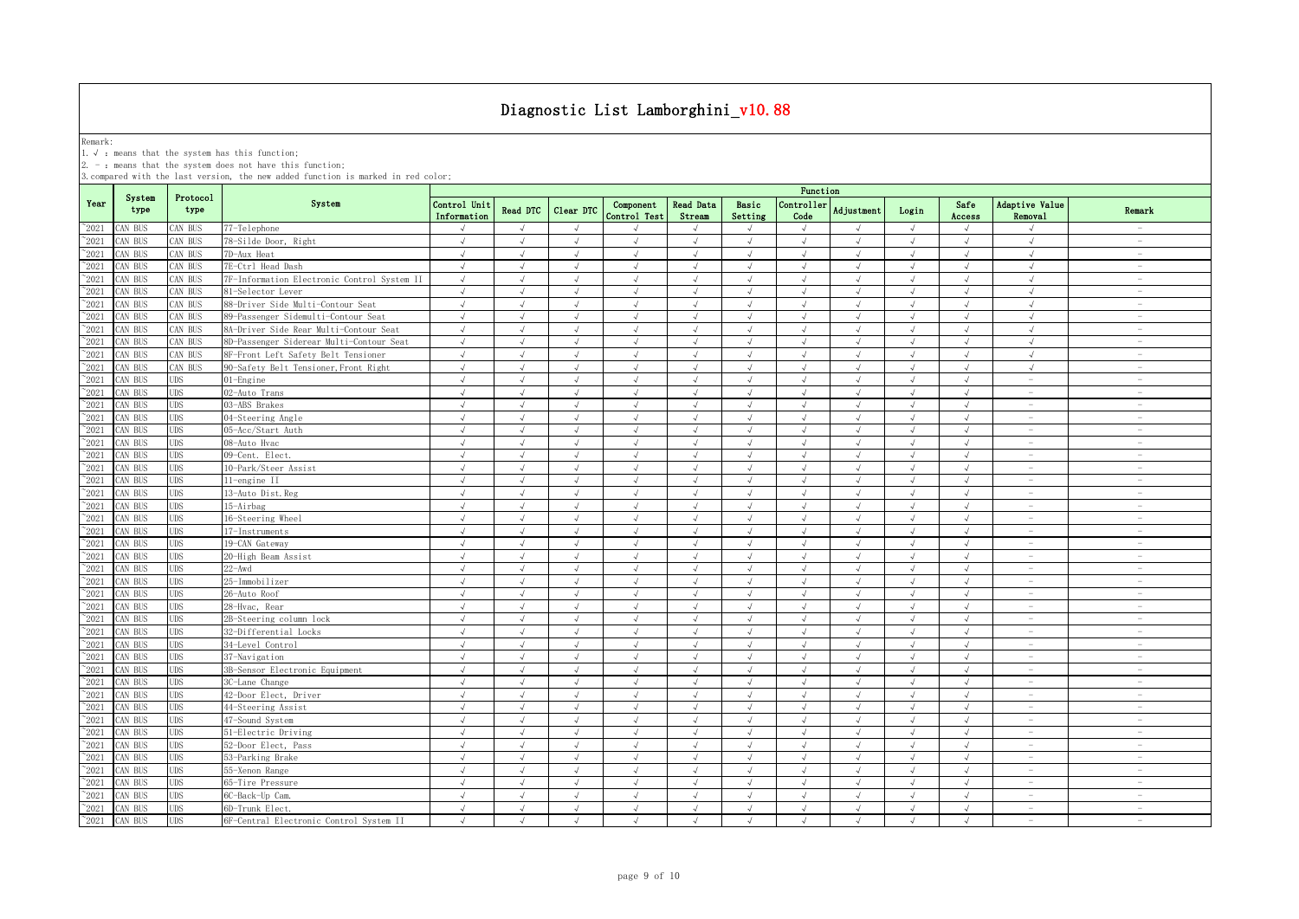Remark:<br>1.√ : means that the system has this function;<br>2. - : means that the system does not have this function;

|                |                |                  |                                             | Function                    |               |               |                           |                            |                             |                    |            |              |                |                                  |                                 |
|----------------|----------------|------------------|---------------------------------------------|-----------------------------|---------------|---------------|---------------------------|----------------------------|-----------------------------|--------------------|------------|--------------|----------------|----------------------------------|---------------------------------|
| Year           | System<br>type | Protocol<br>type | System                                      | Control Unit<br>Information | Read DTC      | Clear DTC     | Component<br>Control Test | <b>Read Data</b><br>Stream | Basic<br>Setting            | Controller<br>Code | Adjustment | Login        | Safe<br>Access | Adaptive Value<br><b>Removal</b> | Remark                          |
| $^{\sim}2021$  | CAN BUS        | CAN BUS          | 77-Telephone                                |                             | $\mathcal{L}$ | $\mathcal{L}$ |                           |                            | $\mathcal{N}_{\mathcal{N}}$ |                    |            | $\sqrt{ }$   |                |                                  | $\sim$                          |
| $^{\sim}2021$  | CAN BUS        | CAN BUS          | 78-Silde Door, Right                        | $\sqrt{ }$                  | $\sqrt{ }$    | $\sqrt{ }$    | $\sqrt{ }$                | $\sqrt{ }$                 | $\sqrt{ }$                  | $\sqrt{ }$         | $\sqrt{ }$ | $\sqrt{ }$   | $\sqrt{ }$     | $\sqrt{ }$                       | $\sim$                          |
| $^{\circ}2021$ | CAN BUS        | CAN BUS          | 7D-Aux Heat                                 | $\sqrt{ }$                  | $\sqrt{ }$    | $\sqrt{ }$    | $\sqrt{ }$                | $\sqrt{ }$                 | $\sqrt{ }$                  | $\sqrt{ }$         | $\sqrt{ }$ | $\sqrt{ }$   | $\sqrt{ }$     | $\sqrt{ }$                       | $\sim$                          |
| $^{\sim}2021$  | CAN BUS        | CAN BUS          | 7E-Ctrl Head Dash                           | $\sqrt{ }$                  | $\sqrt{ }$    | $\sqrt{ }$    | $\sqrt{ }$                | $\sqrt{ }$                 | $\sqrt{ }$                  | $\sqrt{ }$         | $\sqrt{ }$ | $\sqrt{ }$   | $\sqrt{ }$     | $\sqrt{ }$                       | $\sim$                          |
| $^{\sim}2021$  | CAN BUS        | CAN BUS          | 7F-Information Electronic Control System II | $\sqrt{ }$                  | $\sqrt{ }$    | $\sqrt{ }$    | $\sqrt{ }$                | $\sqrt{ }$                 | $\sqrt{ }$                  | $\sqrt{ }$         | $\sqrt{ }$ | $\sqrt{ }$   | $\sqrt{ }$     | $\sqrt{ }$                       | $\sim$                          |
| 2021           | CAN BUS        | CAN BUS          | 81-Selector Lever                           | $\sqrt{ }$                  | $\sqrt{ }$    | $\sqrt{ }$    | $\sqrt{ }$                | $\sqrt{ }$                 | $\sqrt{ }$                  | $\sqrt{ }$         | $\sqrt{ }$ | $\sqrt{ }$   | $\sqrt{ }$     | $\sqrt{ }$                       | $\hspace{0.1mm}-\hspace{0.1mm}$ |
| 2021           | CAN BUS        | AN BUS           | 88-Driver Side Multi-Contour Seat           | $\sqrt{ }$                  |               | $\sqrt{ }$    |                           |                            | $\sqrt{ }$                  | $\sqrt{ }$         |            | $\sqrt{ }$   | J              |                                  | $\sim$                          |
| 2021           | CAN BUS        | CAN BUS          | 89-Passenger Sidemulti-Contour Seat         | $\sqrt{ }$                  | $\sqrt{ }$    | $\sqrt{ }$    | $\sqrt{ }$                | $\sqrt{ }$                 | $\sqrt{ }$                  | $\sqrt{ }$         | $\sqrt{ }$ | $\sqrt{ }$   | J              | $\sqrt{ }$                       | $\sim$                          |
| 2021           | CAN BUS        | CAN BUS          | 8A-Driver Side Rear Multi-Contour Seat      | $\sqrt{ }$                  |               | $\sqrt{ }$    |                           |                            | $\sqrt{ }$                  | $\sqrt{ }$         |            | $\sqrt{ }$   | $\sqrt{ }$     | $\sqrt{ }$                       |                                 |
| 2021           | CAN BUS        | CAN BUS          | 8D-Passenger Siderear Multi-Contour Seat    | $\sqrt{ }$                  | $\mathcal{L}$ | $\sqrt{ }$    | J                         | $\sqrt{ }$                 | J                           | $\sqrt{ }$         |            | $\sqrt{ }$   | J              | $\sqrt{ }$                       | $\overline{\phantom{0}}$        |
| $^{\sim}2021$  | CAN BUS        | CAN BUS          | 8F-Front Left Safety Belt Tensioner         | $\sqrt{ }$                  |               | $\sqrt{ }$    | $\sqrt{ }$                | $\sqrt{ }$                 | $\sqrt{2}$                  | $\sqrt{ }$         |            | $\sqrt{ }$   | $\sqrt{ }$     | $\sqrt{2}$                       | $\overline{\phantom{a}}$        |
| $^{\sim}2021$  | CAN BUS        | CAN BUS          | 90-Safety Belt Tensioner, Front Right       | $\sqrt{ }$                  | $\sqrt{ }$    | $\sqrt{ }$    | $\sqrt{ }$                | $\sqrt{ }$                 | $\sqrt{ }$                  | $\sqrt{ }$         | $\sqrt{ }$ | $\sqrt{ }$   | $\sqrt{ }$     | $\sqrt{ }$                       | $\sim$                          |
| $^{\sim}2021$  | CAN BUS        | <b>UDS</b>       | $01$ -Engine                                | $\sqrt{ }$                  | $\sqrt{ }$    | $\sqrt{ }$    | $\sqrt{ }$                | $\sqrt{ }$                 | $\sqrt{ }$                  | $\sqrt{ }$         | $\sqrt{ }$ | $\sqrt{ }$   | $\sqrt{ }$     | $\sim$                           | $\sim$                          |
| $\degree$ 2021 | CAN BUS        | <b>UDS</b>       | 02-Auto Trans                               | $\sqrt{ }$                  | $\sqrt{2}$    | $\sqrt{ }$    | $\sqrt{2}$                | $\sqrt{ }$                 | $\sqrt{ }$                  | $\sqrt{ }$         | $\sqrt{ }$ | $\sqrt{ }$   | $\sqrt{ }$     | $\overline{\phantom{m}}$         | $\sim$                          |
| $^{\sim}2021$  | CAN BUS        | UDS              | 03-ABS Brakes                               | $\sqrt{ }$                  | $\sqrt{ }$    | $\sqrt{ }$    | $\sqrt{ }$                | $\sqrt{ }$                 | $\sqrt{ }$                  | $\sqrt{ }$         | $\sqrt{ }$ | $\sqrt{ }$   | $\sqrt{ }$     | $\overline{\phantom{a}}$         | $\sim$                          |
| $\degree$ 2021 | CAN BUS        | UDS              | 04-Steering Angle                           | $\sqrt{ }$                  | $\sqrt{ }$    | $\sqrt{ }$    | $\sqrt{ }$                | $\sqrt{ }$                 | $\sqrt{ }$                  | $\sqrt{ }$         | $\lambda$  | $\sqrt{ }$   | $\sqrt{ }$     | $\sim$                           | $\sim$                          |
| $^{\sim}2021$  | CAN BUS        | <b>UDS</b>       | 05-Acc/Start Auth                           | $\sqrt{ }$                  | $\sqrt{ }$    | $\sqrt{ }$    | $\sqrt{ }$                | $\sqrt{ }$                 | $\sqrt{ }$                  | $\sqrt{ }$         | $\sqrt{ }$ | $\sqrt{ }$   | $\sqrt{ }$     | $\overline{\phantom{a}}$         | $\overline{\phantom{a}}$        |
| $^{\circ}2021$ | CAN BUS        | UDS              | 08-Auto Hvac                                | $\sqrt{}$                   | $\sqrt{ }$    | $\sqrt{ }$    | $\sqrt{ }$                | $\sqrt{ }$                 | $\sqrt{ }$                  | $\sqrt{ }$         | $\sqrt{ }$ | $\sqrt{ }$   | $\sqrt{ }$     | $\overline{\phantom{a}}$         | $\sim$                          |
| 2021           | CAN BUS        | <b>UDS</b>       | 09-Cent. Elect.                             | $\sqrt{ }$                  | $\sqrt{ }$    | $\sqrt{ }$    | $\sqrt{ }$                | $\sqrt{ }$                 | $\sqrt{ }$                  | $\sqrt{ }$         | $\sqrt{ }$ | $\sqrt{ }$   | $\sqrt{ }$     | $ \,$                            | $\sim$                          |
| 2021           | CAN BUS        | UDS              | 10-Park/Steer Assist                        | $\sqrt{ }$                  |               | $\sqrt{ }$    |                           |                            |                             | $\sqrt{ }$         |            | $\sqrt{ }$   | √              | $\overline{\phantom{a}}$         | $\sim$                          |
| 2021           | CAN BUS        | UDS              | 11-engine II                                | $\sqrt{ }$                  | $\sqrt{ }$    | $\sqrt{ }$    |                           | J                          | $\sqrt{ }$                  | $\sqrt{ }$         |            | $\sqrt{ }$   | √              | $\overline{\phantom{a}}$         | $\hspace{0.1mm}-\hspace{0.1mm}$ |
| 2021           | CAN BUS        | UDS              | 13-Auto Dist. Reg                           | $\sqrt{ }$                  |               | $\sqrt{ }$    |                           |                            | J                           | $\sqrt{ }$         |            | $\sqrt{ }$   | J              | $\overline{\phantom{a}}$         | $\sim$                          |
| 2021           | CAN BUS        | <b>UDS</b>       | 15-Airbag                                   | $\sqrt{ }$                  | $\sqrt{ }$    | $\sqrt{ }$    | $\sqrt{ }$                | $\sqrt{ }$                 | $\sqrt{ }$                  | $\sqrt{2}$         |            | $\sqrt{ }$   | $\sqrt{ }$     | $\overline{\phantom{0}}$         | $\overline{\phantom{a}}$        |
| 2021           | CAN BUS        | UDS              | 16-Steering Wheel                           | $\sqrt{ }$                  | $\sqrt{ }$    | $\sqrt{ }$    | $\sqrt{ }$                | $\sqrt{ }$                 | $\sqrt{ }$                  | $\sqrt{ }$         | $\sqrt{ }$ | $\sqrt{ }$   | $\sqrt{ }$     | $\overline{\phantom{a}}$         | $\overline{\phantom{0}}$        |
| $^{\circ}2021$ | CAN BUS        | <b>UDS</b>       | 17-Instruments                              | $\sqrt{ }$                  | $\mathcal{A}$ | $\sqrt{ }$    | $\sqrt{ }$                | $\sqrt{ }$                 | $\mathcal{N}_{\mathcal{N}}$ | $\sqrt{ }$         |            | $\sqrt{ }$   | $\sqrt{ }$     |                                  | $\overline{\phantom{0}}$        |
| $^{\sim}2021$  | CAN BUS        | <b>UDS</b>       | 19-CAN Gateway                              | $\sqrt{ }$                  | $\sqrt{ }$    | $\sqrt{ }$    | $\sqrt{ }$                | $\sqrt{ }$                 | $\sqrt{ }$                  | $\sqrt{ }$         | $\sqrt{ }$ | $\sqrt{ }$   | $\sqrt{ }$     | $\overline{\phantom{m}}$         | $\sim$                          |
| $\degree$ 2021 | CAN BUS        | UDS              | 20-High Beam Assist                         | $\sqrt{ }$                  | $\sqrt{ }$    | $\sqrt{ }$    | $\sqrt{ }$                | $\sqrt{ }$                 | $\sqrt{ }$                  | $\sqrt{ }$         | $\sqrt{ }$ | $\sqrt{ }$   | $\sqrt{ }$     | $\overline{\phantom{a}}$         | $\sim$                          |
| $\degree$ 2021 | CAN BUS        | <b>UDS</b>       | $22 - Awd$                                  | $\sqrt{ }$                  | $\sqrt{ }$    | $\sqrt{ }$    | $\sqrt{ }$                | $\sqrt{ }$                 | $\sqrt{ }$                  | $\sqrt{ }$         | $\sqrt{ }$ | $\sqrt{ }$   | $\sqrt{ }$     | $\sim$                           | $\sim$                          |
| $^{\sim}2021$  | CAN BUS        | <b>UDS</b>       | 25-Immobilizer                              | $\sqrt{ }$                  | $\sqrt{ }$    | $\sqrt{ }$    | $\sqrt{ }$                | $\sqrt{ }$                 | $\sqrt{ }$                  | $\sqrt{ }$         | $\sqrt{ }$ | $\sqrt{ }$   | $\sqrt{ }$     | $\overline{\phantom{a}}$         | $\sim$                          |
| $^{\sim}2021$  | CAN BUS        | UDS              | 26-Auto Roof                                | $\sqrt{ }$                  | $\sqrt{ }$    | $\sqrt{ }$    | $\sqrt{ }$                | $\sqrt{ }$                 | $\sqrt{ }$                  | $\sqrt{ }$         | $\sqrt{ }$ | $\sqrt{ }$   | $\sqrt{ }$     | $\overline{\phantom{a}}$         | $\sim$                          |
| $^{\sim}2021$  | CAN BUS        | <b>UDS</b>       | 28-Hvac, Rear                               | $\sqrt{ }$                  | $\sqrt{ }$    | $\sqrt{ }$    | $\sqrt{ }$                | $\sqrt{ }$                 | $\sqrt{ }$                  | $\sqrt{ }$         | $\lambda$  | $\sqrt{ }$   | $\sqrt{ }$     | $\overline{\phantom{a}}$         | $\sim$                          |
| $^{\sim}2021$  | CAN BUS        | <b>UDS</b>       | 2B-Steering column lock                     | $\sqrt{ }$                  | $\sqrt{ }$    | $\sqrt{ }$    | $\sqrt{ }$                | $\sqrt{ }$                 | $\sqrt{ }$                  | $\sqrt{ }$         | $\sqrt{ }$ | $\sqrt{ }$   | $\sqrt{ }$     | $\overline{\phantom{a}}$         | $\overline{\phantom{a}}$        |
| $^{\sim}2021$  | CAN BUS        | <b>UDS</b>       | 32-Differential Locks                       | $\sqrt{ }$                  | $\sqrt{ }$    | $\sqrt{ }$    | $\sqrt{ }$                | $\sqrt{ }$                 | $\sqrt{ }$                  | $\sqrt{ }$         | $\sqrt{ }$ | $\sqrt{ }$   | $\sqrt{ }$     | $\overline{\phantom{a}}$         | $\overline{\phantom{a}}$        |
| 2021           | CAN BUS        | <b>UDS</b>       | 34-Level Control                            | $\sqrt{ }$                  | $\sqrt{ }$    | $\sqrt{ }$    | $\sqrt{ }$                | $\sqrt{ }$                 | $\sqrt{ }$                  | $\sqrt{ }$         | $\sqrt{ }$ | $\sqrt{ }$   | $\sqrt{ }$     | $\sim$                           | $\overline{\phantom{a}}$        |
| 2021           | CAN BUS        | <b>UDS</b>       | 37-Navigation                               | $\sqrt{ }$                  |               | $\sqrt{ }$    |                           |                            | $\sqrt{ }$                  | $\sqrt{ }$         |            | $\sqrt{ }$   | √              |                                  | $\sim$                          |
| 2021           | CAN BUS        | UDS              | 3B-Sensor Electronic Equipment              | $\sqrt{ }$                  | $\sqrt{ }$    | $\sqrt{ }$    | $\sqrt{ }$                | $\sqrt{ }$                 | $\sqrt{ }$                  | $\sqrt{ }$         | $\sqrt{ }$ | $\sqrt{ }$   | √              | $\overline{\phantom{a}}$         | $\sim$                          |
| 2021           | CAN BUS        | UDS              | 3C-Lane Change                              | $\sqrt{ }$                  | $\mathcal{L}$ | $\sqrt{ }$    | $\sqrt{ }$                | $\sqrt{ }$                 | $\mathcal{N}_{\mathcal{N}}$ | $\sqrt{ }$         |            | $\sqrt{ }$   | $\sqrt{ }$     | $\overline{\phantom{a}}$         | $\sim$                          |
| 2021           | CAN BUS        | UDS              | 42-Door Elect, Driver                       | $\sqrt{ }$                  | J             | $\sqrt{ }$    | $\sqrt{ }$                | $\sqrt{ }$                 | $\sqrt{ }$                  | $\sqrt{ }$         |            | $\sqrt{ }$   | $\sqrt{ }$     | $\overline{\phantom{0}}$         | $\overline{\phantom{0}}$        |
| $^{\sim}2021$  | CAN BUS        | <b>UDS</b>       | 44-Steering Assist                          | $\sqrt{ }$                  | $\mathcal{A}$ | $\sqrt{ }$    | $\sqrt{ }$                | $\sqrt{ }$                 | J                           | $\sqrt{ }$         |            | $\sqrt{ }$   | $\sqrt{ }$     |                                  | $\overline{\phantom{0}}$        |
| $^{\circ}2021$ | CAN BUS        | <b>UDS</b>       | 47-Sound System                             | $\sqrt{ }$                  | $\sqrt{ }$    | $\sqrt{ }$    | $\sqrt{ }$                | $\sqrt{ }$                 | $\sqrt{ }$                  | $\sqrt{ }$         | $\sqrt{ }$ | $\sqrt{ }$   | $\sqrt{ }$     |                                  | $\sim$                          |
| $^{\sim}2021$  | CAN BUS        | UDS              | 51-Electric Driving                         | $\sqrt{ }$                  | $\sqrt{ }$    | $\sqrt{ }$    | $\sqrt{ }$                | $\sqrt{ }$                 | $\sqrt{ }$                  | $\sqrt{ }$         | $\sqrt{ }$ | $\sqrt{ }$   | $\sqrt{ }$     | $\overline{\phantom{a}}$         | $\sim$                          |
| $\degree$ 2021 | CAN BUS        | <b>UDS</b>       | 52-Door Elect, Pass                         | $\sqrt{ }$                  | $\sqrt{ }$    | $\sqrt{ }$    | $\sqrt{ }$                | $\sqrt{ }$                 | $\sqrt{ }$                  | $\sqrt{ }$         | $\sqrt{ }$ | $\sqrt{ }$   | $\sqrt{ }$     | $\overline{\phantom{a}}$         | $\sim$                          |
| $^{\sim}2021$  | CAN BUS        | <b>UDS</b>       | 53-Parking Brake                            | $\sqrt{ }$                  | $\sqrt{ }$    | $\sqrt{ }$    | $\sqrt{ }$                | $\sqrt{ }$                 | $\sqrt{ }$                  | $\sqrt{ }$         | $\sqrt{ }$ | $\sqrt{ }$   | $\sqrt{ }$     | $\sim$                           | $\sim$                          |
| $^{\sim}2021$  | CAN BUS        | UDS              | 55-Xenon Range                              | $\sqrt{ }$                  | $\sqrt{ }$    | $\sqrt{ }$    | $\sqrt{ }$                | $\sqrt{ }$                 | $\sqrt{ }$                  | $\sqrt{ }$         | $\sqrt{ }$ | $\sqrt{ }$   | $\sqrt{ }$     | $\overline{\phantom{m}}$         | $\sim$                          |
| $^{\sim}2021$  | CAN BUS        | UDS              | 65-Tire Pressure                            | $\sqrt{ }$                  | $\sqrt{ }$    | $\sqrt{ }$    | $\sqrt{ }$                | $\sqrt{ }$                 | $\sqrt{ }$                  | $\sqrt{ }$         | $\sqrt{ }$ | $\sqrt{ }$   | $\sqrt{ }$     | $\sim$                           | $\sim$                          |
| $^{\sim}2021$  | CAN BUS        | <b>UDS</b>       | 6C-Back-Up Cam                              | $\sqrt{ }$                  | $\sqrt{ }$    | $\sqrt{ }$    | $\sqrt{ }$                | $\sqrt{ }$                 | $\sqrt{ }$                  | $\sqrt{ }$         | $\lambda$  | $\sqrt{ }$   | $\sqrt{ }$     | $\overline{\phantom{a}}$         | $\overline{\phantom{a}}$        |
| $^{\sim}2021$  | CAN BUS        | UDS              | 6D-Trunk Elect.                             | $\sqrt{ }$                  | $\sqrt{ }$    | $\sqrt{ }$    | $\sqrt{ }$                | $\sqrt{ }$                 | $\sqrt{ }$                  | $\sqrt{ }$         | $\sqrt{ }$ | $\checkmark$ | $\sqrt{ }$     | $\sim$                           | $\sim$                          |
| $^{\circ}2021$ | CAN BUS        | <b>UDS</b>       | 6F-Central Electronic Control System II     | $\sqrt{ }$                  | $\sqrt{ }$    | $\sqrt{ }$    | $\sqrt{ }$                | $\sqrt{ }$                 | $\sqrt{ }$                  | $\sqrt{ }$         | $\sqrt{ }$ | $\sqrt{ }$   | $\sqrt{ }$     | $\sim$                           | $\sim$                          |